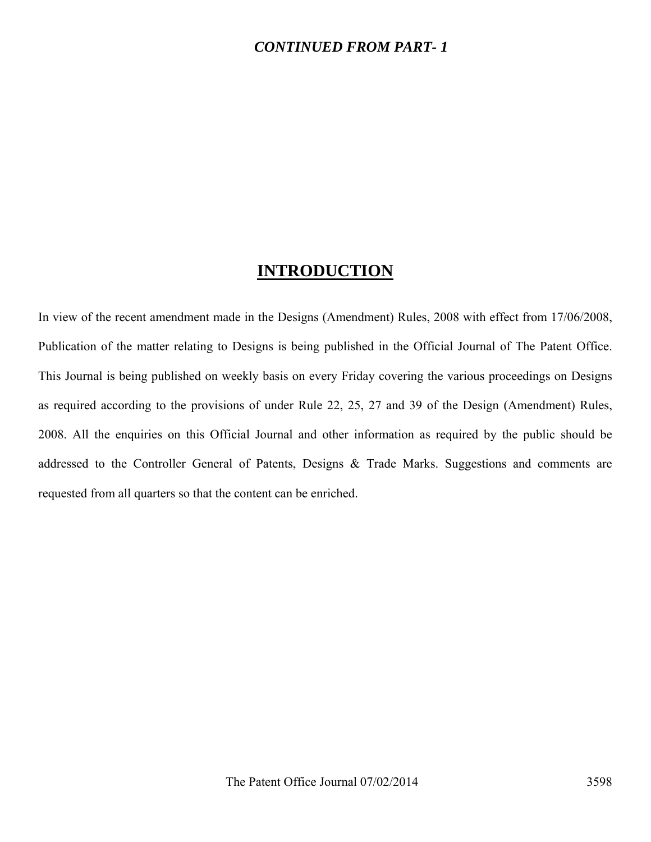### *CONTINUED FROM PART- 1*

## **INTRODUCTION**

In view of the recent amendment made in the Designs (Amendment) Rules, 2008 with effect from 17/06/2008, Publication of the matter relating to Designs is being published in the Official Journal of The Patent Office. This Journal is being published on weekly basis on every Friday covering the various proceedings on Designs as required according to the provisions of under Rule 22, 25, 27 and 39 of the Design (Amendment) Rules, 2008. All the enquiries on this Official Journal and other information as required by the public should be addressed to the Controller General of Patents, Designs & Trade Marks. Suggestions and comments are requested from all quarters so that the content can be enriched.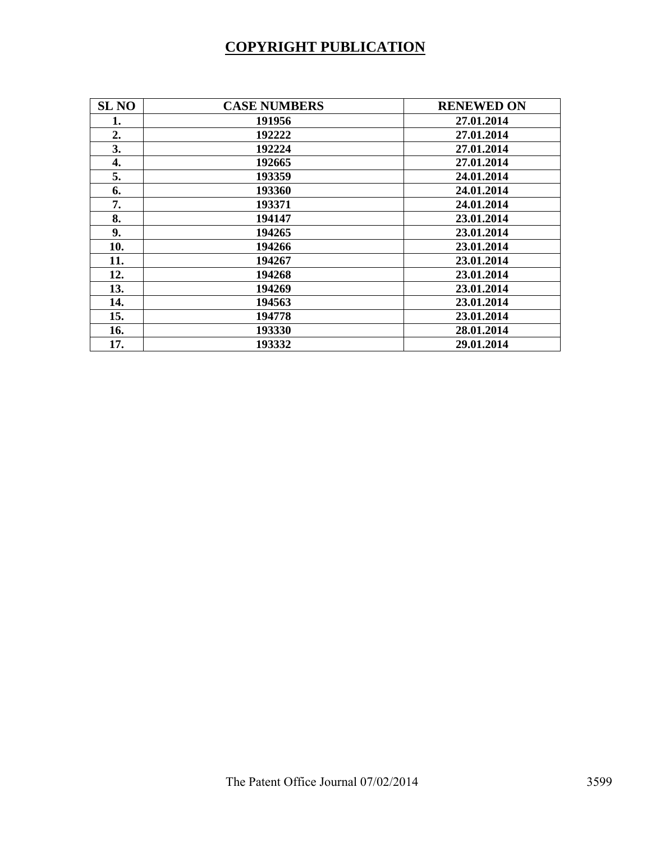# **COPYRIGHT PUBLICATION**

| <b>SL NO</b> | <b>CASE NUMBERS</b> | <b>RENEWED ON</b> |
|--------------|---------------------|-------------------|
| 1.           | 191956              | 27.01.2014        |
| 2.           | 192222              | 27.01.2014        |
| 3.           | 192224              | 27.01.2014        |
| 4.           | 192665              | 27.01.2014        |
| 5.           | 193359              | 24.01.2014        |
| 6.           | 193360              | 24.01.2014        |
| 7.           | 193371              | 24.01.2014        |
| 8.           | 194147              | 23.01.2014        |
| 9.           | 194265              | 23.01.2014        |
| 10.          | 194266              | 23.01.2014        |
| 11.          | 194267              | 23.01.2014        |
| 12.          | 194268              | 23.01.2014        |
| 13.          | 194269              | 23.01.2014        |
| 14.          | 194563              | 23.01.2014        |
| 15.          | 194778              | 23.01.2014        |
| 16.          | 193330              | 28.01.2014        |
| 17.          | 193332              | 29.01.2014        |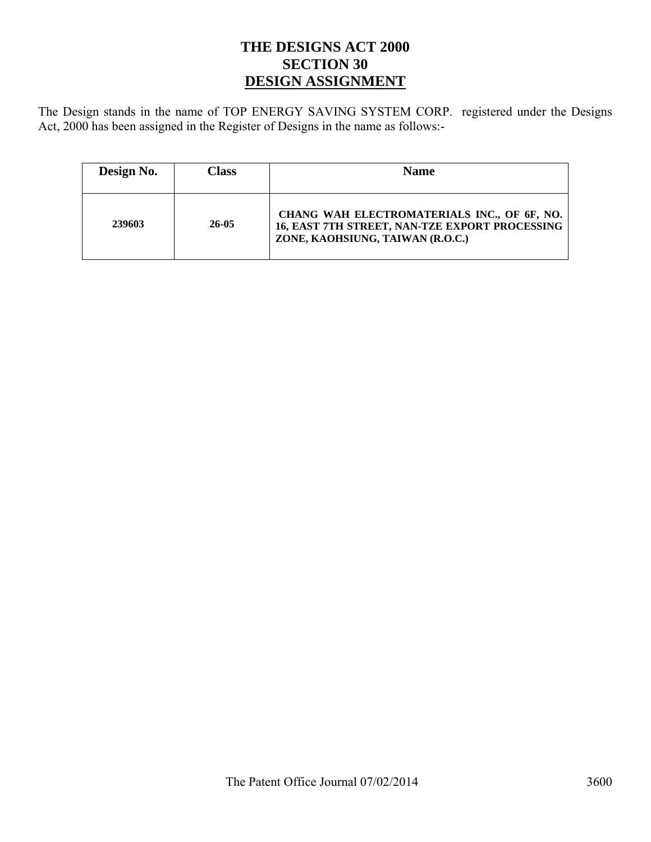## **THE DESIGNS ACT 2000 SECTION 30 DESIGN ASSIGNMENT**

The Design stands in the name of TOP ENERGY SAVING SYSTEM CORP. registered under the Designs Act, 2000 has been assigned in the Register of Designs in the name as follows:-

| Design No. | Class | <b>Name</b>                                                                                                                       |
|------------|-------|-----------------------------------------------------------------------------------------------------------------------------------|
| 239603     | 26-05 | CHANG WAH ELECTROMATERIALS INC., OF 6F, NO.<br>16, EAST 7TH STREET, NAN-TZE EXPORT PROCESSING<br>ZONE, KAOHSIUNG, TAIWAN (R.O.C.) |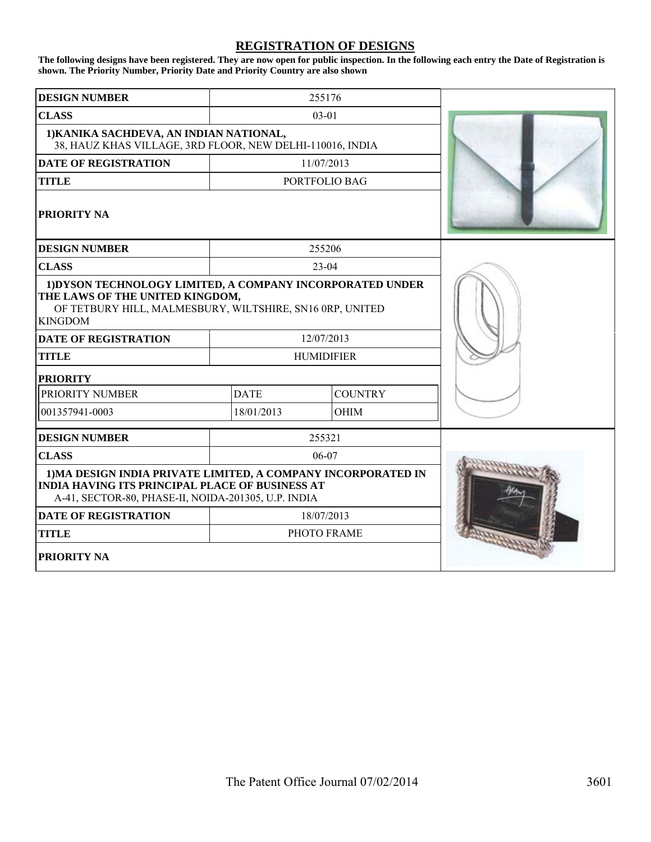#### **REGISTRATION OF DESIGNS**

**The following designs have been registered. They are now open for public inspection. In the following each entry the Date of Registration is shown. The Priority Number, Priority Date and Priority Country are also shown**

| <b>DESIGN NUMBER</b>                                                                                                                                                       |             | 255176            |  |
|----------------------------------------------------------------------------------------------------------------------------------------------------------------------------|-------------|-------------------|--|
| <b>CLASS</b>                                                                                                                                                               |             | $03 - 01$         |  |
| 1) KANIKA SACHDEVA, AN INDIAN NATIONAL,<br>38, HAUZ KHAS VILLAGE, 3RD FLOOR, NEW DELHI-110016, INDIA                                                                       |             |                   |  |
| <b>DATE OF REGISTRATION</b>                                                                                                                                                |             | 11/07/2013        |  |
| <b>TITLE</b>                                                                                                                                                               |             | PORTFOLIO BAG     |  |
| <b>PRIORITY NA</b>                                                                                                                                                         |             |                   |  |
| <b>DESIGN NUMBER</b>                                                                                                                                                       |             | 255206            |  |
| <b>CLASS</b>                                                                                                                                                               |             | $23-04$           |  |
| 1) DYSON TECHNOLOGY LIMITED, A COMPANY INCORPORATED UNDER<br>THE LAWS OF THE UNITED KINGDOM,<br>OF TETBURY HILL, MALMESBURY, WILTSHIRE, SN16 0RP, UNITED<br><b>KINGDOM</b> |             |                   |  |
| <b>DATE OF REGISTRATION</b>                                                                                                                                                |             | 12/07/2013        |  |
| <b>TITLE</b>                                                                                                                                                               |             | <b>HUMIDIFIER</b> |  |
| <b>PRIORITY</b>                                                                                                                                                            |             |                   |  |
| PRIORITY NUMBER                                                                                                                                                            | <b>DATE</b> | <b>COUNTRY</b>    |  |
| 001357941-0003                                                                                                                                                             | 18/01/2013  | OHIM              |  |
| <b>DESIGN NUMBER</b>                                                                                                                                                       |             | 255321            |  |
| <b>CLASS</b>                                                                                                                                                               |             | 06-07             |  |
| 1) MA DESIGN INDIA PRIVATE LIMITED, A COMPANY INCORPORATED IN<br>INDIA HAVING ITS PRINCIPAL PLACE OF BUSINESS AT<br>A-41, SECTOR-80, PHASE-II, NOIDA-201305, U.P. INDIA    |             |                   |  |
| <b>DATE OF REGISTRATION</b>                                                                                                                                                |             | 18/07/2013        |  |
| <b>TITLE</b>                                                                                                                                                               |             | PHOTO FRAME       |  |
| PRIORITY NA                                                                                                                                                                |             |                   |  |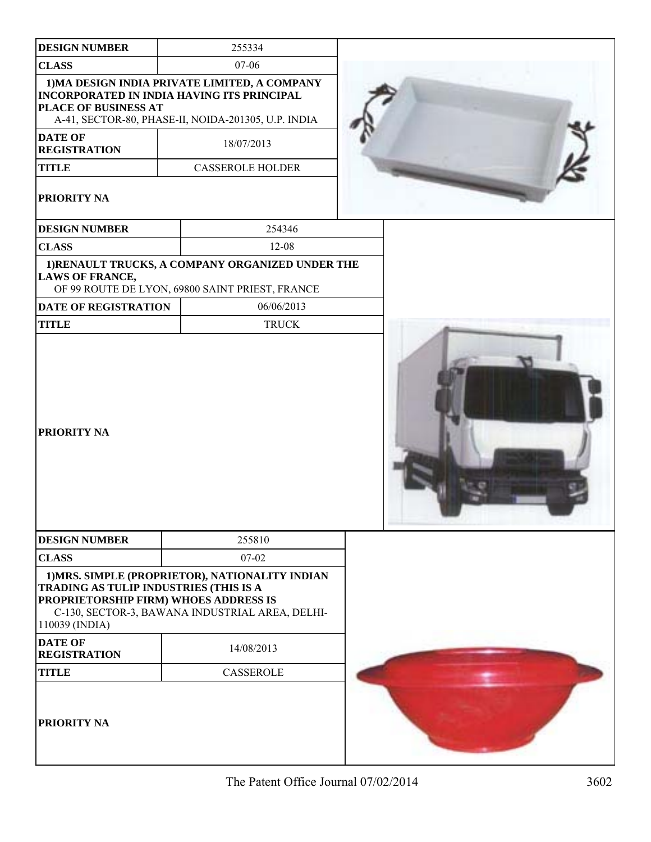| <b>DESIGN NUMBER</b>                                                                              | 255334                                                                                                                                                    |  |
|---------------------------------------------------------------------------------------------------|-----------------------------------------------------------------------------------------------------------------------------------------------------------|--|
| <b>CLASS</b>                                                                                      | $07-06$                                                                                                                                                   |  |
| PLACE OF BUSINESS AT                                                                              | 1) MA DESIGN INDIA PRIVATE LIMITED, A COMPANY<br><b>INCORPORATED IN INDIA HAVING ITS PRINCIPAL</b><br>A-41, SECTOR-80, PHASE-II, NOIDA-201305, U.P. INDIA |  |
| <b>DATE OF</b><br><b>REGISTRATION</b>                                                             | 18/07/2013                                                                                                                                                |  |
| <b>TITLE</b>                                                                                      | <b>CASSEROLE HOLDER</b>                                                                                                                                   |  |
| PRIORITY NA                                                                                       |                                                                                                                                                           |  |
| <b>DESIGN NUMBER</b>                                                                              | 254346                                                                                                                                                    |  |
| <b>CLASS</b>                                                                                      | $12 - 08$                                                                                                                                                 |  |
| <b>LAWS OF FRANCE,</b>                                                                            | 1) RENAULT TRUCKS, A COMPANY ORGANIZED UNDER THE<br>OF 99 ROUTE DE LYON, 69800 SAINT PRIEST, FRANCE                                                       |  |
| DATE OF REGISTRATION                                                                              | 06/06/2013                                                                                                                                                |  |
| <b>TITLE</b>                                                                                      | <b>TRUCK</b>                                                                                                                                              |  |
| PRIORITY NA                                                                                       |                                                                                                                                                           |  |
| <b>DESIGN NUMBER</b>                                                                              | 255810                                                                                                                                                    |  |
| <b>CLASS</b>                                                                                      | 07-02                                                                                                                                                     |  |
| TRADING AS TULIP INDUSTRIES (THIS IS A<br>PROPRIETORSHIP FIRM) WHOES ADDRESS IS<br>110039 (INDIA) | 1) MRS. SIMPLE (PROPRIETOR), NATIONALITY INDIAN<br>C-130, SECTOR-3, BAWANA INDUSTRIAL AREA, DELHI-                                                        |  |
| <b>DATE OF</b><br><b>REGISTRATION</b>                                                             | 14/08/2013                                                                                                                                                |  |
| <b>TITLE</b>                                                                                      | <b>CASSEROLE</b>                                                                                                                                          |  |
| PRIORITY NA                                                                                       |                                                                                                                                                           |  |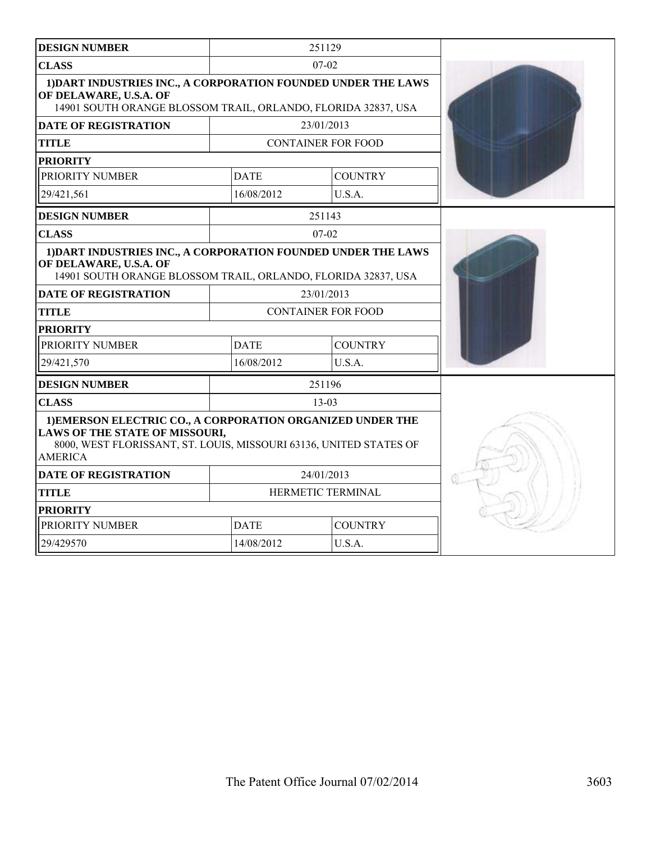| <b>DESIGN NUMBER</b>                                                                                                                                                                 |                               | 251129     |                           |  |
|--------------------------------------------------------------------------------------------------------------------------------------------------------------------------------------|-------------------------------|------------|---------------------------|--|
| <b>CLASS</b>                                                                                                                                                                         | $07-02$                       |            |                           |  |
| 1) DART INDUSTRIES INC., A CORPORATION FOUNDED UNDER THE LAWS<br>OF DELAWARE, U.S.A. OF<br>14901 SOUTH ORANGE BLOSSOM TRAIL, ORLANDO, FLORIDA 32837, USA                             |                               |            |                           |  |
| <b>DATE OF REGISTRATION</b>                                                                                                                                                          | 23/01/2013                    |            |                           |  |
| <b>TITLE</b>                                                                                                                                                                         |                               |            | <b>CONTAINER FOR FOOD</b> |  |
| <b>PRIORITY</b>                                                                                                                                                                      |                               |            |                           |  |
| PRIORITY NUMBER                                                                                                                                                                      | <b>DATE</b>                   |            | <b>COUNTRY</b>            |  |
| 29/421,561                                                                                                                                                                           | 16/08/2012                    |            | U.S.A.                    |  |
| <b>DESIGN NUMBER</b>                                                                                                                                                                 |                               | 251143     |                           |  |
| <b>CLASS</b>                                                                                                                                                                         |                               | $07-02$    |                           |  |
| 1) DART INDUSTRIES INC., A CORPORATION FOUNDED UNDER THE LAWS<br>OF DELAWARE, U.S.A. OF<br>14901 SOUTH ORANGE BLOSSOM TRAIL, ORLANDO, FLORIDA 32837, USA                             |                               |            |                           |  |
| <b>DATE OF REGISTRATION</b>                                                                                                                                                          |                               | 23/01/2013 |                           |  |
| <b>TITLE</b>                                                                                                                                                                         | <b>CONTAINER FOR FOOD</b>     |            |                           |  |
| <b>PRIORITY</b>                                                                                                                                                                      |                               |            |                           |  |
| PRIORITY NUMBER                                                                                                                                                                      | <b>DATE</b>                   |            | <b>COUNTRY</b>            |  |
| 29/421,570                                                                                                                                                                           | 16/08/2012                    |            | U.S.A.                    |  |
| <b>DESIGN NUMBER</b>                                                                                                                                                                 |                               | 251196     |                           |  |
| <b>CLASS</b>                                                                                                                                                                         |                               | $13-03$    |                           |  |
| 1) EMERSON ELECTRIC CO., A CORPORATION ORGANIZED UNDER THE<br>LAWS OF THE STATE OF MISSOURI,<br>8000, WEST FLORISSANT, ST. LOUIS, MISSOURI 63136, UNITED STATES OF<br><b>AMERICA</b> |                               |            |                           |  |
| <b>DATE OF REGISTRATION</b>                                                                                                                                                          | 24/01/2013                    |            |                           |  |
| <b>TITLE</b>                                                                                                                                                                         | HERMETIC TERMINAL             |            |                           |  |
| <b>PRIORITY</b>                                                                                                                                                                      |                               |            |                           |  |
| PRIORITY NUMBER                                                                                                                                                                      | <b>DATE</b><br><b>COUNTRY</b> |            |                           |  |
| 29/429570                                                                                                                                                                            | 14/08/2012                    |            | U.S.A.                    |  |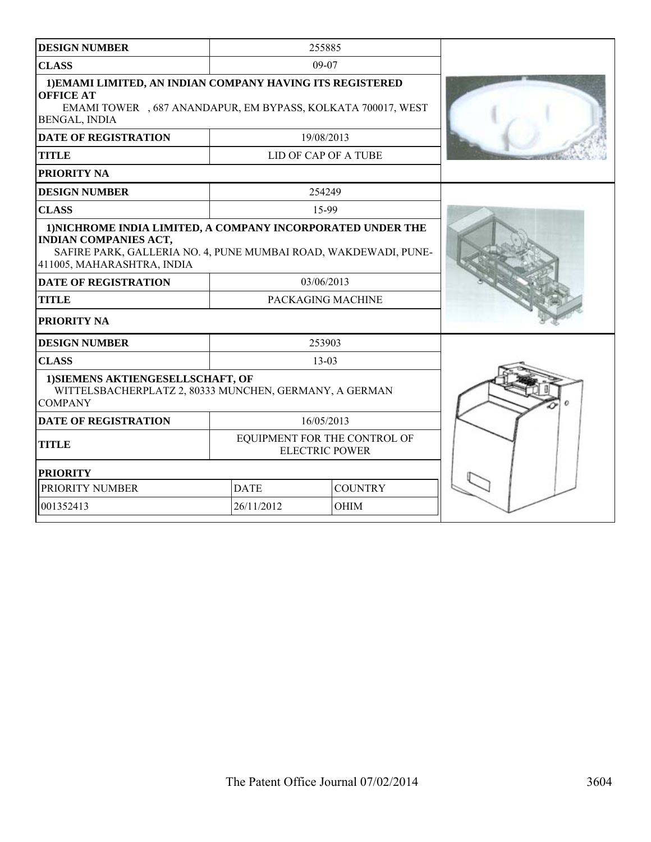| <b>DESIGN NUMBER</b>                                                                                                                                                                         |                                                       | 255885                      |  |
|----------------------------------------------------------------------------------------------------------------------------------------------------------------------------------------------|-------------------------------------------------------|-----------------------------|--|
| <b>CLASS</b>                                                                                                                                                                                 |                                                       | 09-07                       |  |
| 1) EMAMI LIMITED, AN INDIAN COMPANY HAVING ITS REGISTERED<br><b>OFFICE AT</b><br>EMAMI TOWER , 687 ANANDAPUR, EM BYPASS, KOLKATA 700017, WEST<br>BENGAL, INDIA                               |                                                       |                             |  |
| <b>DATE OF REGISTRATION</b>                                                                                                                                                                  |                                                       | 19/08/2013                  |  |
| <b>TITLE</b>                                                                                                                                                                                 |                                                       | <b>LID OF CAP OF A TUBE</b> |  |
| PRIORITY NA                                                                                                                                                                                  |                                                       |                             |  |
| <b>DESIGN NUMBER</b>                                                                                                                                                                         |                                                       | 254249                      |  |
| <b>CLASS</b>                                                                                                                                                                                 |                                                       | 15-99                       |  |
| 1) NICHROME INDIA LIMITED, A COMPANY INCORPORATED UNDER THE<br><b>INDIAN COMPANIES ACT,</b><br>SAFIRE PARK, GALLERIA NO. 4, PUNE MUMBAI ROAD, WAKDEWADI, PUNE-<br>411005, MAHARASHTRA, INDIA |                                                       |                             |  |
| <b>DATE OF REGISTRATION</b>                                                                                                                                                                  | 03/06/2013                                            |                             |  |
| <b>TITLE</b>                                                                                                                                                                                 |                                                       | PACKAGING MACHINE           |  |
| PRIORITY NA                                                                                                                                                                                  |                                                       |                             |  |
| <b>DESIGN NUMBER</b>                                                                                                                                                                         |                                                       | 253903                      |  |
| <b>CLASS</b>                                                                                                                                                                                 |                                                       | $13 - 03$                   |  |
| 1) SIEMENS AKTIENGESELLSCHAFT, OF<br>WITTELSBACHERPLATZ 2, 80333 MUNCHEN, GERMANY, A GERMAN<br><b>COMPANY</b>                                                                                |                                                       |                             |  |
| <b>DATE OF REGISTRATION</b>                                                                                                                                                                  |                                                       | 16/05/2013                  |  |
| <b>TITLE</b>                                                                                                                                                                                 | EQUIPMENT FOR THE CONTROL OF<br><b>ELECTRIC POWER</b> |                             |  |
| <b>PRIORITY</b>                                                                                                                                                                              |                                                       |                             |  |
| PRIORITY NUMBER                                                                                                                                                                              | <b>DATE</b><br><b>COUNTRY</b>                         |                             |  |
| 001352413                                                                                                                                                                                    | 26/11/2012                                            | <b>OHIM</b>                 |  |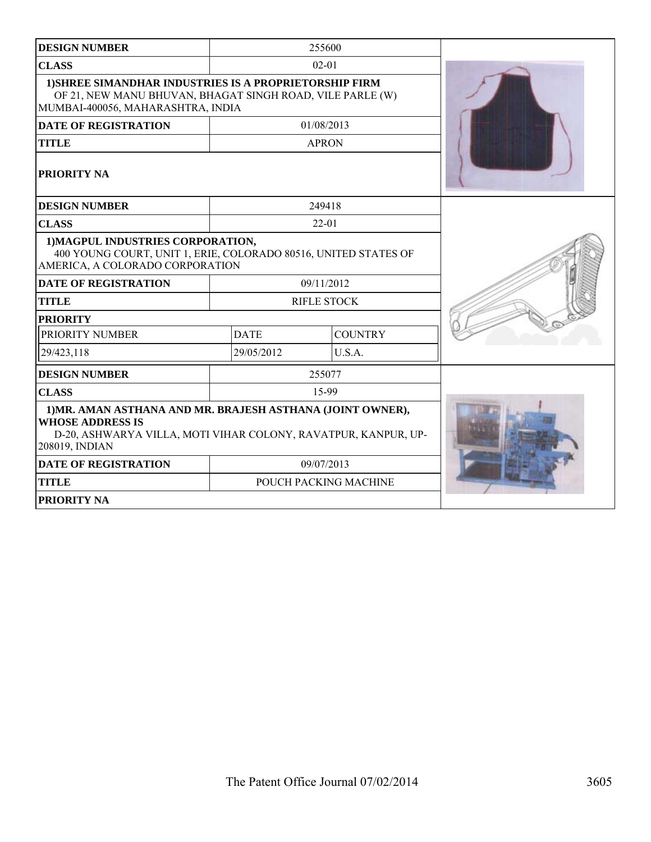| <b>DESIGN NUMBER</b>                                                                                                                                                      |             | 255600                |  |
|---------------------------------------------------------------------------------------------------------------------------------------------------------------------------|-------------|-----------------------|--|
| <b>CLASS</b>                                                                                                                                                              |             | $02 - 01$             |  |
| 1) SHREE SIMANDHAR INDUSTRIES IS A PROPRIETORSHIP FIRM<br>OF 21, NEW MANU BHUVAN, BHAGAT SINGH ROAD, VILE PARLE (W)<br>MUMBAI-400056, MAHARASHTRA, INDIA                  |             |                       |  |
| <b>DATE OF REGISTRATION</b>                                                                                                                                               |             | 01/08/2013            |  |
| <b>TITLE</b>                                                                                                                                                              |             | <b>APRON</b>          |  |
| PRIORITY NA                                                                                                                                                               |             |                       |  |
| <b>DESIGN NUMBER</b>                                                                                                                                                      |             | 249418                |  |
| <b>CLASS</b>                                                                                                                                                              |             | $22 - 01$             |  |
| 1) MAGPUL INDUSTRIES CORPORATION,<br>400 YOUNG COURT, UNIT 1, ERIE, COLORADO 80516, UNITED STATES OF<br>AMERICA, A COLORADO CORPORATION                                   |             |                       |  |
| <b>DATE OF REGISTRATION</b>                                                                                                                                               |             | 09/11/2012            |  |
| <b>TITLE</b>                                                                                                                                                              |             | <b>RIFLE STOCK</b>    |  |
| <b>PRIORITY</b>                                                                                                                                                           |             |                       |  |
| PRIORITY NUMBER                                                                                                                                                           | <b>DATE</b> | <b>COUNTRY</b>        |  |
| 29/423,118                                                                                                                                                                | 29/05/2012  | U.S.A.                |  |
| <b>DESIGN NUMBER</b>                                                                                                                                                      |             | 255077                |  |
| <b>CLASS</b>                                                                                                                                                              |             | 15-99                 |  |
| 1) MR. AMAN ASTHANA AND MR. BRAJESH ASTHANA (JOINT OWNER),<br><b>WHOSE ADDRESS IS</b><br>D-20, ASHWARYA VILLA, MOTI VIHAR COLONY, RAVATPUR, KANPUR, UP-<br>208019, INDIAN |             |                       |  |
| <b>DATE OF REGISTRATION</b>                                                                                                                                               |             | 09/07/2013            |  |
| <b>TITLE</b>                                                                                                                                                              |             | POUCH PACKING MACHINE |  |
| PRIORITY NA                                                                                                                                                               |             |                       |  |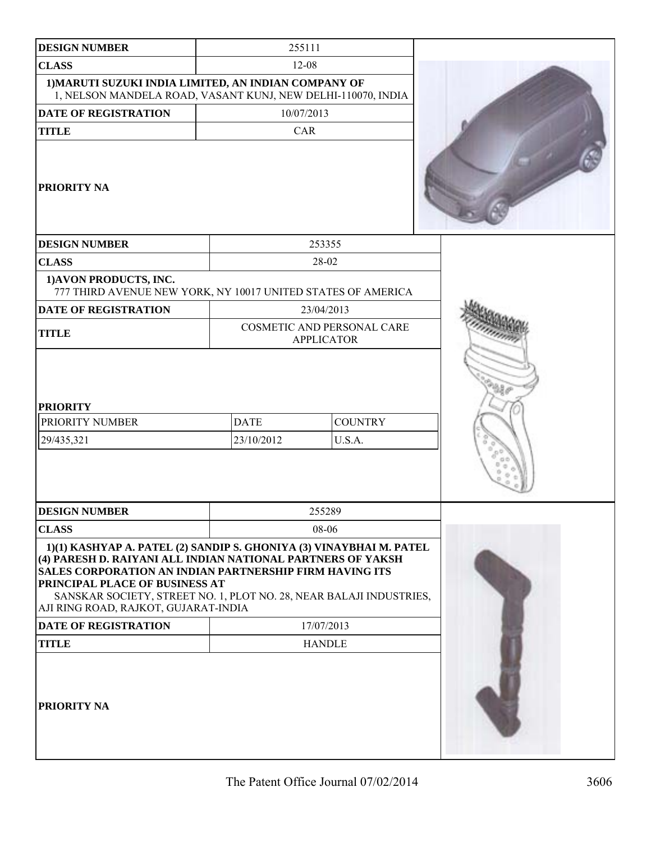| <b>DESIGN NUMBER</b>                                                                                                                                                                                                                                                                                                                                  | 255111                                          |                          |  |
|-------------------------------------------------------------------------------------------------------------------------------------------------------------------------------------------------------------------------------------------------------------------------------------------------------------------------------------------------------|-------------------------------------------------|--------------------------|--|
| <b>CLASS</b>                                                                                                                                                                                                                                                                                                                                          | $12 - 08$                                       |                          |  |
| 1) MARUTI SUZUKI INDIA LIMITED, AN INDIAN COMPANY OF<br>1, NELSON MANDELA ROAD, VASANT KUNJ, NEW DELHI-110070, INDIA                                                                                                                                                                                                                                  |                                                 |                          |  |
| <b>DATE OF REGISTRATION</b>                                                                                                                                                                                                                                                                                                                           | 10/07/2013                                      |                          |  |
| <b>TITLE</b>                                                                                                                                                                                                                                                                                                                                          | CAR                                             |                          |  |
| <b>PRIORITY NA</b>                                                                                                                                                                                                                                                                                                                                    |                                                 |                          |  |
| <b>DESIGN NUMBER</b>                                                                                                                                                                                                                                                                                                                                  | 253355                                          |                          |  |
| <b>CLASS</b>                                                                                                                                                                                                                                                                                                                                          | 28-02                                           |                          |  |
| 1) AVON PRODUCTS, INC.<br>777 THIRD AVENUE NEW YORK, NY 10017 UNITED STATES OF AMERICA                                                                                                                                                                                                                                                                |                                                 |                          |  |
| <b>DATE OF REGISTRATION</b>                                                                                                                                                                                                                                                                                                                           | 23/04/2013                                      |                          |  |
| <b>TITLE</b>                                                                                                                                                                                                                                                                                                                                          | COSMETIC AND PERSONAL CARE<br><b>APPLICATOR</b> |                          |  |
| PRIORITY NUMBER<br>29/435,321                                                                                                                                                                                                                                                                                                                         | <b>DATE</b><br>23/10/2012                       | <b>COUNTRY</b><br>U.S.A. |  |
| <b>DESIGN NUMBER</b>                                                                                                                                                                                                                                                                                                                                  | 255289                                          |                          |  |
| <b>CLASS</b>                                                                                                                                                                                                                                                                                                                                          | 08-06                                           |                          |  |
| 1)(1) KASHYAP A. PATEL (2) SANDIP S. GHONIYA (3) VINAYBHAI M. PATEL<br>(4) PARESH D. RAIYANI ALL INDIAN NATIONAL PARTNERS OF YAKSH<br><b>SALES CORPORATION AN INDIAN PARTNERSHIP FIRM HAVING ITS</b><br>PRINCIPAL PLACE OF BUSINESS AT<br>SANSKAR SOCIETY, STREET NO. 1, PLOT NO. 28, NEAR BALAJI INDUSTRIES,<br>AJI RING ROAD, RAJKOT, GUJARAT-INDIA |                                                 |                          |  |
| <b>DATE OF REGISTRATION</b>                                                                                                                                                                                                                                                                                                                           | 17/07/2013                                      |                          |  |
| <b>TITLE</b>                                                                                                                                                                                                                                                                                                                                          | <b>HANDLE</b>                                   |                          |  |
| <b>PRIORITY NA</b>                                                                                                                                                                                                                                                                                                                                    |                                                 |                          |  |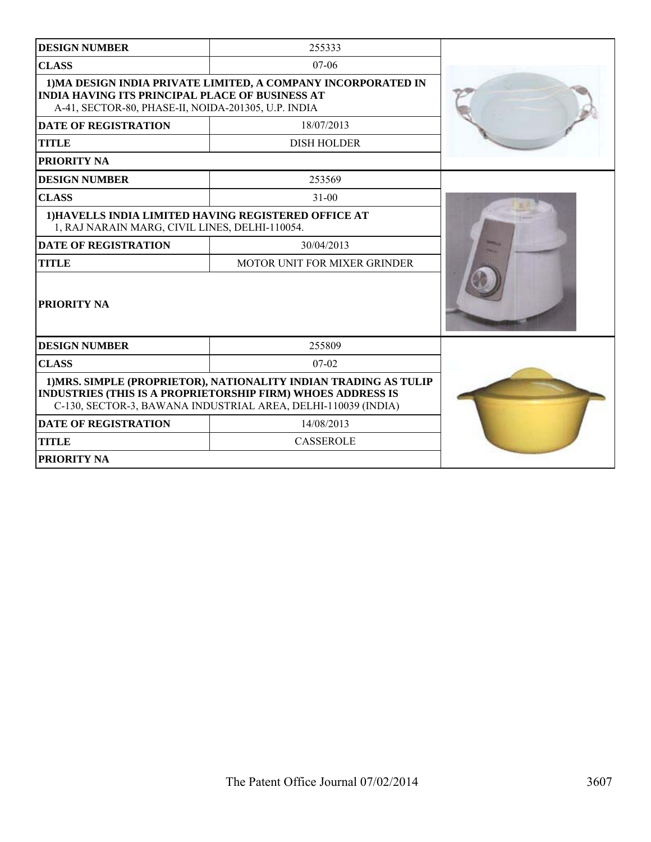| <b>DESIGN NUMBER</b>                                                                                                                                                                             | 255333                       |  |  |  |
|--------------------------------------------------------------------------------------------------------------------------------------------------------------------------------------------------|------------------------------|--|--|--|
| <b>CLASS</b>                                                                                                                                                                                     | $07-06$                      |  |  |  |
| 1) MA DESIGN INDIA PRIVATE LIMITED, A COMPANY INCORPORATED IN<br><b>INDIA HAVING ITS PRINCIPAL PLACE OF BUSINESS AT</b><br>A-41, SECTOR-80, PHASE-II, NOIDA-201305, U.P. INDIA                   |                              |  |  |  |
| <b>DATE OF REGISTRATION</b>                                                                                                                                                                      | 18/07/2013                   |  |  |  |
| <b>TITLE</b>                                                                                                                                                                                     | <b>DISH HOLDER</b>           |  |  |  |
| PRIORITY NA                                                                                                                                                                                      |                              |  |  |  |
| <b>DESIGN NUMBER</b>                                                                                                                                                                             | 253569                       |  |  |  |
| <b>CLASS</b>                                                                                                                                                                                     | $31 - 00$                    |  |  |  |
| 1) HAVELLS INDIA LIMITED HAVING REGISTERED OFFICE AT<br>1, RAJ NARAIN MARG, CIVIL LINES, DELHI-110054.                                                                                           |                              |  |  |  |
| <b>DATE OF REGISTRATION</b>                                                                                                                                                                      | 30/04/2013                   |  |  |  |
| <b>TITLE</b>                                                                                                                                                                                     | MOTOR UNIT FOR MIXER GRINDER |  |  |  |
| <b>PRIORITY NA</b>                                                                                                                                                                               |                              |  |  |  |
| <b>DESIGN NUMBER</b>                                                                                                                                                                             | 255809                       |  |  |  |
| <b>CLASS</b>                                                                                                                                                                                     | $07-02$                      |  |  |  |
| 1) MRS. SIMPLE (PROPRIETOR), NATIONALITY INDIAN TRADING AS TULIP<br>INDUSTRIES (THIS IS A PROPRIETORSHIP FIRM) WHOES ADDRESS IS<br>C-130, SECTOR-3, BAWANA INDUSTRIAL AREA, DELHI-110039 (INDIA) |                              |  |  |  |
| <b>DATE OF REGISTRATION</b>                                                                                                                                                                      | 14/08/2013                   |  |  |  |
| <b>TITLE</b>                                                                                                                                                                                     | <b>CASSEROLE</b>             |  |  |  |
| PRIORITY NA                                                                                                                                                                                      |                              |  |  |  |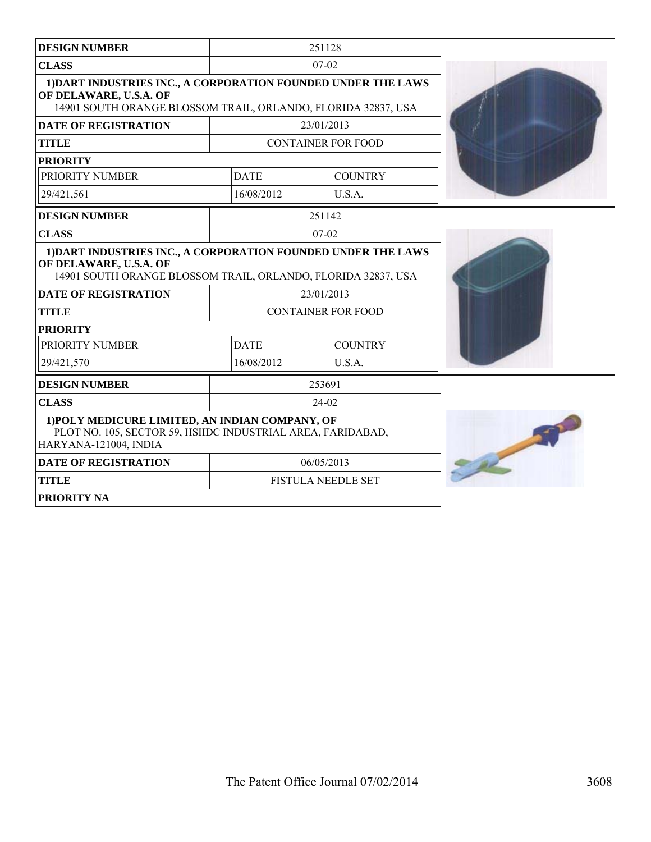| <b>DESIGN NUMBER</b>                                                                                                                                     |             | 251128                    |  |
|----------------------------------------------------------------------------------------------------------------------------------------------------------|-------------|---------------------------|--|
| <b>CLASS</b>                                                                                                                                             |             | $07-02$                   |  |
| 1) DART INDUSTRIES INC., A CORPORATION FOUNDED UNDER THE LAWS<br>OF DELAWARE, U.S.A. OF<br>14901 SOUTH ORANGE BLOSSOM TRAIL, ORLANDO, FLORIDA 32837, USA |             |                           |  |
| <b>DATE OF REGISTRATION</b>                                                                                                                              |             | 23/01/2013                |  |
| <b>TITLE</b>                                                                                                                                             |             | <b>CONTAINER FOR FOOD</b> |  |
| <b>PRIORITY</b>                                                                                                                                          |             |                           |  |
| PRIORITY NUMBER                                                                                                                                          | <b>DATE</b> | <b>COUNTRY</b>            |  |
| 29/421,561                                                                                                                                               | 16/08/2012  | U.S.A.                    |  |
| <b>DESIGN NUMBER</b>                                                                                                                                     |             | 251142                    |  |
| <b>CLASS</b>                                                                                                                                             |             | $07 - 02$                 |  |
| 1) DART INDUSTRIES INC., A CORPORATION FOUNDED UNDER THE LAWS<br>OF DELAWARE, U.S.A. OF<br>14901 SOUTH ORANGE BLOSSOM TRAIL, ORLANDO, FLORIDA 32837, USA |             |                           |  |
| <b>DATE OF REGISTRATION</b>                                                                                                                              |             | 23/01/2013                |  |
| <b>TITLE</b>                                                                                                                                             |             | <b>CONTAINER FOR FOOD</b> |  |
| <b>PRIORITY</b>                                                                                                                                          |             |                           |  |
| PRIORITY NUMBER                                                                                                                                          | <b>DATE</b> | <b>COUNTRY</b>            |  |
| 29/421,570                                                                                                                                               | 16/08/2012  | U.S.A.                    |  |
| <b>DESIGN NUMBER</b>                                                                                                                                     |             | 253691                    |  |
| <b>CLASS</b>                                                                                                                                             |             | $24-02$                   |  |
| 1) POLY MEDICURE LIMITED, AN INDIAN COMPANY, OF<br>PLOT NO. 105, SECTOR 59, HSIIDC INDUSTRIAL AREA, FARIDABAD,<br>HARYANA-121004, INDIA                  |             |                           |  |
| <b>DATE OF REGISTRATION</b>                                                                                                                              | 06/05/2013  |                           |  |
| <b>TITLE</b>                                                                                                                                             |             | <b>FISTULA NEEDLE SET</b> |  |
| <b>PRIORITY NA</b>                                                                                                                                       |             |                           |  |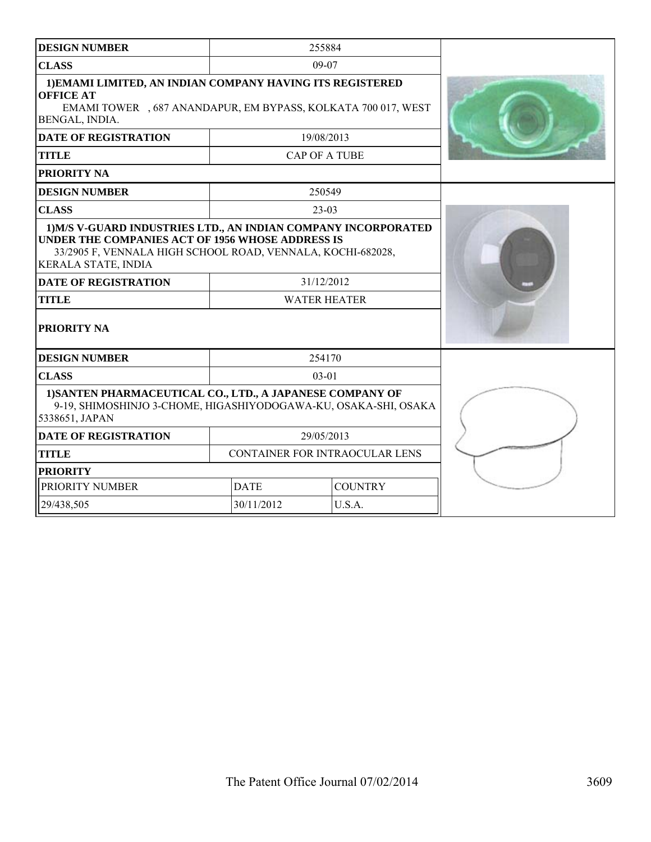| <b>DESIGN NUMBER</b>                                                                                                                                                                                            |                     | 255884                         |  |
|-----------------------------------------------------------------------------------------------------------------------------------------------------------------------------------------------------------------|---------------------|--------------------------------|--|
| <b>CLASS</b>                                                                                                                                                                                                    |                     | 09-07                          |  |
| 1) EMAMI LIMITED, AN INDIAN COMPANY HAVING ITS REGISTERED<br><b>OFFICE AT</b><br>EMAMI TOWER , 687 ANANDAPUR, EM BYPASS, KOLKATA 700 017, WEST<br>BENGAL, INDIA.                                                |                     |                                |  |
| <b>DATE OF REGISTRATION</b>                                                                                                                                                                                     |                     | 19/08/2013                     |  |
| <b>TITLE</b>                                                                                                                                                                                                    |                     | <b>CAP OF A TUBE</b>           |  |
| PRIORITY NA                                                                                                                                                                                                     |                     |                                |  |
| <b>DESIGN NUMBER</b>                                                                                                                                                                                            |                     | 250549                         |  |
| <b>CLASS</b>                                                                                                                                                                                                    |                     | $23-03$                        |  |
| 1) M/S V-GUARD INDUSTRIES LTD., AN INDIAN COMPANY INCORPORATED<br>UNDER THE COMPANIES ACT OF 1956 WHOSE ADDRESS IS<br>33/2905 F, VENNALA HIGH SCHOOL ROAD, VENNALA, KOCHI-682028,<br><b>KERALA STATE, INDIA</b> |                     |                                |  |
| <b>DATE OF REGISTRATION</b>                                                                                                                                                                                     |                     | 31/12/2012                     |  |
| <b>TITLE</b>                                                                                                                                                                                                    | <b>WATER HEATER</b> |                                |  |
| PRIORITY NA                                                                                                                                                                                                     |                     |                                |  |
| <b>DESIGN NUMBER</b>                                                                                                                                                                                            |                     | 254170                         |  |
| <b>CLASS</b>                                                                                                                                                                                                    |                     | $03-01$                        |  |
| 1) SANTEN PHARMACEUTICAL CO., LTD., A JAPANESE COMPANY OF<br>9-19, SHIMOSHINJO 3-CHOME, HIGASHIYODOGAWA-KU, OSAKA-SHI, OSAKA<br>5338651, JAPAN                                                                  |                     |                                |  |
| <b>DATE OF REGISTRATION</b>                                                                                                                                                                                     |                     | 29/05/2013                     |  |
| <b>TITLE</b>                                                                                                                                                                                                    |                     | CONTAINER FOR INTRAOCULAR LENS |  |
| <b>PRIORITY</b>                                                                                                                                                                                                 |                     |                                |  |
| PRIORITY NUMBER                                                                                                                                                                                                 | <b>DATE</b>         | <b>COUNTRY</b>                 |  |
| 29/438,505                                                                                                                                                                                                      | 30/11/2012          | U.S.A.                         |  |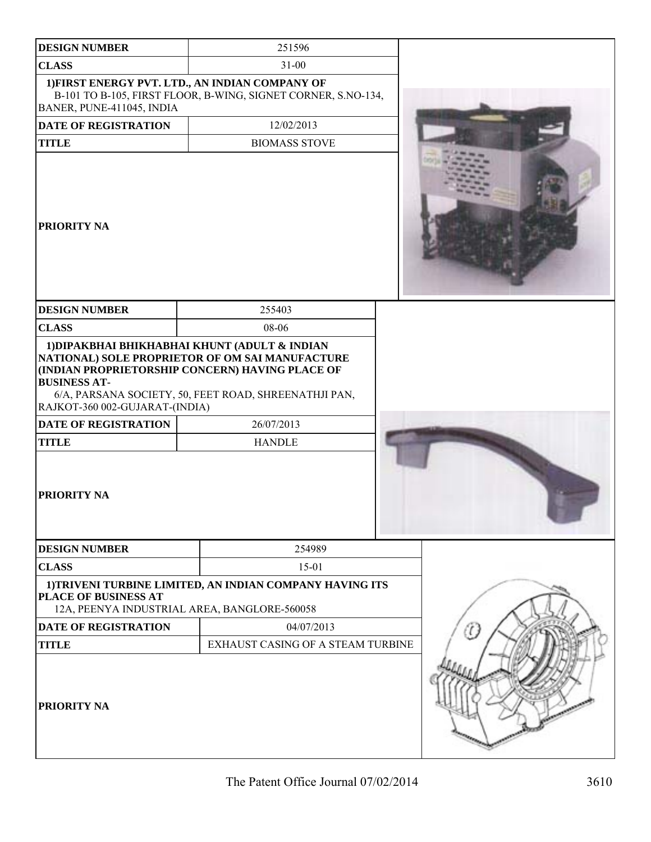| <b>DESIGN NUMBER</b>                                                                                 | 251596                                                                                                                                                                                                                                      |  |
|------------------------------------------------------------------------------------------------------|---------------------------------------------------------------------------------------------------------------------------------------------------------------------------------------------------------------------------------------------|--|
| <b>CLASS</b>                                                                                         | $31 - 00$                                                                                                                                                                                                                                   |  |
| BANER, PUNE-411045, INDIA                                                                            | 1) FIRST ENERGY PVT. LTD., AN INDIAN COMPANY OF<br>B-101 TO B-105, FIRST FLOOR, B-WING, SIGNET CORNER, S.NO-134,                                                                                                                            |  |
| DATE OF REGISTRATION                                                                                 | 12/02/2013                                                                                                                                                                                                                                  |  |
| <b>TITLE</b>                                                                                         | <b>BIOMASS STOVE</b>                                                                                                                                                                                                                        |  |
| <b>PRIORITY NA</b>                                                                                   |                                                                                                                                                                                                                                             |  |
| <b>DESIGN NUMBER</b>                                                                                 | 255403                                                                                                                                                                                                                                      |  |
| <b>CLASS</b>                                                                                         | 08-06                                                                                                                                                                                                                                       |  |
| <b>BUSINESS AT-</b><br>RAJKOT-360 002-GUJARAT-(INDIA)<br><b>DATE OF REGISTRATION</b><br><b>TITLE</b> | 1) DIPAKBHAI BHIKHABHAI KHUNT (ADULT & INDIAN<br>NATIONAL) SOLE PROPRIETOR OF OM SAI MANUFACTURE<br>(INDIAN PROPRIETORSHIP CONCERN) HAVING PLACE OF<br>6/A, PARSANA SOCIETY, 50, FEET ROAD, SHREENATHJI PAN,<br>26/07/2013<br><b>HANDLE</b> |  |
| <b>PRIORITY NA</b>                                                                                   |                                                                                                                                                                                                                                             |  |
| <b>DESIGN NUMBER</b>                                                                                 | 254989                                                                                                                                                                                                                                      |  |
| <b>CLASS</b>                                                                                         | $15 - 01$                                                                                                                                                                                                                                   |  |
| PLACE OF BUSINESS AT                                                                                 | 1) TRIVENI TURBINE LIMITED, AN INDIAN COMPANY HAVING ITS<br>12A, PEENYA INDUSTRIAL AREA, BANGLORE-560058                                                                                                                                    |  |
| <b>DATE OF REGISTRATION</b>                                                                          | 04/07/2013                                                                                                                                                                                                                                  |  |
| <b>TITLE</b>                                                                                         | EXHAUST CASING OF A STEAM TURBINE                                                                                                                                                                                                           |  |
| <b>PRIORITY NA</b>                                                                                   |                                                                                                                                                                                                                                             |  |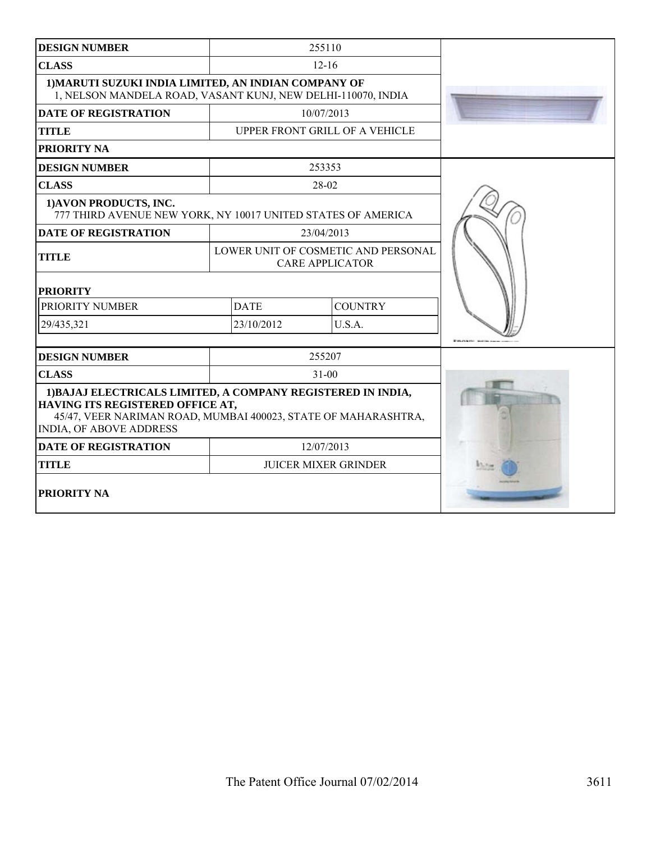| <b>DESIGN NUMBER</b>                                                                                                                                                                                 |            | 255110                                                        |  |
|------------------------------------------------------------------------------------------------------------------------------------------------------------------------------------------------------|------------|---------------------------------------------------------------|--|
| <b>CLASS</b>                                                                                                                                                                                         |            | $12 - 16$                                                     |  |
| 1) MARUTI SUZUKI INDIA LIMITED, AN INDIAN COMPANY OF<br>1, NELSON MANDELA ROAD, VASANT KUNJ, NEW DELHI-110070, INDIA                                                                                 |            |                                                               |  |
| <b>DATE OF REGISTRATION</b>                                                                                                                                                                          |            | 10/07/2013                                                    |  |
| <b>TITLE</b>                                                                                                                                                                                         |            | UPPER FRONT GRILL OF A VEHICLE                                |  |
| PRIORITY NA                                                                                                                                                                                          |            |                                                               |  |
| <b>DESIGN NUMBER</b>                                                                                                                                                                                 |            | 253353                                                        |  |
| <b>CLASS</b>                                                                                                                                                                                         |            | 28-02                                                         |  |
| 1) AVON PRODUCTS, INC.<br>777 THIRD AVENUE NEW YORK, NY 10017 UNITED STATES OF AMERICA                                                                                                               |            |                                                               |  |
| <b>DATE OF REGISTRATION</b>                                                                                                                                                                          |            | 23/04/2013                                                    |  |
| <b>TITLE</b>                                                                                                                                                                                         |            | LOWER UNIT OF COSMETIC AND PERSONAL<br><b>CARE APPLICATOR</b> |  |
| <b>PRIORITY</b>                                                                                                                                                                                      |            |                                                               |  |
| PRIORITY NUMBER<br><b>DATE</b>                                                                                                                                                                       |            | <b>COUNTRY</b>                                                |  |
| 29/435,321                                                                                                                                                                                           | 23/10/2012 | U.S.A.                                                        |  |
| <b>DESIGN NUMBER</b>                                                                                                                                                                                 |            | 255207                                                        |  |
| <b>CLASS</b>                                                                                                                                                                                         |            | $31 - 00$                                                     |  |
| 1) BAJAJ ELECTRICALS LIMITED, A COMPANY REGISTERED IN INDIA,<br>HAVING ITS REGISTERED OFFICE AT,<br>45/47, VEER NARIMAN ROAD, MUMBAI 400023, STATE OF MAHARASHTRA,<br><b>INDIA, OF ABOVE ADDRESS</b> |            |                                                               |  |
| <b>DATE OF REGISTRATION</b>                                                                                                                                                                          |            | 12/07/2013                                                    |  |
| <b>TITLE</b>                                                                                                                                                                                         |            | <b>JUICER MIXER GRINDER</b>                                   |  |
| PRIORITY NA                                                                                                                                                                                          |            |                                                               |  |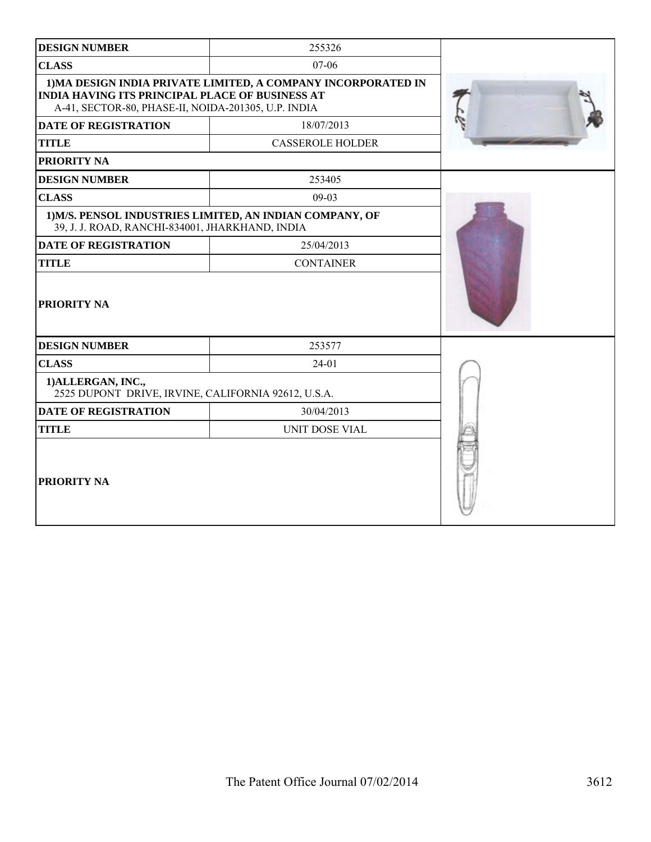| <b>DESIGN NUMBER</b>                                                                                   | 255326                                                        |  |
|--------------------------------------------------------------------------------------------------------|---------------------------------------------------------------|--|
| <b>CLASS</b>                                                                                           | 07-06                                                         |  |
| INDIA HAVING ITS PRINCIPAL PLACE OF BUSINESS AT<br>A-41, SECTOR-80, PHASE-II, NOIDA-201305, U.P. INDIA | 1) MA DESIGN INDIA PRIVATE LIMITED, A COMPANY INCORPORATED IN |  |
| <b>DATE OF REGISTRATION</b>                                                                            | 18/07/2013                                                    |  |
| <b>TITLE</b>                                                                                           | <b>CASSEROLE HOLDER</b>                                       |  |
| PRIORITY NA                                                                                            |                                                               |  |
| <b>DESIGN NUMBER</b>                                                                                   | 253405                                                        |  |
| <b>CLASS</b>                                                                                           | $09-03$                                                       |  |
| 39, J. J. ROAD, RANCHI-834001, JHARKHAND, INDIA                                                        | 1) M/S. PENSOL INDUSTRIES LIMITED, AN INDIAN COMPANY, OF      |  |
| <b>DATE OF REGISTRATION</b>                                                                            | 25/04/2013                                                    |  |
| <b>TITLE</b>                                                                                           | <b>CONTAINER</b>                                              |  |
| PRIORITY NA                                                                                            |                                                               |  |
| <b>DESIGN NUMBER</b>                                                                                   | 253577                                                        |  |
| <b>CLASS</b>                                                                                           | $24 - 01$                                                     |  |
| 1) ALLERGAN, INC.,<br>2525 DUPONT DRIVE, IRVINE, CALIFORNIA 92612, U.S.A.                              |                                                               |  |
| <b>DATE OF REGISTRATION</b>                                                                            | 30/04/2013                                                    |  |
| <b>TITLE</b>                                                                                           | UNIT DOSE VIAL                                                |  |
| PRIORITY NA                                                                                            |                                                               |  |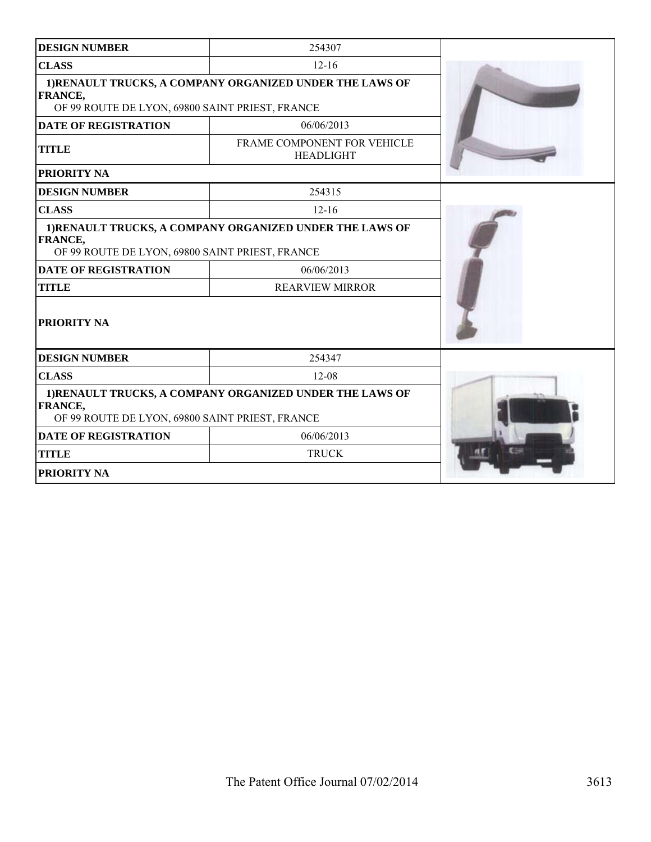| <b>DESIGN NUMBER</b>                                                                                                          | 254307                                          |  |
|-------------------------------------------------------------------------------------------------------------------------------|-------------------------------------------------|--|
| <b>CLASS</b>                                                                                                                  | $12 - 16$                                       |  |
| 1) RENAULT TRUCKS, A COMPANY ORGANIZED UNDER THE LAWS OF<br>FRANCE,<br>OF 99 ROUTE DE LYON, 69800 SAINT PRIEST, FRANCE        |                                                 |  |
| <b>DATE OF REGISTRATION</b>                                                                                                   | 06/06/2013                                      |  |
| <b>TITLE</b>                                                                                                                  | FRAME COMPONENT FOR VEHICLE<br><b>HEADLIGHT</b> |  |
| <b>PRIORITY NA</b>                                                                                                            |                                                 |  |
| <b>DESIGN NUMBER</b>                                                                                                          | 254315                                          |  |
| <b>CLASS</b>                                                                                                                  | $12 - 16$                                       |  |
| 1)RENAULT TRUCKS, A COMPANY ORGANIZED UNDER THE LAWS OF<br>FRANCE,<br>OF 99 ROUTE DE LYON, 69800 SAINT PRIEST, FRANCE         |                                                 |  |
| <b>DATE OF REGISTRATION</b>                                                                                                   | 06/06/2013                                      |  |
| <b>TITLE</b>                                                                                                                  | <b>REARVIEW MIRROR</b>                          |  |
| PRIORITY NA                                                                                                                   |                                                 |  |
| <b>DESIGN NUMBER</b>                                                                                                          | 254347                                          |  |
| <b>CLASS</b>                                                                                                                  | $12 - 08$                                       |  |
| 1) RENAULT TRUCKS, A COMPANY ORGANIZED UNDER THE LAWS OF<br><b>FRANCE,</b><br>OF 99 ROUTE DE LYON, 69800 SAINT PRIEST, FRANCE |                                                 |  |
| <b>DATE OF REGISTRATION</b>                                                                                                   | 06/06/2013                                      |  |
| <b>TITLE</b>                                                                                                                  | <b>TRUCK</b>                                    |  |
| PRIORITY NA                                                                                                                   |                                                 |  |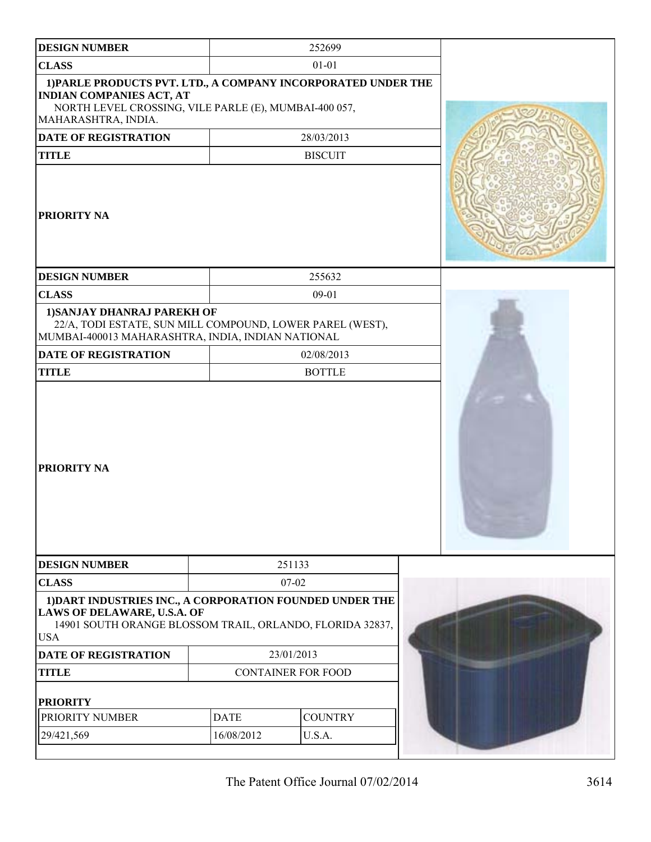| <b>DESIGN NUMBER</b>                                                                                                                                                             |                           | 252699         |  |
|----------------------------------------------------------------------------------------------------------------------------------------------------------------------------------|---------------------------|----------------|--|
| <b>CLASS</b>                                                                                                                                                                     |                           | $01 - 01$      |  |
| 1) PARLE PRODUCTS PVT. LTD., A COMPANY INCORPORATED UNDER THE<br><b>INDIAN COMPANIES ACT, AT</b><br>NORTH LEVEL CROSSING, VILE PARLE (E), MUMBAI-400 057,<br>MAHARASHTRA, INDIA. |                           |                |  |
| DATE OF REGISTRATION                                                                                                                                                             |                           | 28/03/2013     |  |
| <b>TITLE</b>                                                                                                                                                                     |                           | <b>BISCUIT</b> |  |
| <b>PRIORITY NA</b>                                                                                                                                                               |                           |                |  |
| <b>DESIGN NUMBER</b>                                                                                                                                                             |                           | 255632         |  |
| <b>CLASS</b>                                                                                                                                                                     |                           | $09 - 01$      |  |
| 1) SANJAY DHANRAJ PAREKH OF<br>22/A, TODI ESTATE, SUN MILL COMPOUND, LOWER PAREL (WEST),<br>MUMBAI-400013 MAHARASHTRA, INDIA, INDIAN NATIONAL                                    |                           |                |  |
| DATE OF REGISTRATION                                                                                                                                                             |                           | 02/08/2013     |  |
| <b>TITLE</b>                                                                                                                                                                     |                           | <b>BOTTLE</b>  |  |
| PRIORITY NA                                                                                                                                                                      |                           |                |  |
| <b>DESIGN NUMBER</b>                                                                                                                                                             |                           | 251133         |  |
| <b>CLASS</b>                                                                                                                                                                     |                           | $07 - 02$      |  |
| 1) DART INDUSTRIES INC., A CORPORATION FOUNDED UNDER THE<br><b>LAWS OF DELAWARE, U.S.A. OF</b><br>14901 SOUTH ORANGE BLOSSOM TRAIL, ORLANDO, FLORIDA 32837,<br><b>USA</b>        |                           |                |  |
| <b>DATE OF REGISTRATION</b>                                                                                                                                                      | 23/01/2013                |                |  |
| <b>TITLE</b>                                                                                                                                                                     | <b>CONTAINER FOR FOOD</b> |                |  |
| <b>PRIORITY</b>                                                                                                                                                                  |                           |                |  |
| PRIORITY NUMBER                                                                                                                                                                  | <b>DATE</b>               | <b>COUNTRY</b> |  |
| 29/421,569                                                                                                                                                                       | 16/08/2012                | U.S.A.         |  |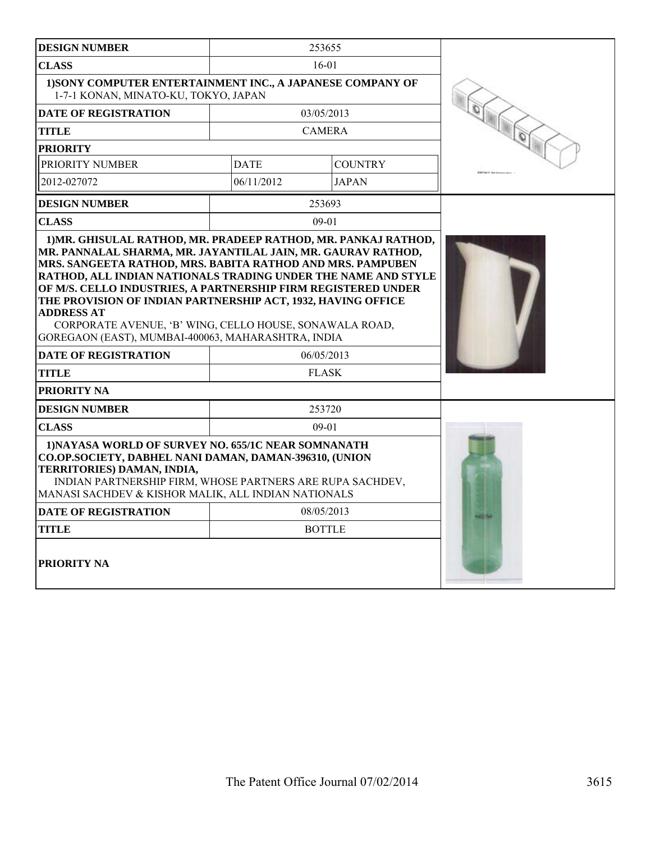| <b>DESIGN NUMBER</b>                                                                                                                                                                                                                                                                                                                                                                                                                                               |             | 253655         |  |
|--------------------------------------------------------------------------------------------------------------------------------------------------------------------------------------------------------------------------------------------------------------------------------------------------------------------------------------------------------------------------------------------------------------------------------------------------------------------|-------------|----------------|--|
| <b>CLASS</b>                                                                                                                                                                                                                                                                                                                                                                                                                                                       |             | $16-01$        |  |
| 1) SONY COMPUTER ENTERTAINMENT INC., A JAPANESE COMPANY OF<br>1-7-1 KONAN, MINATO-KU, TOKYO, JAPAN                                                                                                                                                                                                                                                                                                                                                                 |             |                |  |
| <b>DATE OF REGISTRATION</b>                                                                                                                                                                                                                                                                                                                                                                                                                                        |             | 03/05/2013     |  |
| <b>TITLE</b>                                                                                                                                                                                                                                                                                                                                                                                                                                                       |             | <b>CAMERA</b>  |  |
| <b>PRIORITY</b>                                                                                                                                                                                                                                                                                                                                                                                                                                                    |             |                |  |
| PRIORITY NUMBER                                                                                                                                                                                                                                                                                                                                                                                                                                                    | <b>DATE</b> | <b>COUNTRY</b> |  |
| 2012-027072                                                                                                                                                                                                                                                                                                                                                                                                                                                        | 06/11/2012  | <b>JAPAN</b>   |  |
| <b>DESIGN NUMBER</b>                                                                                                                                                                                                                                                                                                                                                                                                                                               |             | 253693         |  |
| <b>CLASS</b>                                                                                                                                                                                                                                                                                                                                                                                                                                                       |             | $09-01$        |  |
| MR. PANNALAL SHARMA, MR. JAYANTILAL JAIN, MR. GAURAV RATHOD,<br>MRS. SANGEETA RATHOD, MRS. BABITA RATHOD AND MRS. PAMPUBEN<br>RATHOD, ALL INDIAN NATIONALS TRADING UNDER THE NAME AND STYLE<br>OF M/S. CELLO INDUSTRIES, A PARTNERSHIP FIRM REGISTERED UNDER<br>THE PROVISION OF INDIAN PARTNERSHIP ACT, 1932, HAVING OFFICE<br><b>ADDRESS AT</b><br>CORPORATE AVENUE, 'B' WING, CELLO HOUSE, SONAWALA ROAD,<br>GOREGAON (EAST), MUMBAI-400063, MAHARASHTRA, INDIA |             |                |  |
| <b>DATE OF REGISTRATION</b>                                                                                                                                                                                                                                                                                                                                                                                                                                        |             | 06/05/2013     |  |
| <b>TITLE</b>                                                                                                                                                                                                                                                                                                                                                                                                                                                       |             | <b>FLASK</b>   |  |
| <b>PRIORITY NA</b>                                                                                                                                                                                                                                                                                                                                                                                                                                                 |             |                |  |
| <b>DESIGN NUMBER</b>                                                                                                                                                                                                                                                                                                                                                                                                                                               |             | 253720         |  |
| <b>CLASS</b>                                                                                                                                                                                                                                                                                                                                                                                                                                                       |             | $09-01$        |  |
| 1) NAYASA WORLD OF SURVEY NO. 655/1C NEAR SOMNANATH<br>CO.OP.SOCIETY, DABHEL NANI DAMAN, DAMAN-396310, (UNION<br>TERRITORIES) DAMAN, INDIA,<br>INDIAN PARTNERSHIP FIRM, WHOSE PARTNERS ARE RUPA SACHDEV,<br>MANASI SACHDEV & KISHOR MALIK, ALL INDIAN NATIONALS<br><b>DATE OF REGISTRATION</b><br><b>TITLE</b>                                                                                                                                                     |             |                |  |
| <b>PRIORITY NA</b>                                                                                                                                                                                                                                                                                                                                                                                                                                                 |             | <b>BOTTLE</b>  |  |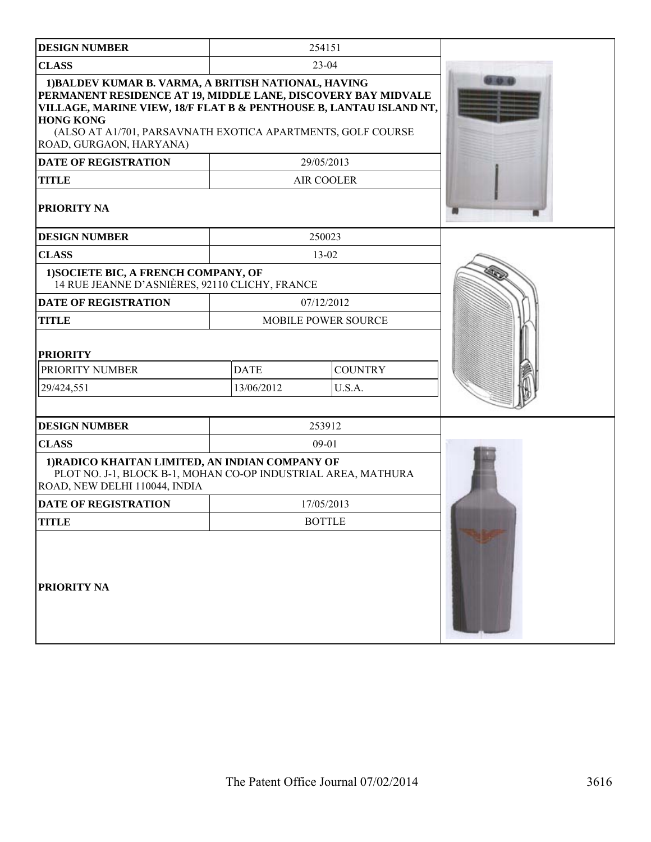| <b>DESIGN NUMBER</b>                                                                                                                                                             |                               | 254151                     |  |
|----------------------------------------------------------------------------------------------------------------------------------------------------------------------------------|-------------------------------|----------------------------|--|
| <b>CLASS</b>                                                                                                                                                                     |                               | $23-04$                    |  |
| 1) BALDEV KUMAR B. VARMA, A BRITISH NATIONAL, HAVING<br>PERMANENT RESIDENCE AT 19, MIDDLE LANE, DISCOVERY BAY MIDVALE                                                            |                               |                            |  |
| VILLAGE, MARINE VIEW, 18/F FLAT B & PENTHOUSE B, LANTAU ISLAND NT,<br><b>HONG KONG</b><br>(ALSO AT A1/701, PARSAVNATH EXOTICA APARTMENTS, GOLF COURSE<br>ROAD, GURGAON, HARYANA) |                               |                            |  |
| <b>DATE OF REGISTRATION</b>                                                                                                                                                      |                               | 29/05/2013                 |  |
| <b>TITLE</b>                                                                                                                                                                     |                               | AIR COOLER                 |  |
| PRIORITY NA                                                                                                                                                                      |                               |                            |  |
| <b>DESIGN NUMBER</b>                                                                                                                                                             |                               | 250023                     |  |
| <b>CLASS</b>                                                                                                                                                                     |                               | 13-02                      |  |
| 1) SOCIETE BIC, A FRENCH COMPANY, OF<br>14 RUE JEANNE D'ASNIÈRES, 92110 CLICHY, FRANCE                                                                                           |                               |                            |  |
| <b>DATE OF REGISTRATION</b>                                                                                                                                                      |                               | 07/12/2012                 |  |
| <b>TITLE</b>                                                                                                                                                                     |                               | <b>MOBILE POWER SOURCE</b> |  |
| <b>PRIORITY</b>                                                                                                                                                                  |                               |                            |  |
| PRIORITY NUMBER                                                                                                                                                                  | <b>DATE</b><br><b>COUNTRY</b> |                            |  |
| 29/424,551                                                                                                                                                                       | 13/06/2012                    | U.S.A.                     |  |
|                                                                                                                                                                                  |                               |                            |  |
| <b>DESIGN NUMBER</b>                                                                                                                                                             |                               | 253912                     |  |
| <b>CLASS</b>                                                                                                                                                                     |                               | $09 - 01$                  |  |
| 1) RADICO KHAITAN LIMITED, AN INDIAN COMPANY OF<br>PLOT NO. J-1, BLOCK B-1, MOHAN CO-OP INDUSTRIAL AREA, MATHURA<br>ROAD, NEW DELHI 110044, INDIA                                |                               |                            |  |
| <b>DATE OF REGISTRATION</b>                                                                                                                                                      |                               | 17/05/2013                 |  |
| <b>TITLE</b>                                                                                                                                                                     |                               | <b>BOTTLE</b>              |  |
| PRIORITY NA                                                                                                                                                                      |                               |                            |  |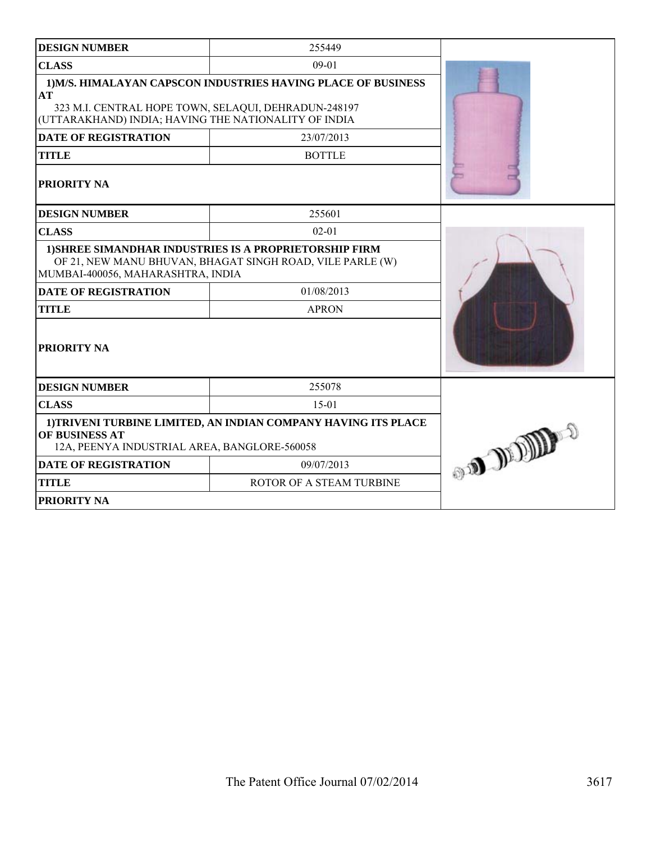| <b>DESIGN NUMBER</b>                                                                                                                                                                                               | 255449                      |  |
|--------------------------------------------------------------------------------------------------------------------------------------------------------------------------------------------------------------------|-----------------------------|--|
| <b>CLASS</b>                                                                                                                                                                                                       | $09 - 01$                   |  |
| 1) M/S. HIMALAYAN CAPSCON INDUSTRIES HAVING PLACE OF BUSINESS<br>AT<br>323 M.I. CENTRAL HOPE TOWN, SELAQUI, DEHRADUN-248197<br>(UTTARAKHAND) INDIA; HAVING THE NATIONALITY OF INDIA<br><b>DATE OF REGISTRATION</b> |                             |  |
| <b>TITLE</b>                                                                                                                                                                                                       | 23/07/2013<br><b>BOTTLE</b> |  |
| PRIORITY NA                                                                                                                                                                                                        |                             |  |
| <b>DESIGN NUMBER</b>                                                                                                                                                                                               | 255601                      |  |
| <b>CLASS</b>                                                                                                                                                                                                       | $02 - 01$                   |  |
| 1) SHREE SIMANDHAR INDUSTRIES IS A PROPRIETORSHIP FIRM<br>OF 21, NEW MANU BHUVAN, BHAGAT SINGH ROAD, VILE PARLE (W)<br>MUMBAI-400056, MAHARASHTRA, INDIA                                                           |                             |  |
| <b>DATE OF REGISTRATION</b>                                                                                                                                                                                        | 01/08/2013                  |  |
| <b>TITLE</b>                                                                                                                                                                                                       | <b>APRON</b>                |  |
| PRIORITY NA                                                                                                                                                                                                        |                             |  |
| <b>DESIGN NUMBER</b>                                                                                                                                                                                               | 255078                      |  |
| <b>CLASS</b>                                                                                                                                                                                                       | $15 - 01$                   |  |
| 1) TRIVENI TURBINE LIMITED, AN INDIAN COMPANY HAVING ITS PLACE<br>OF BUSINESS AT<br>12A, PEENYA INDUSTRIAL AREA, BANGLORE-560058                                                                                   | <b>CONTROL OF SHELBERG</b>  |  |
| <b>DATE OF REGISTRATION</b>                                                                                                                                                                                        | 09/07/2013                  |  |
| <b>TITLE</b>                                                                                                                                                                                                       | ROTOR OF A STEAM TURBINE    |  |
| PRIORITY NA                                                                                                                                                                                                        |                             |  |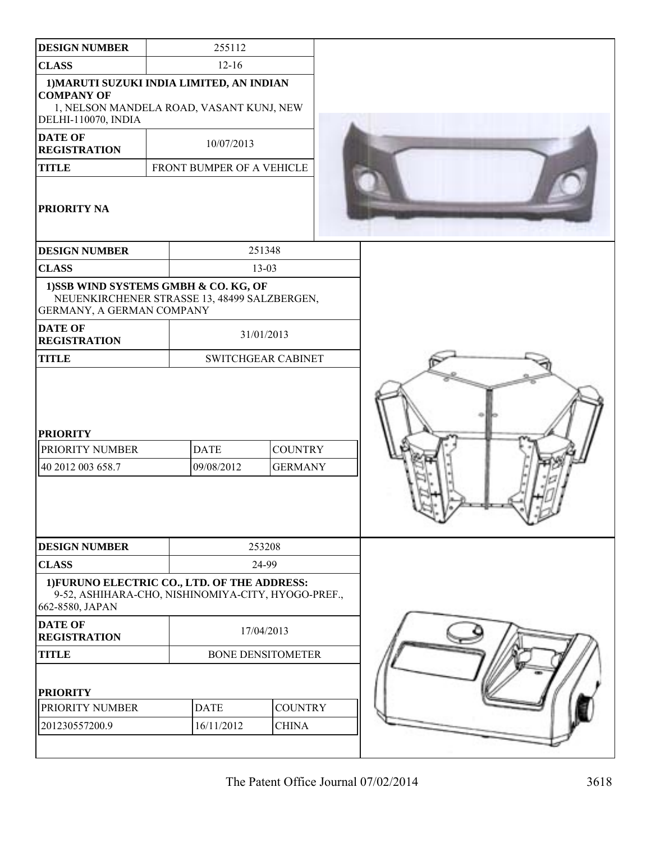| <b>DESIGN NUMBER</b>                                                                                                              | 255112                    |                                  |  |
|-----------------------------------------------------------------------------------------------------------------------------------|---------------------------|----------------------------------|--|
| <b>CLASS</b>                                                                                                                      | $12 - 16$                 |                                  |  |
| 1) MARUTI SUZUKI INDIA LIMITED, AN INDIAN<br><b>COMPANY OF</b><br>1, NELSON MANDELA ROAD, VASANT KUNJ, NEW<br>DELHI-110070, INDIA |                           |                                  |  |
| <b>DATE OF</b><br><b>REGISTRATION</b>                                                                                             | 10/07/2013                |                                  |  |
| <b>TITLE</b>                                                                                                                      | FRONT BUMPER OF A VEHICLE |                                  |  |
| PRIORITY NA                                                                                                                       |                           |                                  |  |
| <b>DESIGN NUMBER</b>                                                                                                              |                           | 251348                           |  |
| <b>CLASS</b>                                                                                                                      |                           | $13 - 03$                        |  |
| 1) SSB WIND SYSTEMS GMBH & CO. KG, OF<br>NEUENKIRCHENER STRASSE 13, 48499 SALZBERGEN,<br>GERMANY, A GERMAN COMPANY                |                           |                                  |  |
| <b>DATE OF</b><br><b>REGISTRATION</b>                                                                                             |                           | 31/01/2013                       |  |
| <b>TITLE</b>                                                                                                                      | <b>SWITCHGEAR CABINET</b> |                                  |  |
| <b>PRIORITY</b><br>PRIORITY NUMBER<br>40 2012 003 658.7                                                                           | <b>DATE</b><br>09/08/2012 | <b>COUNTRY</b><br><b>GERMANY</b> |  |
| <b>DESIGN NUMBER</b>                                                                                                              |                           | 253208                           |  |
| <b>CLASS</b>                                                                                                                      |                           | 24-99                            |  |
| 1) FURUNO ELECTRIC CO., LTD. OF THE ADDRESS:<br>9-52, ASHIHARA-CHO, NISHINOMIYA-CITY, HYOGO-PREF.,<br>662-8580, JAPAN             |                           |                                  |  |
| <b>DATE OF</b><br><b>REGISTRATION</b>                                                                                             |                           | 17/04/2013                       |  |
| <b>TITLE</b>                                                                                                                      |                           | <b>BONE DENSITOMETER</b>         |  |
| <b>PRIORITY</b><br>PRIORITY NUMBER                                                                                                | <b>DATE</b>               | <b>COUNTRY</b>                   |  |
|                                                                                                                                   |                           |                                  |  |
| 201230557200.9                                                                                                                    | 16/11/2012                | <b>CHINA</b>                     |  |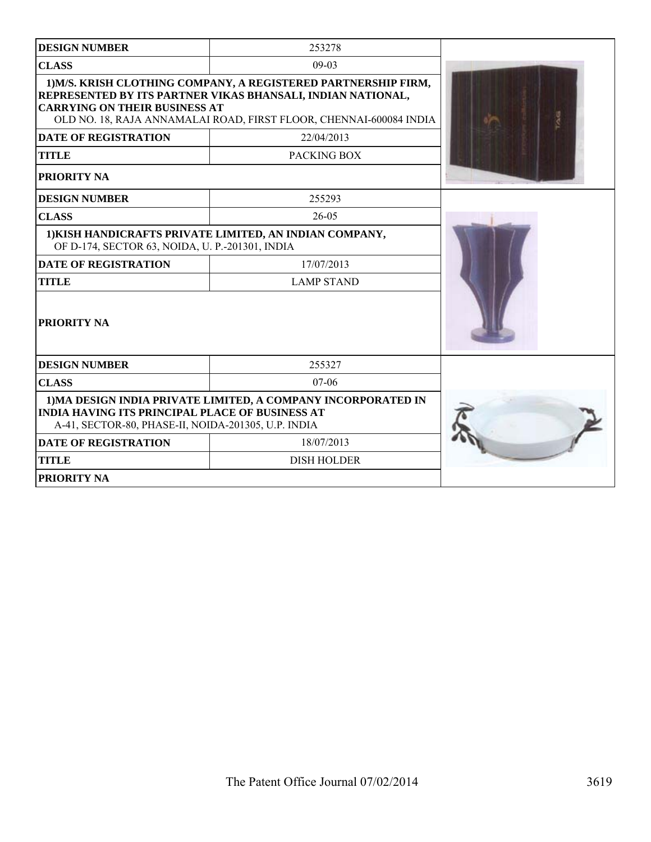| <b>DESIGN NUMBER</b>                                                                                                                                                           | 253278                                                                                                                                                                                              |  |  |
|--------------------------------------------------------------------------------------------------------------------------------------------------------------------------------|-----------------------------------------------------------------------------------------------------------------------------------------------------------------------------------------------------|--|--|
| <b>CLASS</b>                                                                                                                                                                   | $09-03$                                                                                                                                                                                             |  |  |
| <b>CARRYING ON THEIR BUSINESS AT</b>                                                                                                                                           | 1) M/S. KRISH CLOTHING COMPANY, A REGISTERED PARTNERSHIP FIRM,<br>REPRESENTED BY ITS PARTNER VIKAS BHANSALI, INDIAN NATIONAL,<br>OLD NO. 18, RAJA ANNAMALAI ROAD, FIRST FLOOR, CHENNAI-600084 INDIA |  |  |
| <b>DATE OF REGISTRATION</b>                                                                                                                                                    | 22/04/2013                                                                                                                                                                                          |  |  |
| <b>TITLE</b>                                                                                                                                                                   | PACKING BOX                                                                                                                                                                                         |  |  |
| <b>PRIORITY NA</b>                                                                                                                                                             |                                                                                                                                                                                                     |  |  |
| <b>DESIGN NUMBER</b>                                                                                                                                                           | 255293                                                                                                                                                                                              |  |  |
| <b>CLASS</b>                                                                                                                                                                   | $26 - 05$                                                                                                                                                                                           |  |  |
| OF D-174, SECTOR 63, NOIDA, U. P.-201301, INDIA                                                                                                                                | 1) KISH HANDICRAFTS PRIVATE LIMITED, AN INDIAN COMPANY,                                                                                                                                             |  |  |
| <b>DATE OF REGISTRATION</b>                                                                                                                                                    | 17/07/2013                                                                                                                                                                                          |  |  |
| <b>TITLE</b>                                                                                                                                                                   | <b>LAMP STAND</b>                                                                                                                                                                                   |  |  |
| <b>PRIORITY NA</b>                                                                                                                                                             |                                                                                                                                                                                                     |  |  |
| <b>DESIGN NUMBER</b>                                                                                                                                                           | 255327                                                                                                                                                                                              |  |  |
| <b>CLASS</b>                                                                                                                                                                   | $07 - 06$                                                                                                                                                                                           |  |  |
| 1) MA DESIGN INDIA PRIVATE LIMITED, A COMPANY INCORPORATED IN<br><b>INDIA HAVING ITS PRINCIPAL PLACE OF BUSINESS AT</b><br>A-41, SECTOR-80, PHASE-II, NOIDA-201305, U.P. INDIA |                                                                                                                                                                                                     |  |  |
| <b>DATE OF REGISTRATION</b>                                                                                                                                                    | 18/07/2013                                                                                                                                                                                          |  |  |
| <b>TITLE</b>                                                                                                                                                                   | <b>DISH HOLDER</b>                                                                                                                                                                                  |  |  |
| <b>PRIORITY NA</b>                                                                                                                                                             |                                                                                                                                                                                                     |  |  |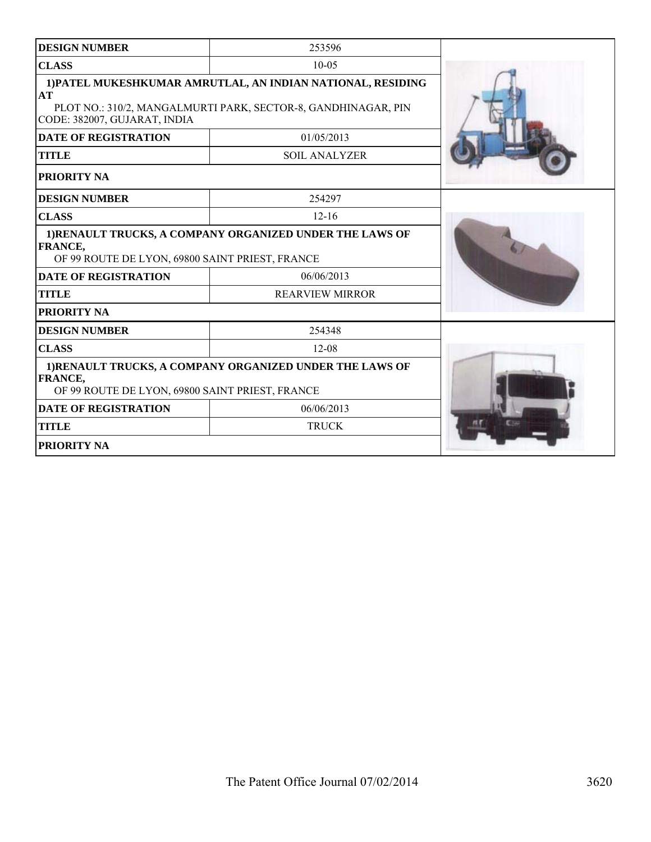| <b>DESIGN NUMBER</b>                                              | 253596                                                                                                                       |  |
|-------------------------------------------------------------------|------------------------------------------------------------------------------------------------------------------------------|--|
| <b>CLASS</b>                                                      | $10-0.5$                                                                                                                     |  |
| AT<br>CODE: 382007, GUJARAT, INDIA                                | 1) PATEL MUKESHKUMAR AMRUTLAL, AN INDIAN NATIONAL, RESIDING<br>PLOT NO.: 310/2, MANGALMURTI PARK, SECTOR-8, GANDHINAGAR, PIN |  |
| <b>DATE OF REGISTRATION</b>                                       | 01/05/2013                                                                                                                   |  |
| <b>TITLE</b>                                                      | <b>SOIL ANALYZER</b>                                                                                                         |  |
| <b>PRIORITY NA</b>                                                |                                                                                                                              |  |
| <b>DESIGN NUMBER</b>                                              | 254297                                                                                                                       |  |
| <b>CLASS</b>                                                      | $12 - 16$                                                                                                                    |  |
| <b>FRANCE,</b><br>OF 99 ROUTE DE LYON, 69800 SAINT PRIEST, FRANCE | 1)RENAULT TRUCKS, A COMPANY ORGANIZED UNDER THE LAWS OF                                                                      |  |
| <b>DATE OF REGISTRATION</b>                                       | 06/06/2013                                                                                                                   |  |
| <b>TITLE</b>                                                      | <b>REARVIEW MIRROR</b>                                                                                                       |  |
| <b>PRIORITY NA</b>                                                |                                                                                                                              |  |
| <b>DESIGN NUMBER</b>                                              | 254348                                                                                                                       |  |
| <b>CLASS</b>                                                      | $12 - 08$                                                                                                                    |  |
| <b>FRANCE,</b><br>OF 99 ROUTE DE LYON, 69800 SAINT PRIEST, FRANCE | 1) RENAULT TRUCKS, A COMPANY ORGANIZED UNDER THE LAWS OF                                                                     |  |
| <b>DATE OF REGISTRATION</b>                                       | 06/06/2013                                                                                                                   |  |
| <b>TITLE</b>                                                      | <b>TRUCK</b>                                                                                                                 |  |
| <b>PRIORITY NA</b>                                                |                                                                                                                              |  |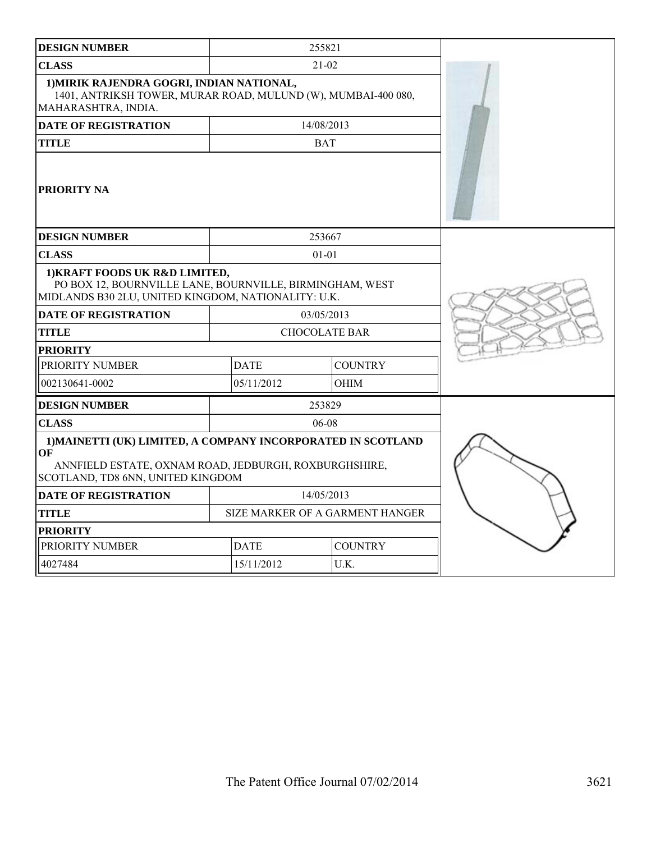| <b>DESIGN NUMBER</b>                                                                                                                                             |                                 | 255821         |  |
|------------------------------------------------------------------------------------------------------------------------------------------------------------------|---------------------------------|----------------|--|
| <b>CLASS</b>                                                                                                                                                     |                                 | $21-02$        |  |
| 1) MIRIK RAJENDRA GOGRI, INDIAN NATIONAL,<br>1401, ANTRIKSH TOWER, MURAR ROAD, MULUND (W), MUMBAI-400 080,<br>MAHARASHTRA, INDIA.                                |                                 |                |  |
| <b>DATE OF REGISTRATION</b>                                                                                                                                      |                                 | 14/08/2013     |  |
| <b>TITLE</b>                                                                                                                                                     |                                 |                |  |
| <b>PRIORITY NA</b>                                                                                                                                               |                                 |                |  |
| <b>DESIGN NUMBER</b>                                                                                                                                             |                                 | 253667         |  |
| <b>CLASS</b>                                                                                                                                                     |                                 | $01 - 01$      |  |
| 1) KRAFT FOODS UK R&D LIMITED,<br>PO BOX 12, BOURNVILLE LANE, BOURNVILLE, BIRMINGHAM, WEST<br>MIDLANDS B30 2LU, UNITED KINGDOM, NATIONALITY: U.K.                |                                 |                |  |
| <b>DATE OF REGISTRATION</b>                                                                                                                                      |                                 | 03/05/2013     |  |
| <b>TITLE</b>                                                                                                                                                     | <b>CHOCOLATE BAR</b>            |                |  |
| <b>PRIORITY</b>                                                                                                                                                  |                                 |                |  |
| PRIORITY NUMBER                                                                                                                                                  | <b>DATE</b>                     | <b>COUNTRY</b> |  |
| 002130641-0002                                                                                                                                                   | 05/11/2012                      | OHIM           |  |
| <b>DESIGN NUMBER</b>                                                                                                                                             |                                 | 253829         |  |
| <b>CLASS</b>                                                                                                                                                     |                                 | 06-08          |  |
| 1) MAINETTI (UK) LIMITED, A COMPANY INCORPORATED IN SCOTLAND<br>OF<br>ANNFIELD ESTATE, OXNAM ROAD, JEDBURGH, ROXBURGHSHIRE,<br>SCOTLAND, TD8 6NN, UNITED KINGDOM |                                 |                |  |
| <b>DATE OF REGISTRATION</b>                                                                                                                                      |                                 | 14/05/2013     |  |
| <b>TITLE</b>                                                                                                                                                     | SIZE MARKER OF A GARMENT HANGER |                |  |
| <b>PRIORITY</b>                                                                                                                                                  |                                 |                |  |
| PRIORITY NUMBER                                                                                                                                                  | <b>COUNTRY</b><br><b>DATE</b>   |                |  |
| 4027484                                                                                                                                                          | 15/11/2012                      | U.K.           |  |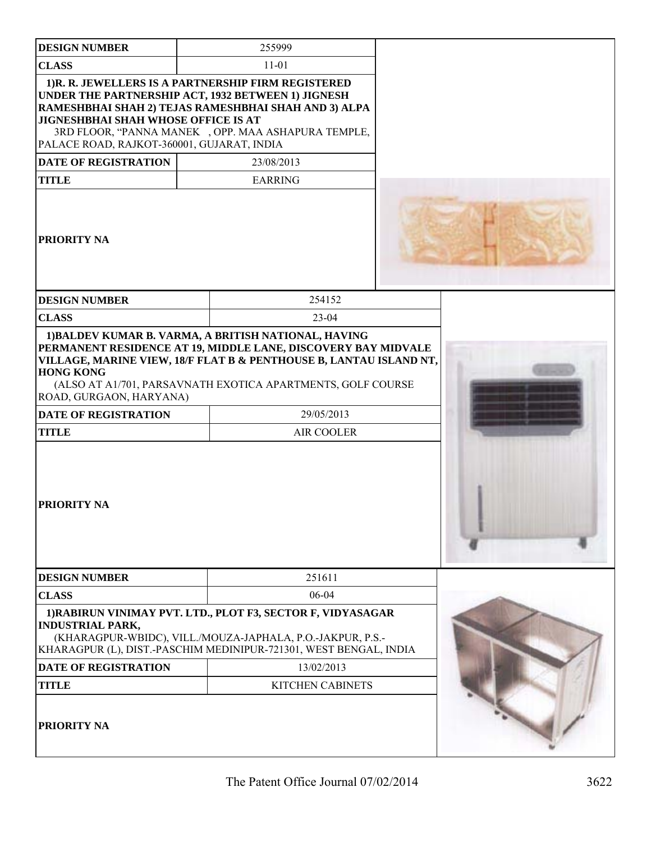| <b>DESIGN NUMBER</b>                                                                                                             | 255999                                                                                                                                                                                                                                                  |  |
|----------------------------------------------------------------------------------------------------------------------------------|---------------------------------------------------------------------------------------------------------------------------------------------------------------------------------------------------------------------------------------------------------|--|
| <b>CLASS</b>                                                                                                                     | $11 - 01$                                                                                                                                                                                                                                               |  |
| JIGNESHBHAI SHAH WHOSE OFFICE IS AT<br>PALACE ROAD, RAJKOT-360001, GUJARAT, INDIA<br><b>DATE OF REGISTRATION</b><br><b>TITLE</b> | 1) R. R. JEWELLERS IS A PARTNERSHIP FIRM REGISTERED<br>UNDER THE PARTNERSHIP ACT, 1932 BETWEEN 1) JIGNESH<br>RAMESHBHAI SHAH 2) TEJAS RAMESHBHAI SHAH AND 3) ALPA<br>3RD FLOOR, "PANNA MANEK, OPP. MAA ASHAPURA TEMPLE,<br>23/08/2013<br><b>EARRING</b> |  |
| <b>PRIORITY NA</b>                                                                                                               |                                                                                                                                                                                                                                                         |  |
| <b>DESIGN NUMBER</b>                                                                                                             | 254152                                                                                                                                                                                                                                                  |  |
| <b>CLASS</b>                                                                                                                     | $23-04$                                                                                                                                                                                                                                                 |  |
| <b>HONG KONG</b><br>ROAD, GURGAON, HARYANA)<br><b>DATE OF REGISTRATION</b><br><b>TITLE</b><br><b>PRIORITY NA</b>                 | PERMANENT RESIDENCE AT 19, MIDDLE LANE, DISCOVERY BAY MIDVALE<br>VILLAGE, MARINE VIEW, 18/F FLAT B & PENTHOUSE B, LANTAU ISLAND NT,<br>(ALSO AT A1/701, PARSAVNATH EXOTICA APARTMENTS, GOLF COURSE<br>29/05/2013<br>AIR COOLER                          |  |
| <b>DESIGN NUMBER</b>                                                                                                             | 251611                                                                                                                                                                                                                                                  |  |
| <b>CLASS</b>                                                                                                                     | 06-04                                                                                                                                                                                                                                                   |  |
| <b>INDUSTRIAL PARK,</b>                                                                                                          | 1) RABIRUN VINIMAY PVT. LTD., PLOT F3, SECTOR F, VIDYASAGAR<br>(KHARAGPUR-WBIDC), VILL./MOUZA-JAPHALA, P.O.-JAKPUR, P.S.-<br>KHARAGPUR (L), DIST.-PASCHIM MEDINIPUR-721301, WEST BENGAL, INDIA                                                          |  |
| <b>DATE OF REGISTRATION</b>                                                                                                      | 13/02/2013                                                                                                                                                                                                                                              |  |
| <b>TITLE</b>                                                                                                                     | <b>KITCHEN CABINETS</b>                                                                                                                                                                                                                                 |  |
| <b>PRIORITY NA</b>                                                                                                               |                                                                                                                                                                                                                                                         |  |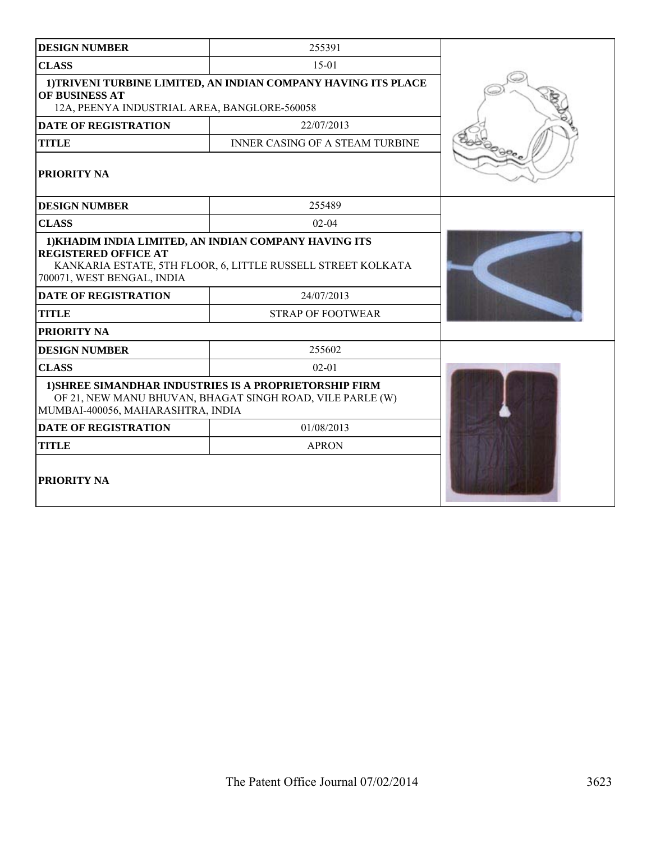| <b>DESIGN NUMBER</b>                                                                                                             | 255391                                                                                                                |                            |
|----------------------------------------------------------------------------------------------------------------------------------|-----------------------------------------------------------------------------------------------------------------------|----------------------------|
| <b>CLASS</b>                                                                                                                     | $15-01$                                                                                                               |                            |
| 1) TRIVENI TURBINE LIMITED, AN INDIAN COMPANY HAVING ITS PLACE<br>OF BUSINESS AT<br>12A, PEENYA INDUSTRIAL AREA, BANGLORE-560058 |                                                                                                                       |                            |
| <b>DATE OF REGISTRATION</b>                                                                                                      | 22/07/2013                                                                                                            |                            |
| <b>TITLE</b>                                                                                                                     | <b>INNER CASING OF A STEAM TURBINE</b>                                                                                |                            |
| PRIORITY NA                                                                                                                      |                                                                                                                       | $\Theta\Phi_{\mathcal{C}}$ |
| <b>DESIGN NUMBER</b>                                                                                                             | 255489                                                                                                                |                            |
| <b>CLASS</b>                                                                                                                     | $02 - 04$                                                                                                             |                            |
| <b>REGISTERED OFFICE AT</b><br>700071, WEST BENGAL, INDIA                                                                        | 1) KHADIM INDIA LIMITED, AN INDIAN COMPANY HAVING ITS<br>KANKARIA ESTATE, 5TH FLOOR, 6, LITTLE RUSSELL STREET KOLKATA |                            |
| <b>DATE OF REGISTRATION</b>                                                                                                      | 24/07/2013                                                                                                            |                            |
| <b>TITLE</b>                                                                                                                     | <b>STRAP OF FOOTWEAR</b>                                                                                              |                            |
| PRIORITY NA                                                                                                                      |                                                                                                                       |                            |
| <b>DESIGN NUMBER</b>                                                                                                             | 255602                                                                                                                |                            |
| <b>CLASS</b>                                                                                                                     | $02 - 01$                                                                                                             |                            |
| MUMBAI-400056, MAHARASHTRA, INDIA                                                                                                | 1) SHREE SIMANDHAR INDUSTRIES IS A PROPRIETORSHIP FIRM<br>OF 21, NEW MANU BHUVAN, BHAGAT SINGH ROAD, VILE PARLE (W)   |                            |
| <b>DATE OF REGISTRATION</b>                                                                                                      | 01/08/2013                                                                                                            |                            |
| <b>TITLE</b>                                                                                                                     | <b>APRON</b>                                                                                                          |                            |
| <b>PRIORITY NA</b>                                                                                                               |                                                                                                                       |                            |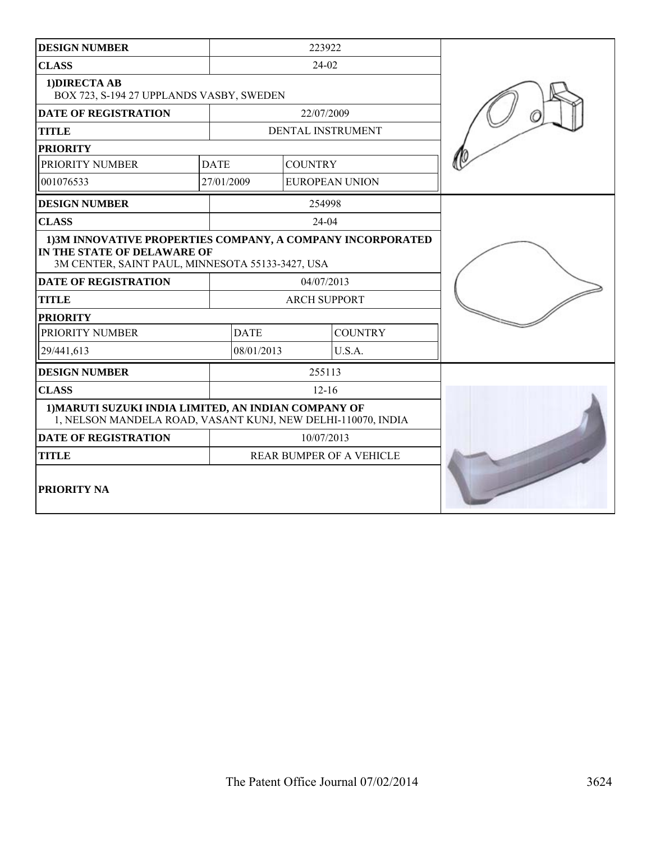| <b>DESIGN NUMBER</b>                                                                                                                           |                                 | 223922               |                       |  |
|------------------------------------------------------------------------------------------------------------------------------------------------|---------------------------------|----------------------|-----------------------|--|
| <b>CLASS</b>                                                                                                                                   | 24-02                           |                      |                       |  |
| 1) DIRECTA AB<br>BOX 723, S-194 27 UPPLANDS VASBY, SWEDEN                                                                                      |                                 |                      |                       |  |
| <b>DATE OF REGISTRATION</b>                                                                                                                    |                                 | 22/07/2009           |                       |  |
| <b>TITLE</b>                                                                                                                                   |                                 |                      | DENTAL INSTRUMENT     |  |
| <b>PRIORITY</b>                                                                                                                                |                                 |                      |                       |  |
| PRIORITY NUMBER                                                                                                                                | <b>DATE</b>                     | <b>COUNTRY</b>       |                       |  |
| 001076533                                                                                                                                      | 27/01/2009                      |                      | <b>EUROPEAN UNION</b> |  |
| <b>DESIGN NUMBER</b>                                                                                                                           |                                 | 254998               |                       |  |
| <b>CLASS</b>                                                                                                                                   |                                 | 24-04                |                       |  |
| 1) 3M INNOVATIVE PROPERTIES COMPANY, A COMPANY INCORPORATED<br>IN THE STATE OF DELAWARE OF<br>3M CENTER, SAINT PAUL, MINNESOTA 55133-3427, USA |                                 |                      |                       |  |
| <b>DATE OF REGISTRATION</b>                                                                                                                    | 04/07/2013                      |                      |                       |  |
| <b>TITLE</b>                                                                                                                                   | <b>ARCH SUPPORT</b>             |                      |                       |  |
| <b>PRIORITY</b>                                                                                                                                |                                 |                      |                       |  |
| PRIORITY NUMBER                                                                                                                                | <b>DATE</b>                     |                      | <b>COUNTRY</b>        |  |
| 29/441,613                                                                                                                                     |                                 | 08/01/2013<br>U.S.A. |                       |  |
| <b>DESIGN NUMBER</b>                                                                                                                           |                                 | 255113               |                       |  |
| <b>CLASS</b>                                                                                                                                   | $12 - 16$                       |                      |                       |  |
| 1) MARUTI SUZUKI INDIA LIMITED, AN INDIAN COMPANY OF<br>1, NELSON MANDELA ROAD, VASANT KUNJ, NEW DELHI-110070, INDIA                           |                                 |                      |                       |  |
| <b>DATE OF REGISTRATION</b>                                                                                                                    | 10/07/2013                      |                      |                       |  |
| <b>TITLE</b>                                                                                                                                   | <b>REAR BUMPER OF A VEHICLE</b> |                      |                       |  |
| PRIORITY NA                                                                                                                                    |                                 |                      |                       |  |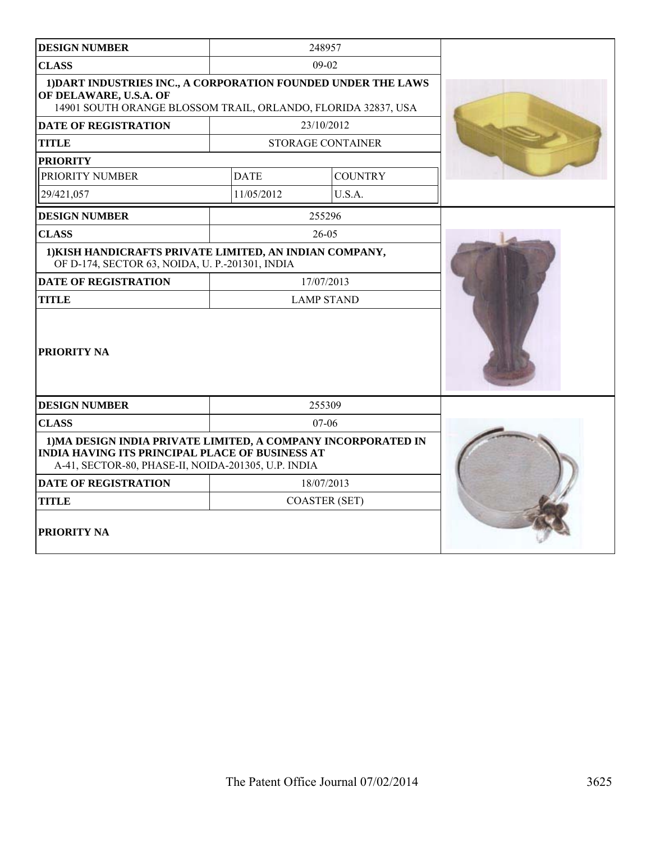| <b>DESIGN NUMBER</b>                                                                                                                                                           |                      | 248957            |  |
|--------------------------------------------------------------------------------------------------------------------------------------------------------------------------------|----------------------|-------------------|--|
| <b>CLASS</b>                                                                                                                                                                   | 09-02                |                   |  |
| 1) DART INDUSTRIES INC., A CORPORATION FOUNDED UNDER THE LAWS<br>OF DELAWARE, U.S.A. OF<br>14901 SOUTH ORANGE BLOSSOM TRAIL, ORLANDO, FLORIDA 32837, USA                       |                      |                   |  |
| <b>DATE OF REGISTRATION</b>                                                                                                                                                    |                      | 23/10/2012        |  |
| <b>TITLE</b>                                                                                                                                                                   |                      | STORAGE CONTAINER |  |
| <b>PRIORITY</b>                                                                                                                                                                |                      |                   |  |
| PRIORITY NUMBER                                                                                                                                                                | <b>DATE</b>          | <b>COUNTRY</b>    |  |
| 29/421,057                                                                                                                                                                     | 11/05/2012           | U.S.A.            |  |
| <b>DESIGN NUMBER</b>                                                                                                                                                           |                      | 255296            |  |
| <b>CLASS</b>                                                                                                                                                                   |                      | $26-05$           |  |
| 1) KISH HANDICRAFTS PRIVATE LIMITED, AN INDIAN COMPANY,<br>OF D-174, SECTOR 63, NOIDA, U. P.-201301, INDIA                                                                     |                      |                   |  |
| <b>DATE OF REGISTRATION</b>                                                                                                                                                    | 17/07/2013           |                   |  |
| <b>TITLE</b>                                                                                                                                                                   | <b>LAMP STAND</b>    |                   |  |
| <b>PRIORITY NA</b>                                                                                                                                                             |                      |                   |  |
| <b>DESIGN NUMBER</b>                                                                                                                                                           |                      | 255309            |  |
| <b>CLASS</b>                                                                                                                                                                   | $07-06$              |                   |  |
| 1) MA DESIGN INDIA PRIVATE LIMITED, A COMPANY INCORPORATED IN<br><b>INDIA HAVING ITS PRINCIPAL PLACE OF BUSINESS AT</b><br>A-41, SECTOR-80, PHASE-II, NOIDA-201305, U.P. INDIA |                      |                   |  |
| <b>DATE OF REGISTRATION</b>                                                                                                                                                    |                      | 18/07/2013        |  |
| <b>TITLE</b>                                                                                                                                                                   | <b>COASTER (SET)</b> |                   |  |
| PRIORITY NA                                                                                                                                                                    |                      |                   |  |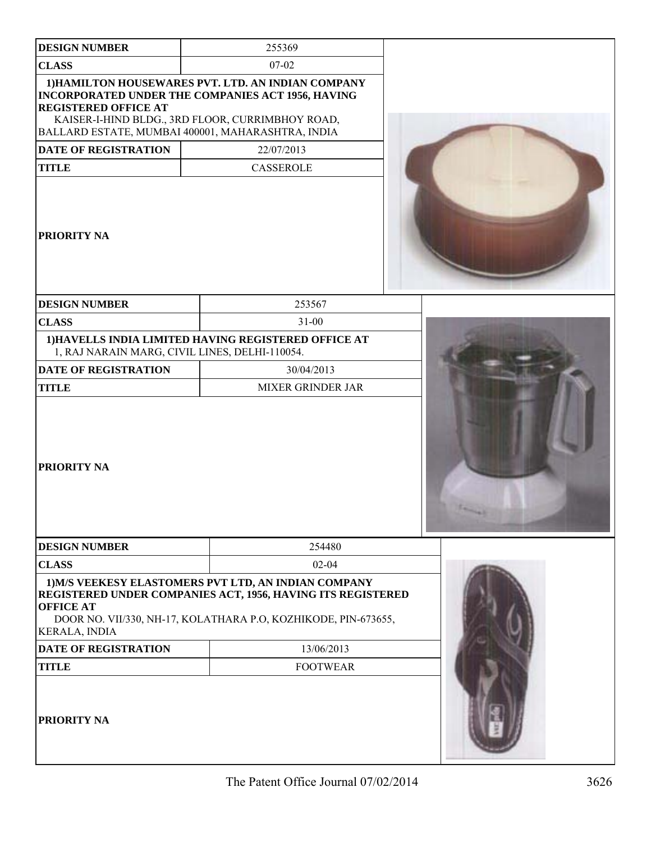| <b>DESIGN NUMBER</b>                                                                                                                                                                                                                            | 255369                                                                                                                                                                                |  |
|-------------------------------------------------------------------------------------------------------------------------------------------------------------------------------------------------------------------------------------------------|---------------------------------------------------------------------------------------------------------------------------------------------------------------------------------------|--|
| <b>CLASS</b>                                                                                                                                                                                                                                    | $07-02$                                                                                                                                                                               |  |
| 1) HAMILTON HOUSEWARES PVT. LTD. AN INDIAN COMPANY<br>INCORPORATED UNDER THE COMPANIES ACT 1956, HAVING<br><b>REGISTERED OFFICE AT</b><br>KAISER-I-HIND BLDG., 3RD FLOOR, CURRIMBHOY ROAD,<br>BALLARD ESTATE, MUMBAI 400001, MAHARASHTRA, INDIA |                                                                                                                                                                                       |  |
| DATE OF REGISTRATION                                                                                                                                                                                                                            | 22/07/2013                                                                                                                                                                            |  |
| <b>TITLE</b>                                                                                                                                                                                                                                    | CASSEROLE                                                                                                                                                                             |  |
| PRIORITY NA                                                                                                                                                                                                                                     |                                                                                                                                                                                       |  |
| <b>DESIGN NUMBER</b>                                                                                                                                                                                                                            | 253567                                                                                                                                                                                |  |
| <b>CLASS</b>                                                                                                                                                                                                                                    | $31 - 00$                                                                                                                                                                             |  |
| 1) HAVELLS INDIA LIMITED HAVING REGISTERED OFFICE AT<br>1, RAJ NARAIN MARG, CIVIL LINES, DELHI-110054.                                                                                                                                          |                                                                                                                                                                                       |  |
| <b>DATE OF REGISTRATION</b>                                                                                                                                                                                                                     | 30/04/2013                                                                                                                                                                            |  |
| <b>TITLE</b>                                                                                                                                                                                                                                    | <b>MIXER GRINDER JAR</b>                                                                                                                                                              |  |
| PRIORITY NA                                                                                                                                                                                                                                     |                                                                                                                                                                                       |  |
| <b>DESIGN NUMBER</b>                                                                                                                                                                                                                            | 254480                                                                                                                                                                                |  |
| <b>CLASS</b>                                                                                                                                                                                                                                    | $02 - 04$                                                                                                                                                                             |  |
| <b>OFFICE AT</b><br><b>KERALA, INDIA</b>                                                                                                                                                                                                        | 1) M/S VEEKESY ELASTOMERS PVT LTD, AN INDIAN COMPANY<br>REGISTERED UNDER COMPANIES ACT, 1956, HAVING ITS REGISTERED<br>DOOR NO. VII/330, NH-17, KOLATHARA P.O, KOZHIKODE, PIN-673655, |  |
| <b>DATE OF REGISTRATION</b>                                                                                                                                                                                                                     | 13/06/2013                                                                                                                                                                            |  |
| <b>TITLE</b>                                                                                                                                                                                                                                    | <b>FOOTWEAR</b>                                                                                                                                                                       |  |
| PRIORITY NA                                                                                                                                                                                                                                     |                                                                                                                                                                                       |  |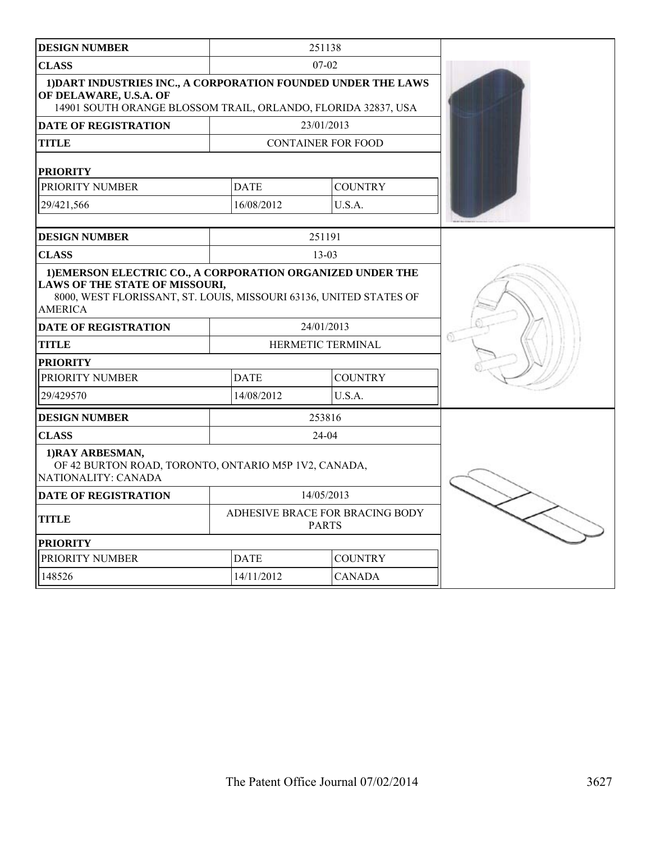| <b>DESIGN NUMBER</b>                                                                                                                                                                 |                                                 | 251138                    |  |
|--------------------------------------------------------------------------------------------------------------------------------------------------------------------------------------|-------------------------------------------------|---------------------------|--|
| <b>CLASS</b>                                                                                                                                                                         | $07-02$                                         |                           |  |
| 1) DART INDUSTRIES INC., A CORPORATION FOUNDED UNDER THE LAWS<br>OF DELAWARE, U.S.A. OF<br>14901 SOUTH ORANGE BLOSSOM TRAIL, ORLANDO, FLORIDA 32837, USA                             |                                                 |                           |  |
| <b>DATE OF REGISTRATION</b>                                                                                                                                                          |                                                 | 23/01/2013                |  |
| TITLE                                                                                                                                                                                |                                                 | <b>CONTAINER FOR FOOD</b> |  |
| <b>PRIORITY</b>                                                                                                                                                                      |                                                 |                           |  |
| PRIORITY NUMBER                                                                                                                                                                      | <b>DATE</b>                                     | <b>COUNTRY</b>            |  |
| 29/421,566                                                                                                                                                                           | 16/08/2012                                      | U.S.A.                    |  |
| <b>DESIGN NUMBER</b>                                                                                                                                                                 |                                                 | 251191                    |  |
|                                                                                                                                                                                      |                                                 | $13 - 03$                 |  |
| <b>CLASS</b>                                                                                                                                                                         |                                                 |                           |  |
| 1) EMERSON ELECTRIC CO., A CORPORATION ORGANIZED UNDER THE<br>LAWS OF THE STATE OF MISSOURI,<br>8000, WEST FLORISSANT, ST. LOUIS, MISSOURI 63136, UNITED STATES OF<br><b>AMERICA</b> |                                                 |                           |  |
| <b>DATE OF REGISTRATION</b>                                                                                                                                                          | 24/01/2013                                      |                           |  |
| TITLE                                                                                                                                                                                |                                                 | HERMETIC TERMINAL         |  |
| <b>PRIORITY</b>                                                                                                                                                                      |                                                 |                           |  |
| PRIORITY NUMBER                                                                                                                                                                      | <b>DATE</b><br><b>COUNTRY</b>                   |                           |  |
| 29/429570                                                                                                                                                                            | 14/08/2012                                      | U.S.A.                    |  |
| <b>DESIGN NUMBER</b>                                                                                                                                                                 |                                                 | 253816                    |  |
| <b>CLASS</b>                                                                                                                                                                         |                                                 | $24-04$                   |  |
| 1) RAY ARBESMAN,<br>OF 42 BURTON ROAD, TORONTO, ONTARIO M5P 1V2, CANADA,<br>NATIONALITY: CANADA                                                                                      |                                                 |                           |  |
| <b>DATE OF REGISTRATION</b>                                                                                                                                                          | 14/05/2013                                      |                           |  |
| <b>TITLE</b>                                                                                                                                                                         | ADHESIVE BRACE FOR BRACING BODY<br><b>PARTS</b> |                           |  |
| <b>PRIORITY</b>                                                                                                                                                                      |                                                 |                           |  |
| PRIORITY NUMBER                                                                                                                                                                      | <b>DATE</b>                                     | <b>COUNTRY</b>            |  |
| 148526                                                                                                                                                                               | 14/11/2012                                      | <b>CANADA</b>             |  |
|                                                                                                                                                                                      |                                                 |                           |  |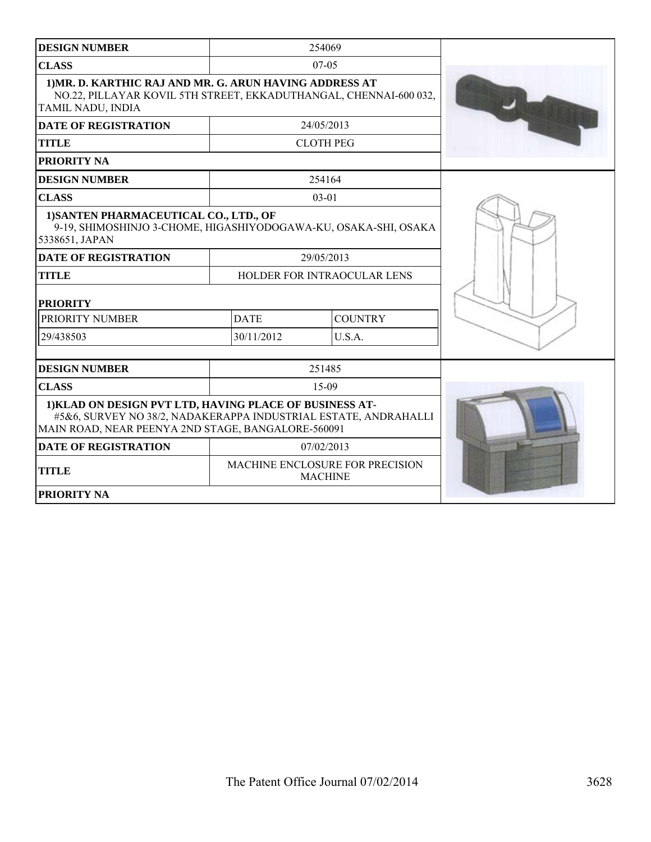| <b>DESIGN NUMBER</b>                                                                                                                                                             |                                                   | 254069           |  |
|----------------------------------------------------------------------------------------------------------------------------------------------------------------------------------|---------------------------------------------------|------------------|--|
| <b>CLASS</b>                                                                                                                                                                     | $07-05$                                           |                  |  |
| 1) MR. D. KARTHIC RAJ AND MR. G. ARUN HAVING ADDRESS AT<br>NO.22, PILLAYAR KOVIL 5TH STREET, EKKADUTHANGAL, CHENNAI-600 032,<br>TAMIL NADU, INDIA                                |                                                   |                  |  |
| <b>DATE OF REGISTRATION</b>                                                                                                                                                      |                                                   | 24/05/2013       |  |
| <b>TITLE</b>                                                                                                                                                                     |                                                   | <b>CLOTH PEG</b> |  |
| PRIORITY NA                                                                                                                                                                      |                                                   |                  |  |
| <b>DESIGN NUMBER</b>                                                                                                                                                             |                                                   | 254164           |  |
| <b>CLASS</b>                                                                                                                                                                     |                                                   | $03 - 01$        |  |
| 1) SANTEN PHARMACEUTICAL CO., LTD., OF<br>9-19, SHIMOSHINJO 3-CHOME, HIGASHIYODOGAWA-KU, OSAKA-SHI, OSAKA<br>5338651, JAPAN                                                      |                                                   |                  |  |
| <b>DATE OF REGISTRATION</b>                                                                                                                                                      |                                                   | 29/05/2013       |  |
| <b>TITLE</b>                                                                                                                                                                     | HOLDER FOR INTRAOCULAR LENS                       |                  |  |
| <b>PRIORITY</b>                                                                                                                                                                  |                                                   |                  |  |
| PRIORITY NUMBER                                                                                                                                                                  | <b>DATE</b>                                       | <b>COUNTRY</b>   |  |
| 29/438503                                                                                                                                                                        | 30/11/2012                                        | U.S.A.           |  |
| <b>DESIGN NUMBER</b>                                                                                                                                                             |                                                   | 251485           |  |
| <b>CLASS</b>                                                                                                                                                                     |                                                   | $15-09$          |  |
| 1) KLAD ON DESIGN PVT LTD, HAVING PLACE OF BUSINESS AT-<br>#5&6, SURVEY NO 38/2, NADAKERAPPA INDUSTRIAL ESTATE, ANDRAHALLI<br>MAIN ROAD, NEAR PEENYA 2ND STAGE, BANGALORE-560091 |                                                   |                  |  |
| <b>DATE OF REGISTRATION</b>                                                                                                                                                      |                                                   | 07/02/2013       |  |
| <b>TITLE</b>                                                                                                                                                                     | MACHINE ENCLOSURE FOR PRECISION<br><b>MACHINE</b> |                  |  |
| PRIORITY NA                                                                                                                                                                      |                                                   |                  |  |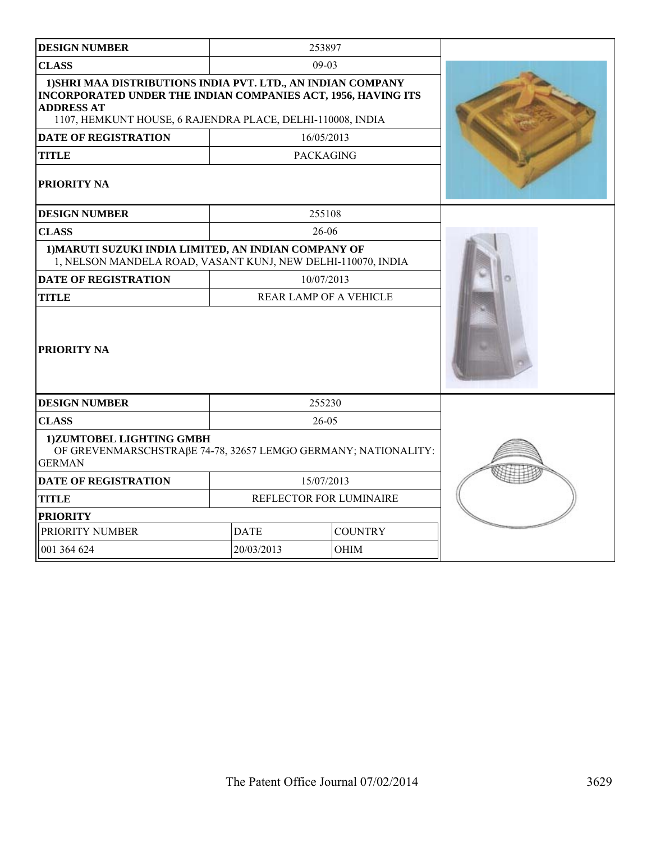| <b>DESIGN NUMBER</b>                                                                                                                                                                                             |                               | 253897                 |  |
|------------------------------------------------------------------------------------------------------------------------------------------------------------------------------------------------------------------|-------------------------------|------------------------|--|
| <b>CLASS</b>                                                                                                                                                                                                     |                               | $09-03$                |  |
| 1) SHRI MAA DISTRIBUTIONS INDIA PVT. LTD., AN INDIAN COMPANY<br>INCORPORATED UNDER THE INDIAN COMPANIES ACT, 1956, HAVING ITS<br><b>ADDRESS AT</b><br>1107, HEMKUNT HOUSE, 6 RAJENDRA PLACE, DELHI-110008, INDIA |                               |                        |  |
| <b>DATE OF REGISTRATION</b>                                                                                                                                                                                      |                               | 16/05/2013             |  |
| <b>TITLE</b>                                                                                                                                                                                                     | <b>PACKAGING</b>              |                        |  |
| <b>PRIORITY NA</b>                                                                                                                                                                                               |                               |                        |  |
| <b>DESIGN NUMBER</b>                                                                                                                                                                                             |                               | 255108                 |  |
| <b>CLASS</b>                                                                                                                                                                                                     |                               | 26-06                  |  |
| 1) MARUTI SUZUKI INDIA LIMITED, AN INDIAN COMPANY OF<br>1, NELSON MANDELA ROAD, VASANT KUNJ, NEW DELHI-110070, INDIA                                                                                             |                               |                        |  |
| <b>DATE OF REGISTRATION</b>                                                                                                                                                                                      |                               | 10/07/2013             |  |
| <b>TITLE</b>                                                                                                                                                                                                     |                               | REAR LAMP OF A VEHICLE |  |
| <b>PRIORITY NA</b>                                                                                                                                                                                               |                               |                        |  |
| <b>DESIGN NUMBER</b>                                                                                                                                                                                             |                               | 255230                 |  |
| <b>CLASS</b>                                                                                                                                                                                                     | $26 - 05$                     |                        |  |
| 1)ZUMTOBEL LIGHTING GMBH<br>OF GREVENMARSCHSTRAβE 74-78, 32657 LEMGO GERMANY; NATIONALITY:<br><b>GERMAN</b>                                                                                                      |                               |                        |  |
| <b>DATE OF REGISTRATION</b>                                                                                                                                                                                      |                               | 15/07/2013             |  |
| <b>TITLE</b>                                                                                                                                                                                                     | REFLECTOR FOR LUMINAIRE       |                        |  |
| <b>PRIORITY</b>                                                                                                                                                                                                  |                               |                        |  |
| PRIORITY NUMBER                                                                                                                                                                                                  | <b>COUNTRY</b><br><b>DATE</b> |                        |  |
| 001 364 624                                                                                                                                                                                                      | 20/03/2013                    | OHIM                   |  |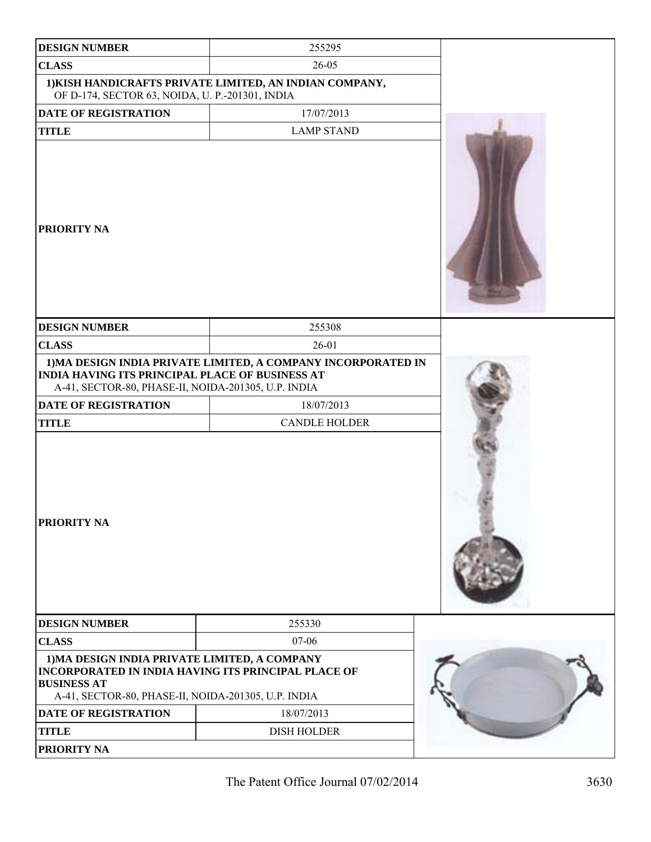| <b>DESIGN NUMBER</b>                                                                                                                                                              | 255295                                                        |  |
|-----------------------------------------------------------------------------------------------------------------------------------------------------------------------------------|---------------------------------------------------------------|--|
| <b>CLASS</b>                                                                                                                                                                      | 26-05                                                         |  |
| OF D-174, SECTOR 63, NOIDA, U. P.-201301, INDIA                                                                                                                                   | 1) KISH HANDICRAFTS PRIVATE LIMITED, AN INDIAN COMPANY,       |  |
| <b>DATE OF REGISTRATION</b>                                                                                                                                                       | 17/07/2013                                                    |  |
| <b>TITLE</b>                                                                                                                                                                      | <b>LAMP STAND</b>                                             |  |
| <b>PRIORITY NA</b>                                                                                                                                                                |                                                               |  |
| <b>DESIGN NUMBER</b>                                                                                                                                                              | 255308                                                        |  |
| <b>CLASS</b>                                                                                                                                                                      | $26 - 01$                                                     |  |
| <b>INDIA HAVING ITS PRINCIPAL PLACE OF BUSINESS AT</b><br>A-41, SECTOR-80, PHASE-II, NOIDA-201305, U.P. INDIA                                                                     | 1) MA DESIGN INDIA PRIVATE LIMITED, A COMPANY INCORPORATED IN |  |
| <b>DATE OF REGISTRATION</b>                                                                                                                                                       | 18/07/2013                                                    |  |
| <b>TITLE</b>                                                                                                                                                                      | <b>CANDLE HOLDER</b>                                          |  |
| <b>PRIORITY NA</b>                                                                                                                                                                |                                                               |  |
| <b>DESIGN NUMBER</b>                                                                                                                                                              | 255330                                                        |  |
| <b>CLASS</b>                                                                                                                                                                      | 07-06                                                         |  |
| 1) MA DESIGN INDIA PRIVATE LIMITED, A COMPANY<br>INCORPORATED IN INDIA HAVING ITS PRINCIPAL PLACE OF<br><b>BUSINESS AT</b><br>A-41, SECTOR-80, PHASE-II, NOIDA-201305, U.P. INDIA |                                                               |  |
| <b>DATE OF REGISTRATION</b>                                                                                                                                                       | 18/07/2013                                                    |  |
| <b>TITLE</b>                                                                                                                                                                      | <b>DISH HOLDER</b>                                            |  |
| PRIORITY NA                                                                                                                                                                       |                                                               |  |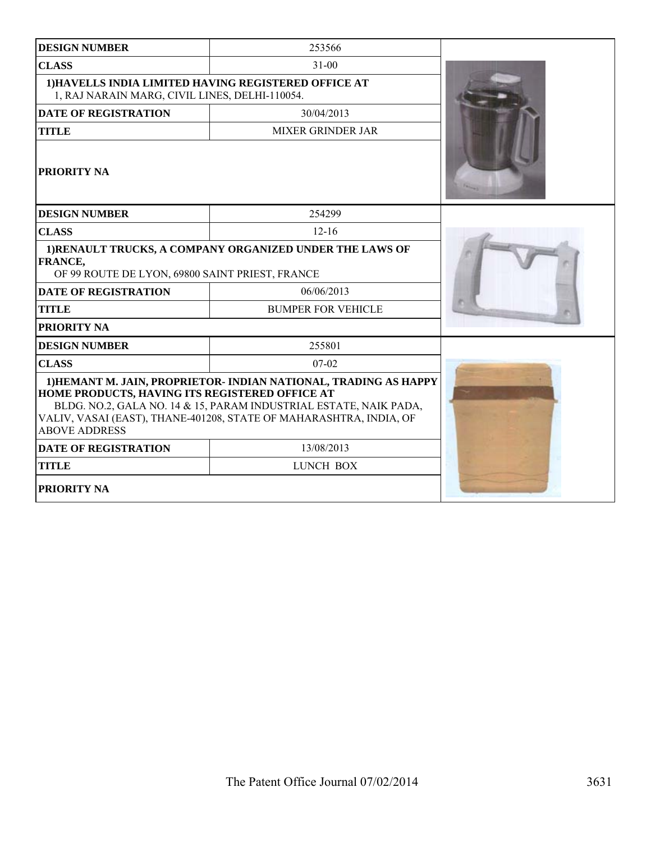| <b>DESIGN NUMBER</b>                                                                                                          | 253566                                                                                                                                                                                                      |  |
|-------------------------------------------------------------------------------------------------------------------------------|-------------------------------------------------------------------------------------------------------------------------------------------------------------------------------------------------------------|--|
| <b>CLASS</b>                                                                                                                  | $31-00$                                                                                                                                                                                                     |  |
| 1) HAVELLS INDIA LIMITED HAVING REGISTERED OFFICE AT<br>1, RAJ NARAIN MARG, CIVIL LINES, DELHI-110054.                        |                                                                                                                                                                                                             |  |
| <b>DATE OF REGISTRATION</b>                                                                                                   | 30/04/2013                                                                                                                                                                                                  |  |
| <b>TITLE</b>                                                                                                                  | <b>MIXER GRINDER JAR</b>                                                                                                                                                                                    |  |
| <b>PRIORITY NA</b>                                                                                                            |                                                                                                                                                                                                             |  |
| <b>DESIGN NUMBER</b>                                                                                                          | 254299                                                                                                                                                                                                      |  |
| <b>CLASS</b>                                                                                                                  | $12 - 16$                                                                                                                                                                                                   |  |
| 1) RENAULT TRUCKS, A COMPANY ORGANIZED UNDER THE LAWS OF<br><b>FRANCE,</b><br>OF 99 ROUTE DE LYON, 69800 SAINT PRIEST, FRANCE |                                                                                                                                                                                                             |  |
| <b>DATE OF REGISTRATION</b>                                                                                                   | 06/06/2013                                                                                                                                                                                                  |  |
| <b>TITLE</b>                                                                                                                  | <b>BUMPER FOR VEHICLE</b>                                                                                                                                                                                   |  |
| PRIORITY NA                                                                                                                   |                                                                                                                                                                                                             |  |
| <b>DESIGN NUMBER</b>                                                                                                          | 255801                                                                                                                                                                                                      |  |
| <b>CLASS</b>                                                                                                                  | $07-02$                                                                                                                                                                                                     |  |
| HOME PRODUCTS, HAVING ITS REGISTERED OFFICE AT<br><b>ABOVE ADDRESS</b>                                                        | 1) HEMANT M. JAIN, PROPRIETOR- INDIAN NATIONAL, TRADING AS HAPPY<br>BLDG. NO.2, GALA NO. 14 & 15, PARAM INDUSTRIAL ESTATE, NAIK PADA,<br>VALIV, VASAI (EAST), THANE-401208, STATE OF MAHARASHTRA, INDIA, OF |  |
| <b>DATE OF REGISTRATION</b>                                                                                                   | 13/08/2013                                                                                                                                                                                                  |  |
| <b>TITLE</b>                                                                                                                  | LUNCH BOX                                                                                                                                                                                                   |  |
| <b>PRIORITY NA</b>                                                                                                            |                                                                                                                                                                                                             |  |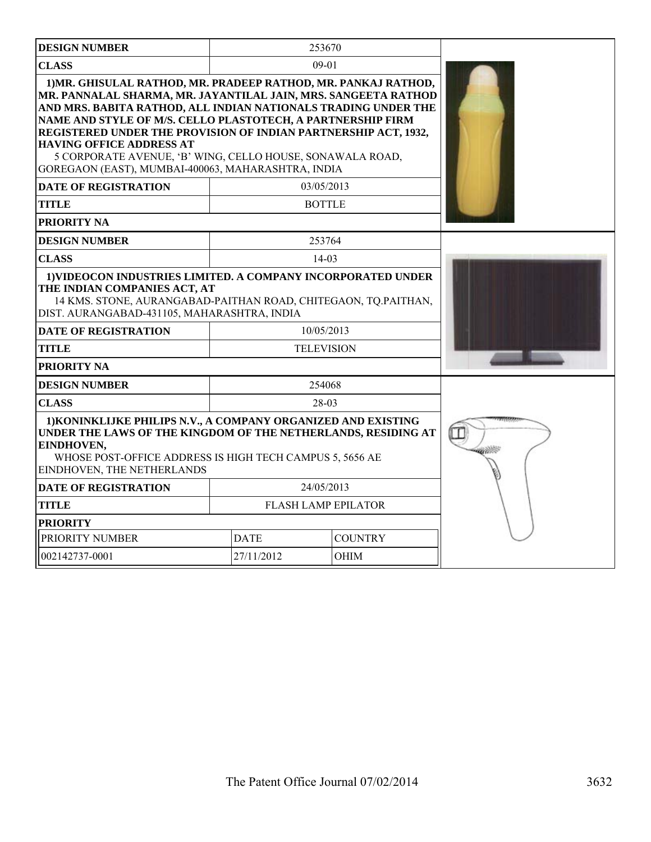| <b>DESIGN NUMBER</b>                                                                                                                                                                                                                                                                                                                                                                                                                                                                       |                               | 253670            |  |
|--------------------------------------------------------------------------------------------------------------------------------------------------------------------------------------------------------------------------------------------------------------------------------------------------------------------------------------------------------------------------------------------------------------------------------------------------------------------------------------------|-------------------------------|-------------------|--|
| <b>CLASS</b>                                                                                                                                                                                                                                                                                                                                                                                                                                                                               |                               | $09 - 01$         |  |
| 1) MR. GHISULAL RATHOD, MR. PRADEEP RATHOD, MR. PANKAJ RATHOD,<br>MR. PANNALAL SHARMA, MR. JAYANTILAL JAIN, MRS. SANGEETA RATHOD<br>AND MRS. BABITA RATHOD, ALL INDIAN NATIONALS TRADING UNDER THE<br>NAME AND STYLE OF M/S. CELLO PLASTOTECH, A PARTNERSHIP FIRM<br>REGISTERED UNDER THE PROVISION OF INDIAN PARTNERSHIP ACT, 1932,<br><b>HAVING OFFICE ADDRESS AT</b><br>5 CORPORATE AVENUE, 'B' WING, CELLO HOUSE, SONAWALA ROAD,<br>GOREGAON (EAST), MUMBAI-400063, MAHARASHTRA, INDIA |                               |                   |  |
| <b>DATE OF REGISTRATION</b>                                                                                                                                                                                                                                                                                                                                                                                                                                                                |                               | 03/05/2013        |  |
| <b>TITLE</b>                                                                                                                                                                                                                                                                                                                                                                                                                                                                               |                               | <b>BOTTLE</b>     |  |
| PRIORITY NA                                                                                                                                                                                                                                                                                                                                                                                                                                                                                |                               |                   |  |
| <b>DESIGN NUMBER</b>                                                                                                                                                                                                                                                                                                                                                                                                                                                                       |                               | 253764            |  |
| <b>CLASS</b>                                                                                                                                                                                                                                                                                                                                                                                                                                                                               |                               | $14 - 03$         |  |
| 1) VIDEOCON INDUSTRIES LIMITED. A COMPANY INCORPORATED UNDER<br>THE INDIAN COMPANIES ACT, AT<br>14 KMS. STONE, AURANGABAD-PAITHAN ROAD, CHITEGAON, TO.PAITHAN,<br>DIST. AURANGABAD-431105, MAHARASHTRA, INDIA                                                                                                                                                                                                                                                                              |                               |                   |  |
| <b>DATE OF REGISTRATION</b>                                                                                                                                                                                                                                                                                                                                                                                                                                                                |                               | 10/05/2013        |  |
| <b>TITLE</b>                                                                                                                                                                                                                                                                                                                                                                                                                                                                               |                               | <b>TELEVISION</b> |  |
| PRIORITY NA                                                                                                                                                                                                                                                                                                                                                                                                                                                                                |                               |                   |  |
| <b>DESIGN NUMBER</b>                                                                                                                                                                                                                                                                                                                                                                                                                                                                       |                               | 254068            |  |
| <b>CLASS</b>                                                                                                                                                                                                                                                                                                                                                                                                                                                                               | 28-03                         |                   |  |
| 1) KONINKLIJKE PHILIPS N.V., A COMPANY ORGANIZED AND EXISTING<br>UNDER THE LAWS OF THE KINGDOM OF THE NETHERLANDS, RESIDING AT<br>EINDHOVEN,<br>WHOSE POST-OFFICE ADDRESS IS HIGH TECH CAMPUS 5, 5656 AE<br>EINDHOVEN, THE NETHERLANDS                                                                                                                                                                                                                                                     |                               |                   |  |
| <b>DATE OF REGISTRATION</b>                                                                                                                                                                                                                                                                                                                                                                                                                                                                | 24/05/2013                    |                   |  |
| <b>TITLE</b>                                                                                                                                                                                                                                                                                                                                                                                                                                                                               | <b>FLASH LAMP EPILATOR</b>    |                   |  |
| <b>PRIORITY</b>                                                                                                                                                                                                                                                                                                                                                                                                                                                                            |                               |                   |  |
| PRIORITY NUMBER                                                                                                                                                                                                                                                                                                                                                                                                                                                                            | <b>DATE</b><br><b>COUNTRY</b> |                   |  |
| 002142737-0001                                                                                                                                                                                                                                                                                                                                                                                                                                                                             | 27/11/2012<br><b>OHIM</b>     |                   |  |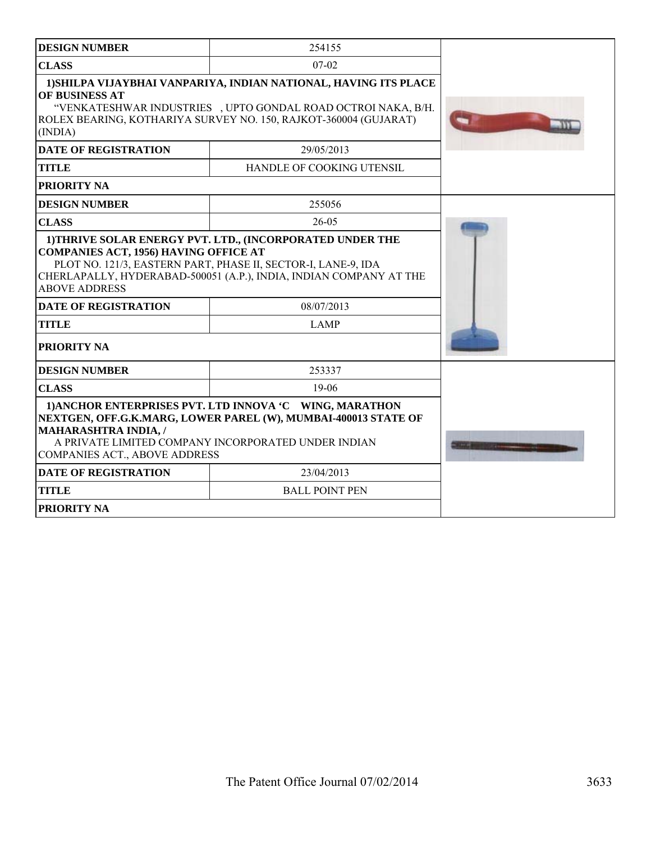| <b>DESIGN NUMBER</b>                                                                                | 254155                                                                                                                                                                                                |  |
|-----------------------------------------------------------------------------------------------------|-------------------------------------------------------------------------------------------------------------------------------------------------------------------------------------------------------|--|
| <b>CLASS</b>                                                                                        | $07 - 02$                                                                                                                                                                                             |  |
| OF BUSINESS AT<br>(INDIA)                                                                           | 1) SHILPA VIJAYBHAI VANPARIYA, INDIAN NATIONAL, HAVING ITS PLACE<br>"VENKATESHWAR INDUSTRIES , UPTO GONDAL ROAD OCTROI NAKA, B/H.<br>ROLEX BEARING, KOTHARIYA SURVEY NO. 150, RAJKOT-360004 (GUJARAT) |  |
| <b>DATE OF REGISTRATION</b>                                                                         | 29/05/2013                                                                                                                                                                                            |  |
| <b>TITLE</b>                                                                                        | HANDLE OF COOKING UTENSIL                                                                                                                                                                             |  |
| <b>PRIORITY NA</b>                                                                                  |                                                                                                                                                                                                       |  |
| <b>DESIGN NUMBER</b>                                                                                | 255056                                                                                                                                                                                                |  |
| <b>CLASS</b>                                                                                        | 26-05                                                                                                                                                                                                 |  |
| <b>COMPANIES ACT, 1956) HAVING OFFICE AT</b><br><b>ABOVE ADDRESS</b><br><b>DATE OF REGISTRATION</b> | PLOT NO. 121/3, EASTERN PART, PHASE II, SECTOR-I, LANE-9, IDA<br>CHERLAPALLY, HYDERABAD-500051 (A.P.), INDIA, INDIAN COMPANY AT THE<br>08/07/2013                                                     |  |
| <b>TITLE</b>                                                                                        | <b>LAMP</b>                                                                                                                                                                                           |  |
| PRIORITY NA                                                                                         |                                                                                                                                                                                                       |  |
| <b>DESIGN NUMBER</b>                                                                                | 253337                                                                                                                                                                                                |  |
| <b>CLASS</b>                                                                                        | $19-06$                                                                                                                                                                                               |  |
| <b>MAHARASHTRA INDIA, /</b><br>COMPANIES ACT., ABOVE ADDRESS                                        | 1) ANCHOR ENTERPRISES PVT. LTD INNOVA 'C WING, MARATHON<br>NEXTGEN, OFF.G.K.MARG, LOWER PAREL (W), MUMBAI-400013 STATE OF<br>A PRIVATE LIMITED COMPANY INCORPORATED UNDER INDIAN                      |  |
| <b>DATE OF REGISTRATION</b>                                                                         | 23/04/2013                                                                                                                                                                                            |  |
| <b>TITLE</b>                                                                                        | <b>BALL POINT PEN</b>                                                                                                                                                                                 |  |
| PRIORITY NA                                                                                         |                                                                                                                                                                                                       |  |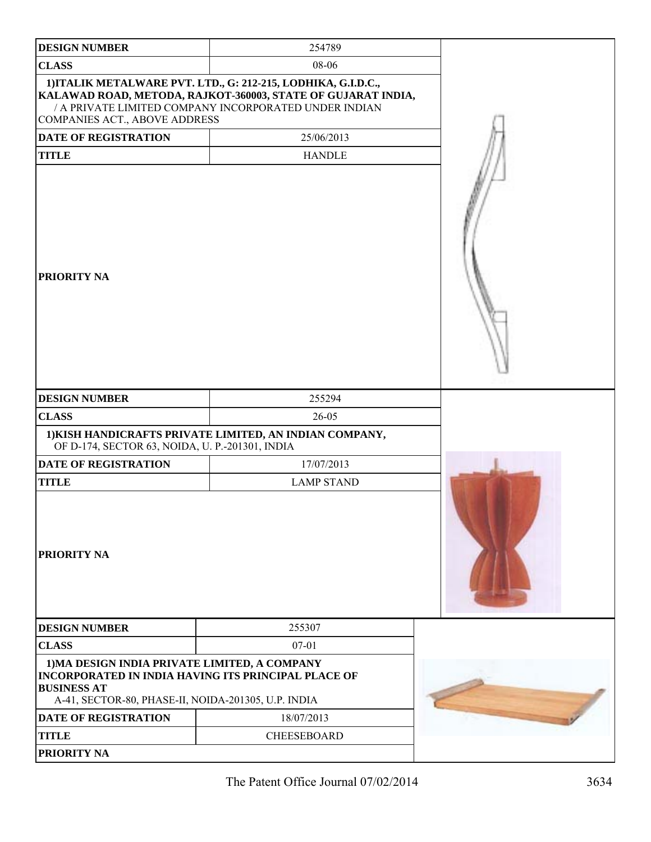| <b>DESIGN NUMBER</b>                                                                                                       | 254789                                                                                                                                                                                 |  |
|----------------------------------------------------------------------------------------------------------------------------|----------------------------------------------------------------------------------------------------------------------------------------------------------------------------------------|--|
| <b>CLASS</b>                                                                                                               | 08-06                                                                                                                                                                                  |  |
| COMPANIES ACT., ABOVE ADDRESS                                                                                              | 1) ITALIK METALWARE PVT. LTD., G: 212-215, LODHIKA, G.I.D.C.,<br>KALAWAD ROAD, METODA, RAJKOT-360003, STATE OF GUJARAT INDIA,<br>/ A PRIVATE LIMITED COMPANY INCORPORATED UNDER INDIAN |  |
| DATE OF REGISTRATION                                                                                                       | 25/06/2013                                                                                                                                                                             |  |
| <b>TITLE</b>                                                                                                               | <b>HANDLE</b>                                                                                                                                                                          |  |
| PRIORITY NA                                                                                                                |                                                                                                                                                                                        |  |
| <b>DESIGN NUMBER</b>                                                                                                       | 255294                                                                                                                                                                                 |  |
| <b>CLASS</b>                                                                                                               | 26-05                                                                                                                                                                                  |  |
| OF D-174, SECTOR 63, NOIDA, U. P.-201301, INDIA                                                                            | 1) KISH HANDICRAFTS PRIVATE LIMITED, AN INDIAN COMPANY,                                                                                                                                |  |
| <b>DATE OF REGISTRATION</b>                                                                                                | 17/07/2013                                                                                                                                                                             |  |
| <b>TITLE</b>                                                                                                               | <b>LAMP STAND</b>                                                                                                                                                                      |  |
| PRIORITY NA                                                                                                                |                                                                                                                                                                                        |  |
| <b>DESIGN NUMBER</b>                                                                                                       | 255307                                                                                                                                                                                 |  |
| <b>CLASS</b>                                                                                                               | $07 - 01$                                                                                                                                                                              |  |
| 1) MA DESIGN INDIA PRIVATE LIMITED, A COMPANY<br><b>BUSINESS AT</b><br>A-41, SECTOR-80, PHASE-II, NOIDA-201305, U.P. INDIA | <b>INCORPORATED IN INDIA HAVING ITS PRINCIPAL PLACE OF</b>                                                                                                                             |  |
| DATE OF REGISTRATION                                                                                                       | 18/07/2013                                                                                                                                                                             |  |
| <b>TITLE</b>                                                                                                               | CHEESEBOARD                                                                                                                                                                            |  |
| PRIORITY NA                                                                                                                |                                                                                                                                                                                        |  |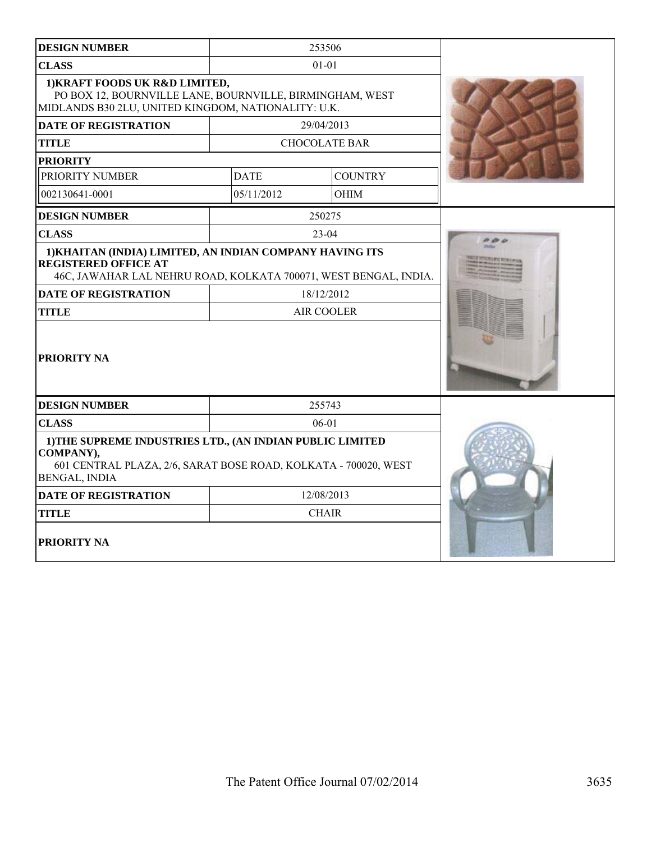| <b>DESIGN NUMBER</b>                                                                                                                                              | 253506               |                |  |
|-------------------------------------------------------------------------------------------------------------------------------------------------------------------|----------------------|----------------|--|
| <b>CLASS</b>                                                                                                                                                      | $01 - 01$            |                |  |
| 1) KRAFT FOODS UK R&D LIMITED,<br>PO BOX 12, BOURNVILLE LANE, BOURNVILLE, BIRMINGHAM, WEST<br>MIDLANDS B30 2LU, UNITED KINGDOM, NATIONALITY: U.K.                 |                      |                |  |
| <b>DATE OF REGISTRATION</b>                                                                                                                                       | 29/04/2013           |                |  |
| <b>TITLE</b>                                                                                                                                                      | <b>CHOCOLATE BAR</b> |                |  |
| <b>PRIORITY</b>                                                                                                                                                   |                      |                |  |
| PRIORITY NUMBER                                                                                                                                                   | <b>DATE</b>          | <b>COUNTRY</b> |  |
| 002130641-0001                                                                                                                                                    | 05/11/2012           | <b>OHIM</b>    |  |
| <b>DESIGN NUMBER</b>                                                                                                                                              | 250275               |                |  |
| <b>CLASS</b>                                                                                                                                                      | $23-04$              |                |  |
| 1) KHAITAN (INDIA) LIMITED, AN INDIAN COMPANY HAVING ITS<br><b>REGISTERED OFFICE AT</b><br>46C, JAWAHAR LAL NEHRU ROAD, KOLKATA 700071, WEST BENGAL, INDIA.       |                      |                |  |
| <b>DATE OF REGISTRATION</b>                                                                                                                                       | 18/12/2012           |                |  |
| <b>TITLE</b>                                                                                                                                                      | AIR COOLER           |                |  |
| <b>PRIORITY NA</b>                                                                                                                                                |                      |                |  |
| <b>DESIGN NUMBER</b>                                                                                                                                              | 255743               |                |  |
| <b>CLASS</b>                                                                                                                                                      | $06 - 01$            |                |  |
| 1) THE SUPREME INDUSTRIES LTD., (AN INDIAN PUBLIC LIMITED<br>COMPANY),<br>601 CENTRAL PLAZA, 2/6, SARAT BOSE ROAD, KOLKATA - 700020, WEST<br><b>BENGAL, INDIA</b> |                      |                |  |
| <b>DATE OF REGISTRATION</b>                                                                                                                                       | 12/08/2013           |                |  |
| <b>TITLE</b>                                                                                                                                                      | <b>CHAIR</b>         |                |  |
| <b>PRIORITY NA</b>                                                                                                                                                |                      |                |  |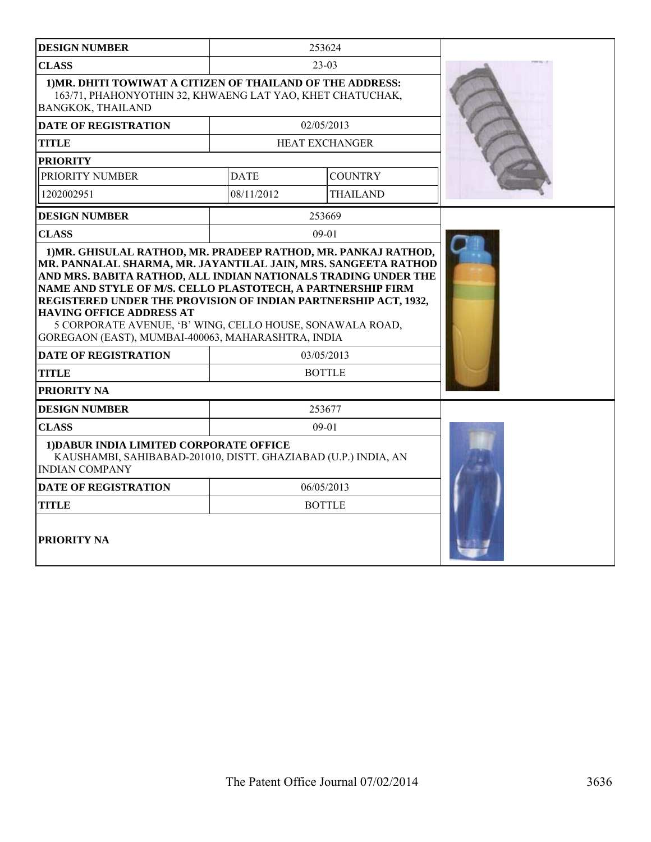| <b>DESIGN NUMBER</b>                                                                                                                                                                                                  |             | 253624         |  |
|-----------------------------------------------------------------------------------------------------------------------------------------------------------------------------------------------------------------------|-------------|----------------|--|
| <b>CLASS</b>                                                                                                                                                                                                          | $23-03$     |                |  |
| 1) MR. DHITI TOWIWAT A CITIZEN OF THAILAND OF THE ADDRESS:<br>163/71, PHAHONYOTHIN 32, KHWAENG LAT YAO, KHET CHATUCHAK,<br><b>BANGKOK, THAILAND</b>                                                                   |             |                |  |
| <b>DATE OF REGISTRATION</b>                                                                                                                                                                                           |             | 02/05/2013     |  |
| <b>TITLE</b>                                                                                                                                                                                                          |             | HEAT EXCHANGER |  |
| <b>PRIORITY</b>                                                                                                                                                                                                       |             |                |  |
| PRIORITY NUMBER                                                                                                                                                                                                       | <b>DATE</b> | <b>COUNTRY</b> |  |
| 1202002951                                                                                                                                                                                                            | 08/11/2012  | THAILAND       |  |
| <b>DESIGN NUMBER</b>                                                                                                                                                                                                  |             | 253669         |  |
| <b>CLASS</b>                                                                                                                                                                                                          |             | $09-01$        |  |
| REGISTERED UNDER THE PROVISION OF INDIAN PARTNERSHIP ACT, 1932,<br><b>HAVING OFFICE ADDRESS AT</b><br>5 CORPORATE AVENUE, 'B' WING, CELLO HOUSE, SONAWALA ROAD,<br>GOREGAON (EAST), MUMBAI-400063, MAHARASHTRA, INDIA |             |                |  |
| <b>DATE OF REGISTRATION</b>                                                                                                                                                                                           |             | 03/05/2013     |  |
| <b>TITLE</b>                                                                                                                                                                                                          |             | <b>BOTTLE</b>  |  |
| PRIORITY NA                                                                                                                                                                                                           |             |                |  |
| <b>DESIGN NUMBER</b>                                                                                                                                                                                                  | 253677      |                |  |
| <b>CLASS</b>                                                                                                                                                                                                          |             | $09-01$        |  |
| 1) DABUR INDIA LIMITED CORPORATE OFFICE<br>KAUSHAMBI, SAHIBABAD-201010, DISTT. GHAZIABAD (U.P.) INDIA, AN<br><b>INDIAN COMPANY</b>                                                                                    |             |                |  |
| <b>DATE OF REGISTRATION</b>                                                                                                                                                                                           |             | 06/05/2013     |  |
| TITLE                                                                                                                                                                                                                 |             | <b>BOTTLE</b>  |  |
| <b>PRIORITY NA</b>                                                                                                                                                                                                    |             |                |  |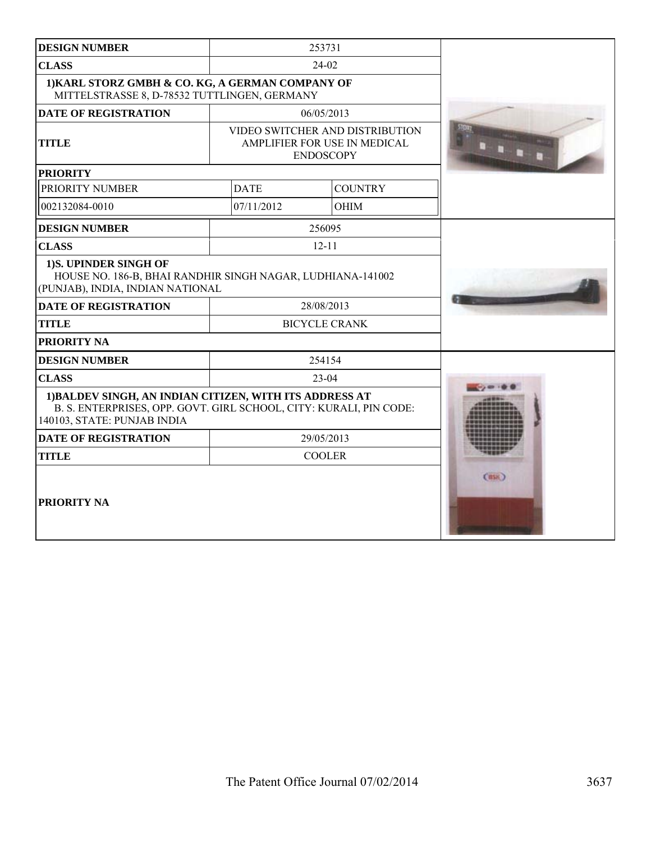| <b>DESIGN NUMBER</b>                                                                                                                                         |                                                                                     | 253731         |       |
|--------------------------------------------------------------------------------------------------------------------------------------------------------------|-------------------------------------------------------------------------------------|----------------|-------|
| <b>CLASS</b>                                                                                                                                                 |                                                                                     | 24-02          |       |
| 1) KARL STORZ GMBH & CO. KG, A GERMAN COMPANY OF<br>MITTELSTRASSE 8, D-78532 TUTTLINGEN, GERMANY                                                             |                                                                                     |                |       |
| <b>DATE OF REGISTRATION</b>                                                                                                                                  |                                                                                     | 06/05/2013     |       |
| <b>TITLE</b>                                                                                                                                                 | VIDEO SWITCHER AND DISTRIBUTION<br>AMPLIFIER FOR USE IN MEDICAL<br><b>ENDOSCOPY</b> |                |       |
| <b>PRIORITY</b>                                                                                                                                              |                                                                                     |                |       |
| PRIORITY NUMBER                                                                                                                                              | <b>DATE</b>                                                                         | <b>COUNTRY</b> |       |
| 002132084-0010                                                                                                                                               | 07/11/2012                                                                          | <b>OHIM</b>    |       |
| <b>DESIGN NUMBER</b>                                                                                                                                         |                                                                                     | 256095         |       |
| <b>CLASS</b>                                                                                                                                                 |                                                                                     | $12 - 11$      |       |
| 1)S. UPINDER SINGH OF<br>HOUSE NO. 186-B, BHAI RANDHIR SINGH NAGAR, LUDHIANA-141002<br>(PUNJAB), INDIA, INDIAN NATIONAL                                      |                                                                                     |                |       |
| <b>DATE OF REGISTRATION</b>                                                                                                                                  | 28/08/2013                                                                          |                |       |
| <b>TITLE</b>                                                                                                                                                 | <b>BICYCLE CRANK</b>                                                                |                |       |
| PRIORITY NA                                                                                                                                                  |                                                                                     |                |       |
| <b>DESIGN NUMBER</b>                                                                                                                                         | 254154                                                                              |                |       |
| <b>CLASS</b>                                                                                                                                                 | $23 - 04$                                                                           |                |       |
| 1) BALDEV SINGH, AN INDIAN CITIZEN, WITH ITS ADDRESS AT<br>B. S. ENTERPRISES, OPP. GOVT. GIRL SCHOOL, CITY: KURALI, PIN CODE:<br>140103, STATE: PUNJAB INDIA |                                                                                     |                |       |
| <b>DATE OF REGISTRATION</b>                                                                                                                                  | 29/05/2013                                                                          |                |       |
| <b>TITLE</b>                                                                                                                                                 | <b>COOLER</b>                                                                       |                |       |
| <b>PRIORITY NA</b>                                                                                                                                           |                                                                                     |                | (BSR) |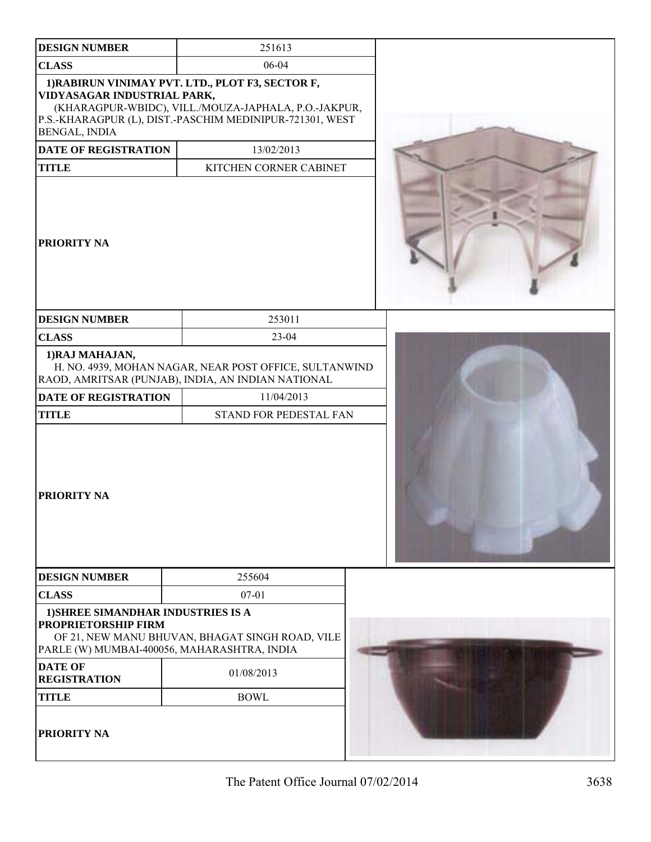| <b>DESIGN NUMBER</b>                                                                                     | 251613                                                                                                                                                               |  |
|----------------------------------------------------------------------------------------------------------|----------------------------------------------------------------------------------------------------------------------------------------------------------------------|--|
| <b>CLASS</b>                                                                                             | 06-04                                                                                                                                                                |  |
| VIDYASAGAR INDUSTRIAL PARK,<br>BENGAL, INDIA                                                             | 1) RABIRUN VINIMAY PVT. LTD., PLOT F3, SECTOR F,<br>(KHARAGPUR-WBIDC), VILL./MOUZA-JAPHALA, P.O.-JAKPUR,<br>P.S.-KHARAGPUR (L), DIST.-PASCHIM MEDINIPUR-721301, WEST |  |
| DATE OF REGISTRATION                                                                                     | 13/02/2013                                                                                                                                                           |  |
| <b>TITLE</b>                                                                                             | KITCHEN CORNER CABINET                                                                                                                                               |  |
| PRIORITY NA                                                                                              |                                                                                                                                                                      |  |
| <b>DESIGN NUMBER</b>                                                                                     | 253011                                                                                                                                                               |  |
| <b>CLASS</b>                                                                                             | 23-04                                                                                                                                                                |  |
| 1) RAJ MAHAJAN,                                                                                          | H. NO. 4939, MOHAN NAGAR, NEAR POST OFFICE, SULTANWIND<br>RAOD, AMRITSAR (PUNJAB), INDIA, AN INDIAN NATIONAL                                                         |  |
| <b>DATE OF REGISTRATION</b>                                                                              | 11/04/2013                                                                                                                                                           |  |
| <b>TITLE</b>                                                                                             | STAND FOR PEDESTAL FAN                                                                                                                                               |  |
| PRIORITY NA                                                                                              |                                                                                                                                                                      |  |
| <b>DESIGN NUMBER</b>                                                                                     | 255604                                                                                                                                                               |  |
| <b>CLASS</b>                                                                                             | $07 - 01$                                                                                                                                                            |  |
| 1) SHREE SIMANDHAR INDUSTRIES IS A<br>PROPRIETORSHIP FIRM<br>PARLE (W) MUMBAI-400056, MAHARASHTRA, INDIA | OF 21, NEW MANU BHUVAN, BHAGAT SINGH ROAD, VILE                                                                                                                      |  |
| <b>DATE OF</b><br><b>REGISTRATION</b>                                                                    | 01/08/2013                                                                                                                                                           |  |
| <b>TITLE</b>                                                                                             | <b>BOWL</b>                                                                                                                                                          |  |
| PRIORITY NA                                                                                              |                                                                                                                                                                      |  |

The Patent Office Journal 07/02/2014 3638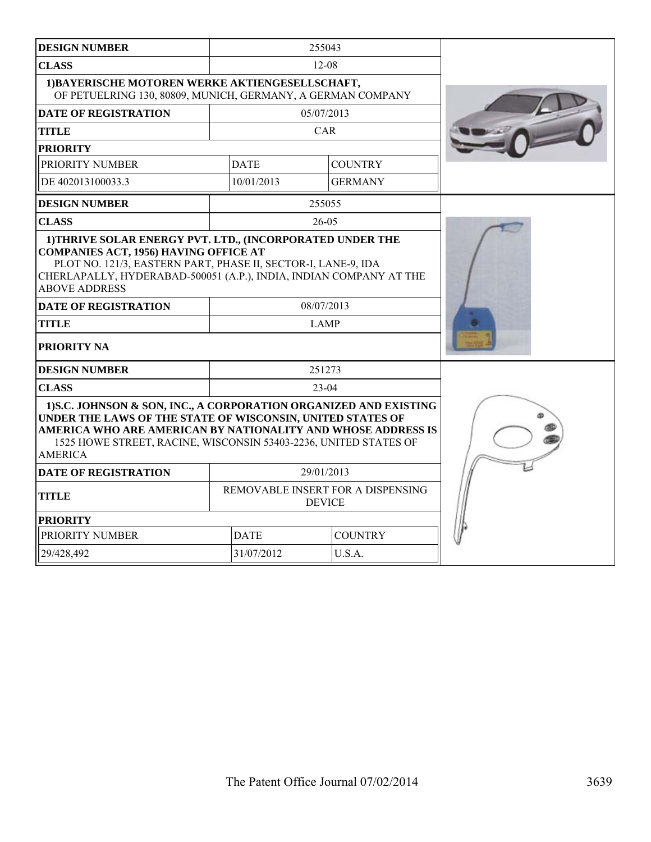| <b>DESIGN NUMBER</b>                                                                                                                                                                                                                                                                  | 255043                                             |                |  |
|---------------------------------------------------------------------------------------------------------------------------------------------------------------------------------------------------------------------------------------------------------------------------------------|----------------------------------------------------|----------------|--|
| <b>CLASS</b>                                                                                                                                                                                                                                                                          | $12 - 08$                                          |                |  |
| 1) BAYERISCHE MOTOREN WERKE AKTIENGESELLSCHAFT,<br>OF PETUELRING 130, 80809, MUNICH, GERMANY, A GERMAN COMPANY                                                                                                                                                                        |                                                    |                |  |
| <b>DATE OF REGISTRATION</b>                                                                                                                                                                                                                                                           |                                                    | 05/07/2013     |  |
| <b>TITLE</b>                                                                                                                                                                                                                                                                          |                                                    | CAR            |  |
| <b>PRIORITY</b>                                                                                                                                                                                                                                                                       |                                                    |                |  |
| PRIORITY NUMBER                                                                                                                                                                                                                                                                       | <b>DATE</b>                                        | <b>COUNTRY</b> |  |
| DE 402013100033.3                                                                                                                                                                                                                                                                     | 10/01/2013                                         | <b>GERMANY</b> |  |
| <b>DESIGN NUMBER</b>                                                                                                                                                                                                                                                                  |                                                    | 255055         |  |
| <b>CLASS</b>                                                                                                                                                                                                                                                                          |                                                    | 26-05          |  |
| 1) THRIVE SOLAR ENERGY PVT. LTD., (INCORPORATED UNDER THE<br><b>COMPANIES ACT, 1956) HAVING OFFICE AT</b><br>PLOT NO. 121/3, EASTERN PART, PHASE II, SECTOR-I, LANE-9, IDA<br>CHERLAPALLY, HYDERABAD-500051 (A.P.), INDIA, INDIAN COMPANY AT THE<br><b>ABOVE ADDRESS</b>              |                                                    |                |  |
| <b>DATE OF REGISTRATION</b>                                                                                                                                                                                                                                                           | 08/07/2013                                         |                |  |
| <b>TITLE</b>                                                                                                                                                                                                                                                                          | <b>LAMP</b>                                        |                |  |
| PRIORITY NA                                                                                                                                                                                                                                                                           |                                                    |                |  |
| <b>DESIGN NUMBER</b>                                                                                                                                                                                                                                                                  | 251273                                             |                |  |
| <b>CLASS</b>                                                                                                                                                                                                                                                                          | 23-04                                              |                |  |
| 1) S.C. JOHNSON & SON, INC., A CORPORATION ORGANIZED AND EXISTING<br>UNDER THE LAWS OF THE STATE OF WISCONSIN, UNITED STATES OF<br>AMERICA WHO ARE AMERICAN BY NATIONALITY AND WHOSE ADDRESS IS<br>1525 HOWE STREET, RACINE, WISCONSIN 53403-2236, UNITED STATES OF<br><b>AMERICA</b> |                                                    |                |  |
| <b>DATE OF REGISTRATION</b>                                                                                                                                                                                                                                                           | 29/01/2013                                         |                |  |
| <b>TITLE</b>                                                                                                                                                                                                                                                                          | REMOVABLE INSERT FOR A DISPENSING<br><b>DEVICE</b> |                |  |
| <b>PRIORITY</b>                                                                                                                                                                                                                                                                       |                                                    |                |  |
| PRIORITY NUMBER                                                                                                                                                                                                                                                                       | <b>DATE</b><br><b>COUNTRY</b>                      |                |  |
| 29/428,492                                                                                                                                                                                                                                                                            | 31/07/2012<br>U.S.A.                               |                |  |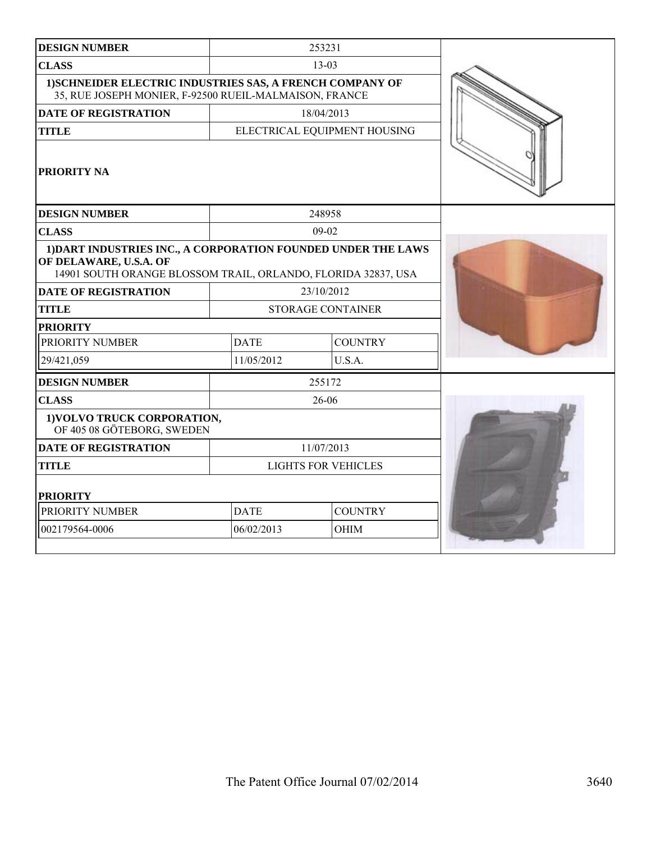| <b>DESIGN NUMBER</b>                                                                                                                                     |                               | 253231                       |  |
|----------------------------------------------------------------------------------------------------------------------------------------------------------|-------------------------------|------------------------------|--|
| <b>CLASS</b>                                                                                                                                             |                               | $13 - 03$                    |  |
| 1) SCHNEIDER ELECTRIC INDUSTRIES SAS, A FRENCH COMPANY OF<br>35, RUE JOSEPH MONIER, F-92500 RUEIL-MALMAISON, FRANCE                                      |                               |                              |  |
| <b>DATE OF REGISTRATION</b>                                                                                                                              |                               | 18/04/2013                   |  |
| <b>TITLE</b>                                                                                                                                             |                               | ELECTRICAL EQUIPMENT HOUSING |  |
| <b>PRIORITY NA</b>                                                                                                                                       |                               |                              |  |
| <b>DESIGN NUMBER</b>                                                                                                                                     |                               | 248958                       |  |
| <b>CLASS</b>                                                                                                                                             |                               | $09-02$                      |  |
| 1) DART INDUSTRIES INC., A CORPORATION FOUNDED UNDER THE LAWS<br>OF DELAWARE, U.S.A. OF<br>14901 SOUTH ORANGE BLOSSOM TRAIL, ORLANDO, FLORIDA 32837, USA |                               |                              |  |
| <b>DATE OF REGISTRATION</b>                                                                                                                              | 23/10/2012                    |                              |  |
| <b>TITLE</b>                                                                                                                                             | <b>STORAGE CONTAINER</b>      |                              |  |
| <b>PRIORITY</b>                                                                                                                                          |                               |                              |  |
| PRIORITY NUMBER                                                                                                                                          | <b>DATE</b><br><b>COUNTRY</b> |                              |  |
| 29/421,059                                                                                                                                               | 11/05/2012                    | U.S.A.                       |  |
| <b>DESIGN NUMBER</b>                                                                                                                                     |                               | 255172                       |  |
| <b>CLASS</b>                                                                                                                                             |                               | 26-06                        |  |
| 1) VOLVO TRUCK CORPORATION,<br>OF 405 08 GÖTEBORG, SWEDEN                                                                                                |                               |                              |  |
| <b>DATE OF REGISTRATION</b>                                                                                                                              | 11/07/2013                    |                              |  |
| <b>TITLE</b>                                                                                                                                             | <b>LIGHTS FOR VEHICLES</b>    |                              |  |
| <b>PRIORITY</b>                                                                                                                                          |                               |                              |  |
| PRIORITY NUMBER                                                                                                                                          | <b>DATE</b>                   | <b>COUNTRY</b>               |  |
| 002179564-0006                                                                                                                                           | 06/02/2013                    | <b>OHIM</b>                  |  |
|                                                                                                                                                          |                               |                              |  |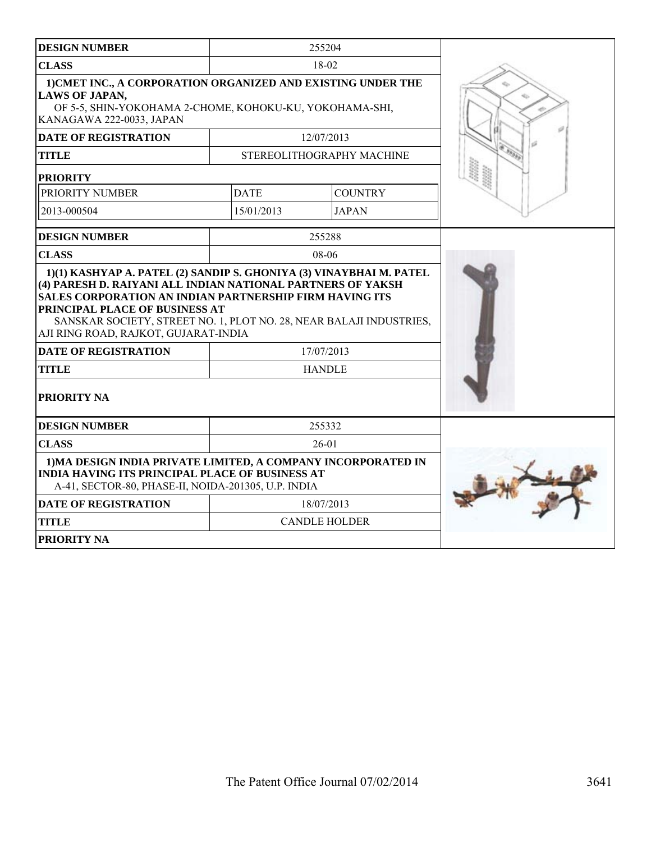| <b>DESIGN NUMBER</b>                                                                                                                                                                                     |             | 255204                    |  |
|----------------------------------------------------------------------------------------------------------------------------------------------------------------------------------------------------------|-------------|---------------------------|--|
| <b>CLASS</b>                                                                                                                                                                                             | 18-02       |                           |  |
| 1) CMET INC., A CORPORATION ORGANIZED AND EXISTING UNDER THE<br><b>LAWS OF JAPAN,</b><br>OF 5-5, SHIN-YOKOHAMA 2-CHOME, KOHOKU-KU, YOKOHAMA-SHI,<br>KANAGAWA 222-0033, JAPAN                             |             |                           |  |
| <b>DATE OF REGISTRATION</b>                                                                                                                                                                              |             | 12/07/2013                |  |
| <b>TITLE</b>                                                                                                                                                                                             |             | STEREOLITHOGRAPHY MACHINE |  |
| <b>PRIORITY</b>                                                                                                                                                                                          |             |                           |  |
| PRIORITY NUMBER                                                                                                                                                                                          | <b>DATE</b> | <b>COUNTRY</b>            |  |
| 2013-000504                                                                                                                                                                                              | 15/01/2013  | <b>JAPAN</b>              |  |
| <b>DESIGN NUMBER</b>                                                                                                                                                                                     |             | 255288                    |  |
| <b>CLASS</b>                                                                                                                                                                                             |             | $08-06$                   |  |
| SALES CORPORATION AN INDIAN PARTNERSHIP FIRM HAVING ITS<br>PRINCIPAL PLACE OF BUSINESS AT<br>SANSKAR SOCIETY, STREET NO. 1, PLOT NO. 28, NEAR BALAJI INDUSTRIES,<br>AJI RING ROAD, RAJKOT, GUJARAT-INDIA |             |                           |  |
| <b>DATE OF REGISTRATION</b>                                                                                                                                                                              |             | 17/07/2013                |  |
| <b>TITLE</b>                                                                                                                                                                                             |             | <b>HANDLE</b>             |  |
| PRIORITY NA                                                                                                                                                                                              |             |                           |  |
| <b>DESIGN NUMBER</b>                                                                                                                                                                                     |             | 255332                    |  |
| <b>CLASS</b>                                                                                                                                                                                             |             | $26-01$                   |  |
| 1) MA DESIGN INDIA PRIVATE LIMITED, A COMPANY INCORPORATED IN<br><b>INDIA HAVING ITS PRINCIPAL PLACE OF BUSINESS AT</b><br>A-41, SECTOR-80, PHASE-II, NOIDA-201305, U.P. INDIA                           |             |                           |  |
| <b>DATE OF REGISTRATION</b>                                                                                                                                                                              |             | 18/07/2013                |  |
| <b>TITLE</b>                                                                                                                                                                                             |             | <b>CANDLE HOLDER</b>      |  |
| <b>PRIORITY NA</b>                                                                                                                                                                                       |             |                           |  |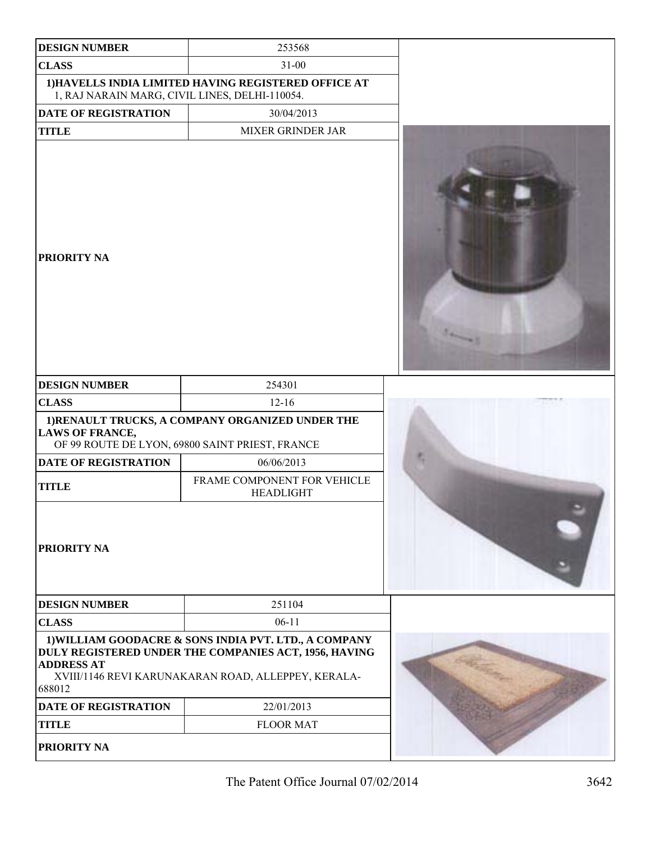| <b>DESIGN NUMBER</b>                           | 253568                                                                                                                                                                |  |
|------------------------------------------------|-----------------------------------------------------------------------------------------------------------------------------------------------------------------------|--|
| <b>CLASS</b>                                   | $31 - 00$                                                                                                                                                             |  |
| 1, RAJ NARAIN MARG, CIVIL LINES, DELHI-110054. | 1) HAVELLS INDIA LIMITED HAVING REGISTERED OFFICE AT                                                                                                                  |  |
| <b>DATE OF REGISTRATION</b>                    | 30/04/2013                                                                                                                                                            |  |
| <b>TITLE</b>                                   | MIXER GRINDER JAR                                                                                                                                                     |  |
| PRIORITY NA                                    |                                                                                                                                                                       |  |
| <b>DESIGN NUMBER</b>                           | 254301                                                                                                                                                                |  |
| <b>CLASS</b>                                   | $12 - 16$                                                                                                                                                             |  |
| <b>LAWS OF FRANCE,</b>                         | 1) RENAULT TRUCKS, A COMPANY ORGANIZED UNDER THE<br>OF 99 ROUTE DE LYON, 69800 SAINT PRIEST, FRANCE                                                                   |  |
| DATE OF REGISTRATION                           | 06/06/2013                                                                                                                                                            |  |
| <b>TITLE</b>                                   | FRAME COMPONENT FOR VEHICLE<br><b>HEADLIGHT</b>                                                                                                                       |  |
| PRIORITY NA                                    |                                                                                                                                                                       |  |
| <b>DESIGN NUMBER</b>                           | 251104                                                                                                                                                                |  |
| <b>CLASS</b>                                   | $06-11$                                                                                                                                                               |  |
| <b>ADDRESS AT</b><br>688012                    | 1) WILLIAM GOODACRE & SONS INDIA PVT. LTD., A COMPANY<br>DULY REGISTERED UNDER THE COMPANIES ACT, 1956, HAVING<br>XVIII/1146 REVI KARUNAKARAN ROAD, ALLEPPEY, KERALA- |  |
| <b>DATE OF REGISTRATION</b>                    | 22/01/2013                                                                                                                                                            |  |
| <b>TITLE</b>                                   | <b>FLOOR MAT</b>                                                                                                                                                      |  |
| PRIORITY NA                                    |                                                                                                                                                                       |  |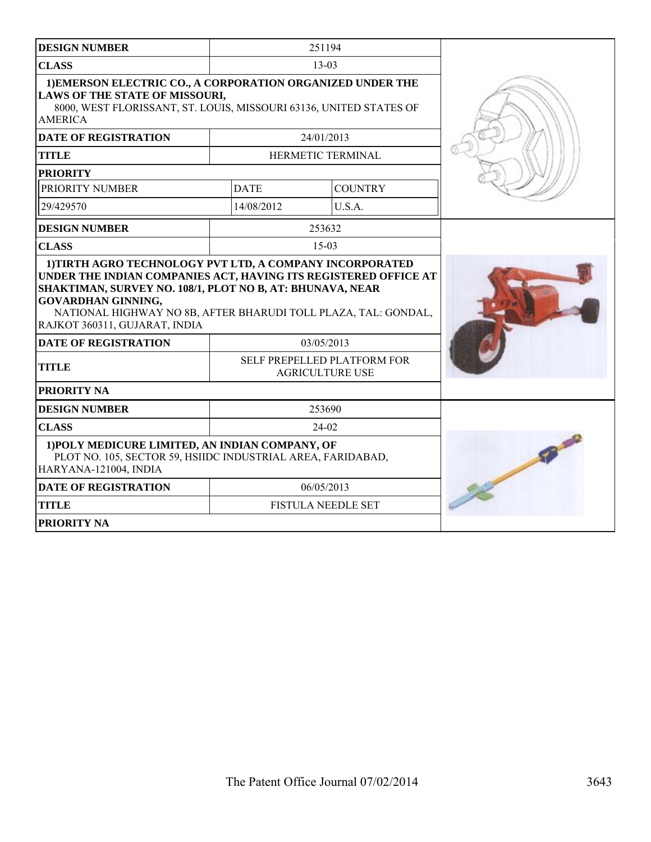| <b>DESIGN NUMBER</b>                                                                                                                                                                                                                                  |                                                       | 251194                    |  |
|-------------------------------------------------------------------------------------------------------------------------------------------------------------------------------------------------------------------------------------------------------|-------------------------------------------------------|---------------------------|--|
| <b>CLASS</b>                                                                                                                                                                                                                                          | $13 - 03$                                             |                           |  |
| 1) EMERSON ELECTRIC CO., A CORPORATION ORGANIZED UNDER THE<br>LAWS OF THE STATE OF MISSOURI,<br>8000, WEST FLORISSANT, ST. LOUIS, MISSOURI 63136, UNITED STATES OF<br><b>AMERICA</b>                                                                  |                                                       |                           |  |
| <b>DATE OF REGISTRATION</b>                                                                                                                                                                                                                           |                                                       | 24/01/2013                |  |
| <b>TITLE</b>                                                                                                                                                                                                                                          |                                                       | HERMETIC TERMINAL         |  |
| <b>PRIORITY</b>                                                                                                                                                                                                                                       |                                                       |                           |  |
| PRIORITY NUMBER                                                                                                                                                                                                                                       | <b>DATE</b>                                           | <b>COUNTRY</b>            |  |
| 29/429570                                                                                                                                                                                                                                             | 14/08/2012                                            | U.S.A.                    |  |
| <b>DESIGN NUMBER</b>                                                                                                                                                                                                                                  |                                                       | 253632                    |  |
| <b>CLASS</b>                                                                                                                                                                                                                                          |                                                       | $15 - 03$                 |  |
| UNDER THE INDIAN COMPANIES ACT, HAVING ITS REGISTERED OFFICE AT<br>SHAKTIMAN, SURVEY NO. 108/1, PLOT NO B, AT: BHUNAVA, NEAR<br>GOVARDHAN GINNING,<br>NATIONAL HIGHWAY NO 8B, AFTER BHARUDI TOLL PLAZA, TAL: GONDAL,<br>RAJKOT 360311, GUJARAT, INDIA |                                                       |                           |  |
| <b>DATE OF REGISTRATION</b>                                                                                                                                                                                                                           | 03/05/2013                                            |                           |  |
| <b>TITLE</b>                                                                                                                                                                                                                                          | SELF PREPELLED PLATFORM FOR<br><b>AGRICULTURE USE</b> |                           |  |
| <b>PRIORITY NA</b>                                                                                                                                                                                                                                    |                                                       |                           |  |
| <b>DESIGN NUMBER</b>                                                                                                                                                                                                                                  | 253690                                                |                           |  |
| <b>CLASS</b>                                                                                                                                                                                                                                          | 24-02                                                 |                           |  |
| 1) POLY MEDICURE LIMITED, AN INDIAN COMPANY, OF<br>PLOT NO. 105, SECTOR 59, HSIIDC INDUSTRIAL AREA, FARIDABAD,<br>HARYANA-121004, INDIA                                                                                                               |                                                       |                           |  |
| <b>DATE OF REGISTRATION</b>                                                                                                                                                                                                                           |                                                       | 06/05/2013                |  |
| <b>TITLE</b>                                                                                                                                                                                                                                          |                                                       | <b>FISTULA NEEDLE SET</b> |  |
| PRIORITY NA                                                                                                                                                                                                                                           |                                                       |                           |  |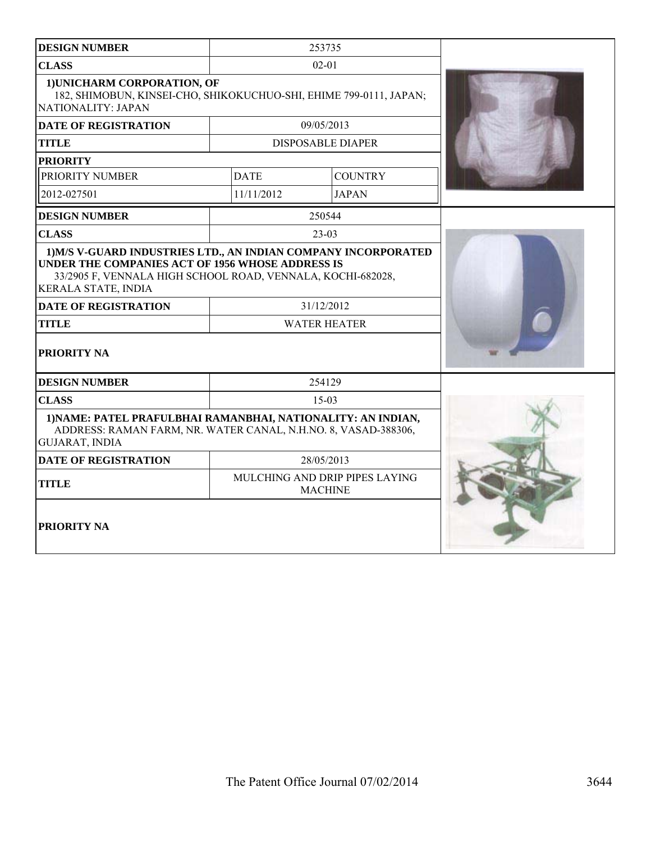| <b>DESIGN NUMBER</b>                                                                                                                                                                                                          | 253735                                           |                |  |
|-------------------------------------------------------------------------------------------------------------------------------------------------------------------------------------------------------------------------------|--------------------------------------------------|----------------|--|
| <b>CLASS</b>                                                                                                                                                                                                                  | $02 - 01$                                        |                |  |
| 1) UNICHARM CORPORATION, OF<br>182, SHIMOBUN, KINSEI-CHO, SHIKOKUCHUO-SHI, EHIME 799-0111, JAPAN;<br>NATIONALITY: JAPAN                                                                                                       |                                                  |                |  |
| <b>DATE OF REGISTRATION</b>                                                                                                                                                                                                   | 09/05/2013                                       |                |  |
| TITLE                                                                                                                                                                                                                         | <b>DISPOSABLE DIAPER</b>                         |                |  |
| <b>PRIORITY</b>                                                                                                                                                                                                               |                                                  |                |  |
| PRIORITY NUMBER                                                                                                                                                                                                               | <b>DATE</b>                                      | <b>COUNTRY</b> |  |
| 2012-027501                                                                                                                                                                                                                   | 11/11/2012                                       | <b>JAPAN</b>   |  |
| <b>DESIGN NUMBER</b>                                                                                                                                                                                                          | 250544                                           |                |  |
| <b>CLASS</b>                                                                                                                                                                                                                  | $23-03$                                          |                |  |
| 1) M/S V-GUARD INDUSTRIES LTD., AN INDIAN COMPANY INCORPORATED<br>UNDER THE COMPANIES ACT OF 1956 WHOSE ADDRESS IS<br>33/2905 F, VENNALA HIGH SCHOOL ROAD, VENNALA, KOCHI-682028,<br><b>KERALA STATE, INDIA</b><br>31/12/2012 |                                                  |                |  |
| <b>DATE OF REGISTRATION</b><br><b>TITLE</b>                                                                                                                                                                                   | <b>WATER HEATER</b>                              |                |  |
| PRIORITY NA                                                                                                                                                                                                                   |                                                  |                |  |
| <b>DESIGN NUMBER</b>                                                                                                                                                                                                          | 254129                                           |                |  |
| <b>CLASS</b>                                                                                                                                                                                                                  | $15-03$                                          |                |  |
| 1) NAME: PATEL PRAFULBHAI RAMANBHAI, NATIONALITY: AN INDIAN,<br>ADDRESS: RAMAN FARM, NR. WATER CANAL, N.H.NO. 8, VASAD-388306,<br><b>GUJARAT, INDIA</b>                                                                       |                                                  |                |  |
| <b>DATE OF REGISTRATION</b>                                                                                                                                                                                                   | 28/05/2013                                       |                |  |
| <b>TITLE</b>                                                                                                                                                                                                                  | MULCHING AND DRIP PIPES LAYING<br><b>MACHINE</b> |                |  |
| PRIORITY NA                                                                                                                                                                                                                   |                                                  |                |  |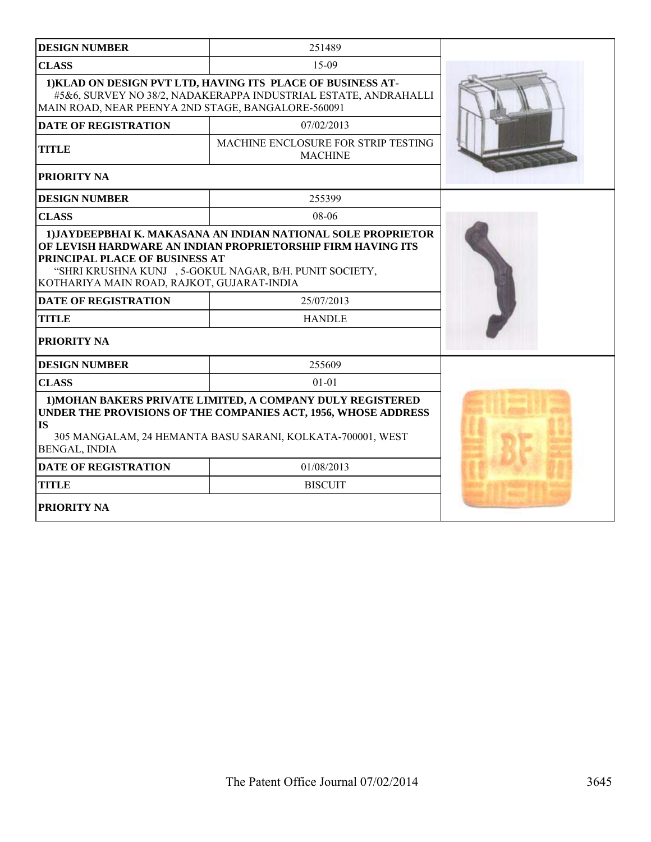| <b>DESIGN NUMBER</b>                                                         | 251489                                                                                                                                                                                     |  |
|------------------------------------------------------------------------------|--------------------------------------------------------------------------------------------------------------------------------------------------------------------------------------------|--|
| <b>CLASS</b>                                                                 | 15-09                                                                                                                                                                                      |  |
| MAIN ROAD, NEAR PEENYA 2ND STAGE, BANGALORE-560091                           | 1) KLAD ON DESIGN PVT LTD, HAVING ITS PLACE OF BUSINESS AT-<br>#5&6, SURVEY NO 38/2, NADAKERAPPA INDUSTRIAL ESTATE, ANDRAHALLI                                                             |  |
| <b>DATE OF REGISTRATION</b>                                                  | 07/02/2013                                                                                                                                                                                 |  |
| <b>TITLE</b>                                                                 | MACHINE ENCLOSURE FOR STRIP TESTING<br><b>MACHINE</b>                                                                                                                                      |  |
| PRIORITY NA                                                                  |                                                                                                                                                                                            |  |
| <b>DESIGN NUMBER</b>                                                         | 255399                                                                                                                                                                                     |  |
| <b>CLASS</b>                                                                 | 08-06                                                                                                                                                                                      |  |
| PRINCIPAL PLACE OF BUSINESS AT<br>KOTHARIYA MAIN ROAD, RAJKOT, GUJARAT-INDIA | "SHRI KRUSHNA KUNJ , 5-GOKUL NAGAR, B/H. PUNIT SOCIETY,                                                                                                                                    |  |
| <b>DATE OF REGISTRATION</b>                                                  | 25/07/2013                                                                                                                                                                                 |  |
| <b>TITLE</b>                                                                 | <b>HANDLE</b>                                                                                                                                                                              |  |
| PRIORITY NA                                                                  |                                                                                                                                                                                            |  |
| <b>DESIGN NUMBER</b>                                                         | 255609                                                                                                                                                                                     |  |
| <b>CLASS</b>                                                                 | $01 - 01$                                                                                                                                                                                  |  |
| <b>IS</b><br><b>BENGAL, INDIA</b>                                            | 1) MOHAN BAKERS PRIVATE LIMITED, A COMPANY DULY REGISTERED<br>UNDER THE PROVISIONS OF THE COMPANIES ACT, 1956, WHOSE ADDRESS<br>305 MANGALAM, 24 HEMANTA BASU SARANI, KOLKATA-700001, WEST |  |
| <b>DATE OF REGISTRATION</b>                                                  | 01/08/2013                                                                                                                                                                                 |  |
| <b>TITLE</b>                                                                 | <b>BISCUIT</b>                                                                                                                                                                             |  |
| <b>PRIORITY NA</b>                                                           |                                                                                                                                                                                            |  |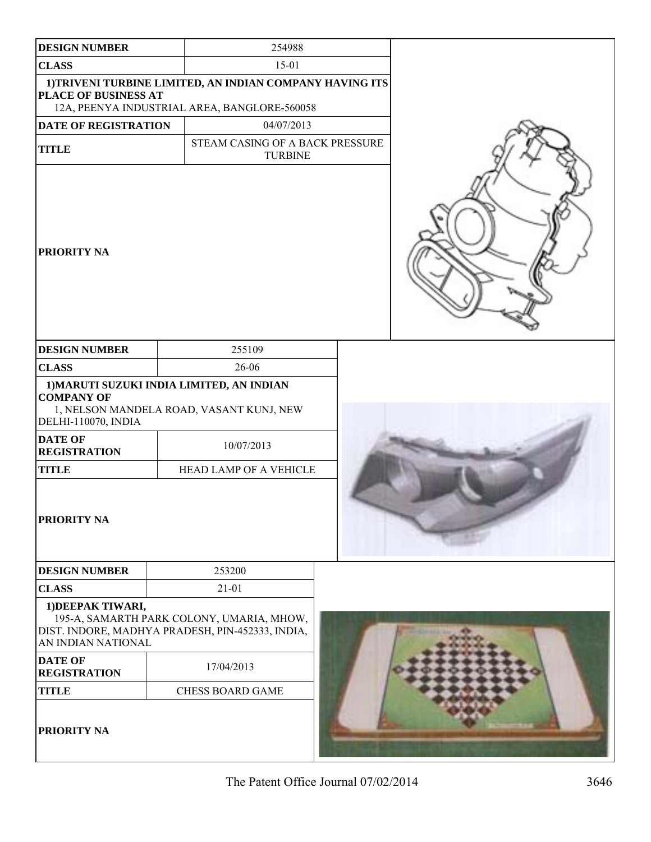| <b>DESIGN NUMBER</b>                     | 254988                                                                                                   |  |
|------------------------------------------|----------------------------------------------------------------------------------------------------------|--|
| <b>CLASS</b>                             | $15 - 01$                                                                                                |  |
| PLACE OF BUSINESS AT                     | 1) TRIVENI TURBINE LIMITED, AN INDIAN COMPANY HAVING ITS<br>12A, PEENYA INDUSTRIAL AREA, BANGLORE-560058 |  |
| DATE OF REGISTRATION                     | 04/07/2013                                                                                               |  |
| <b>TITLE</b>                             | STEAM CASING OF A BACK PRESSURE<br><b>TURBINE</b>                                                        |  |
| <b>PRIORITY NA</b>                       |                                                                                                          |  |
| <b>DESIGN NUMBER</b>                     | 255109                                                                                                   |  |
| <b>CLASS</b>                             | 26-06                                                                                                    |  |
| <b>COMPANY OF</b><br>DELHI-110070, INDIA | 1) MARUTI SUZUKI INDIA LIMITED, AN INDIAN<br>1, NELSON MANDELA ROAD, VASANT KUNJ, NEW                    |  |
| <b>DATE OF</b><br><b>REGISTRATION</b>    | 10/07/2013                                                                                               |  |
| <b>TITLE</b>                             | HEAD LAMP OF A VEHICLE                                                                                   |  |
| <b>PRIORITY NA</b>                       |                                                                                                          |  |
| <b>DESIGN NUMBER</b>                     | 253200                                                                                                   |  |
| <b>CLASS</b>                             | $21 - 01$                                                                                                |  |
| 1) DEEPAK TIWARI,<br>AN INDIAN NATIONAL  | 195-A, SAMARTH PARK COLONY, UMARIA, MHOW,<br>DIST. INDORE, MADHYA PRADESH, PIN-452333, INDIA,            |  |
| <b>DATE OF</b><br><b>REGISTRATION</b>    | 17/04/2013                                                                                               |  |
| <b>TITLE</b>                             | <b>CHESS BOARD GAME</b>                                                                                  |  |
| <b>PRIORITY NA</b>                       |                                                                                                          |  |

The Patent Office Journal 07/02/2014 3646